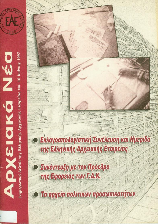

DEN DIRA VO

Ενημερωτικό Δελτίο της Ελληνικής Αρχειακής Εταιρείας Νο. 16 Ιούνιος 1997

Εκλογοαπολογίστική Συνέλευση και Ημερίδα της Ελληνικής Αρχειακής Εταιρείας

Συνέντευξη με τον Πρόεδρο της Εφορείας των Γ.Α.Κ.

gr



Τα αρχεία πολιτικών προσωπικοτήτων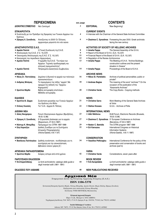|                                                                                         | <b><i><u>TEPIEXOMENA</u></i></b>                                                                                                | σελ./page |                                                                                                | <b>CONTENTS</b>                                                                                                   |  |
|-----------------------------------------------------------------------------------------|---------------------------------------------------------------------------------------------------------------------------------|-----------|------------------------------------------------------------------------------------------------|-------------------------------------------------------------------------------------------------------------------|--|
| ΔΙΟΙΚΗΤΙΚΟ ΣΥΜΒΟΥΛΙΟ                                                                    | Νέο Ξεκίνημα!                                                                                                                   | 3         | <b>EDITORIAL</b>                                                                               | New Beginning!                                                                                                    |  |
| <b>ΕΠΙΚΑΙΡΟΤΗΤΑ</b><br>· Συνέντευξη με τον Πρόεδρο της Εφορείας των Γενικών Αρχείων του |                                                                                                                                 | 4         | <b>CURRENT EVENTS</b><br>• Interview with the Chairman of the General State Archives Committee |                                                                                                                   |  |
| Κράτους<br>• Ζήσιμος Χ. Συνοδινός                                                       | Ατενίζοντας το 2000! Οι Έλληνες<br>αρχειονόμοι μπροστά στο νέο αιώνα                                                            | 6         |                                                                                                | • Zissimos C. Synodinos Foreseeing the year 2000: Greek archivists<br>facing the new century                      |  |
| ΔΡΑΣΤΗΡΙΟΤΗΤΕΣ Ε.Α.Ε.                                                                   |                                                                                                                                 |           |                                                                                                | <b>ACTIVITIES OF SOCIETY OF HELLENIC ARCHIVES</b>                                                                 |  |
| • Αμαλία Παππά                                                                          | Η Γενική Συνέλευση της Ε.Α.Ε.                                                                                                   | 8         | • Amalia Pappa                                                                                 | The General Assembly of the S.H.A.                                                                                |  |
| • Απολογισμός της Ε.Α.Ε. (Γ.Σ. 15.2.97)                                                 |                                                                                                                                 | 9         | • Report of the Board of S.H.A. (G.A. 15.2.97)                                                 |                                                                                                                   |  |
| • Οικονομικός Απολογισμός της Ε.Α.Ε. (Γ.Σ. 15.2.97)                                     |                                                                                                                                 | 11        | • Financial Report of the Board of S.H.A. (G.A. 15.2.97)                                       |                                                                                                                   |  |
| • Κανονισμός του περιοδικού Αρχειονόμος                                                 |                                                                                                                                 | 12        | • Regulation of the Review Archionomos                                                         |                                                                                                                   |  |
| • Αμαλία Παππά                                                                          | Η ημερίδα της Ε.Α.Ε. "Τα κτίρια των<br>Αρχείων. Τεχνικές προδιαγραφές και<br>ελληνική πραγματικότητα"                           | 13        | • Amalia Pappa                                                                                 | The Meeting of S.H.A. "Archive Buildings;<br>construction outlines and the present<br>situation in Greece"        |  |
| • Αμαλία Παππά                                                                          | Πεπραγμένα Διοικητικού Συμβουλίου                                                                                               | 14        | • Amalia Pappa                                                                                 | Proceedings of the Board of S.H.A.                                                                                |  |
| APXEIAKA                                                                                |                                                                                                                                 |           | <b>ARCHIVE NEWS</b>                                                                            |                                                                                                                   |  |
| • Νίκος Στ. Παντελάκης                                                                  | Δημόσια ή ιδιωτικά τα αρχεία των πολιτικών<br>προσωπικοτήτων;                                                                   | 16        | · Nikos St. Pantelakis                                                                         | Archives of political personalities; public or<br>private?                                                        |  |
| • Ανδρέας Μπάγιας                                                                       | Το περιεχόμενο της λέξης "αρχείο"; Με<br>αφορμή την έκδοση του "Αρχείου<br>Καραμανλή"                                           | 18        | • Andreas Bagias                                                                               | The meaning of the word "archives"? On the<br>occasion of the publication of the<br>"Karamanlis Archives"         |  |
| • Χριστίνα Βάρδα                                                                        | Βιβλία αντιγραφής επιστολών -<br>Μέθοδοι αντιγραφής                                                                             | 20        | • Christine Varda                                                                              | The Copy Books - Copying methods                                                                                  |  |
| ΕΙΔΗΣΕΙΣ                                                                                |                                                                                                                                 |           | <b>NEWS</b>                                                                                    |                                                                                                                   |  |
| • Χριστίνα Β. Σάρρα                                                                     | Συνάντηση εργασίας των Γενικών Αρχείων<br>του Κράτους στο Βόλο                                                                  | 21        | • Christine Sarra                                                                              | Work Meeting of the General State Archives<br>at Volos                                                            |  |
| • Στέλιος Κιοσσές                                                                       | Τα Γ.Α.Κ.- Αρχεία Ν. Πέλλας                                                                                                     | 22        | • Stelios Kiosses                                                                              | G.S.A. - Archives of Pella                                                                                        |  |
| ΔΙΕΘΝΗ ΝΕΑ                                                                              |                                                                                                                                 |           | <b>INTERNATIONAL NEWS</b>                                                                      |                                                                                                                   |  |
| • Αλίκη Νικηφόρου                                                                       | Forum Ηλεκτρονικών Αρχείων (Βρυξέλλες,<br>18-20.12.96)                                                                          | 23        | · Aliki Nikiforou                                                                              | DLM Forum, Electronic Records (Brussels,<br>18-20.12.96)                                                          |  |
| • Ζήσιμος Χ. Συνοδινός                                                                  | 5η Ευρωπαϊκή Διάσκεψη για τα αρχεία<br>(Βαρκελώνη, 27-30.5.1997)                                                                | 27        | • Zissimos C. Synodinos                                                                        | 5 <sup>th</sup> European Conference on Archives<br>(Barcelona, 27-30.5.1997)                                      |  |
| • Νέστωρ Κ. Μπαμίδης                                                                    | Πρόγραμμα του CITRA 1997-1999                                                                                                   | 29        | • Nestor C. Bamidis                                                                            | The CITRA program 1997-1999                                                                                       |  |
| • Εύη Καρούζου                                                                          | Διεθνές Συνέδριο για τα Συστήματα<br>Ιστορικής Πληροφόρησης<br>(Vitoria-Gasteiz, 6-8.11.97)                                     | 32        | • Evi Karouzou                                                                                 | International Congress on Historical<br><b>Information Systems</b><br>(Vitoria-Gasteiz, 6-8.11.1997)              |  |
| ΣΥΝΤΗΡΗΣΗ                                                                               |                                                                                                                                 |           | <b>CONSERVATION</b>                                                                            |                                                                                                                   |  |
|                                                                                         | · Βασίλειος Πελτίκογλου Διεθνής συνάντηση - συνδιάσκεψη για τη<br>συντήρηση και την αποκατάσταση<br>βιβλιακού υλικού (μέρος β') | 34        | ● Vassilios Pelticoglou                                                                        | International Conference for the policy of the<br>preservation and conservation of books and<br>archives (part b) |  |
| ΑΡΧΕΙΑΚΑ ΠΑΡΑΛΕΙΠΟΜΕΝΑ                                                                  |                                                                                                                                 |           | <b>VARIA</b>                                                                                   |                                                                                                                   |  |
| • Χριστίνα Βάρδα                                                                        | Σκέψεις ύστερα από επτά χρόνια                                                                                                  | 42        | • Christine Varda                                                                              | Considerations, seven years after                                                                                 |  |
| ΠΑΡΟΥΣΙΑΣΗ ΕΚΔΟΣΕΩΝ                                                                     |                                                                                                                                 |           | <b>BOOK REVIEW</b>                                                                             |                                                                                                                   |  |
| • Ν.Ε.Καραπιδάκης                                                                       | Le fonti archivistiche: catalogo delle guide e<br>degli inventari editi (1861-1991)                                             | 44        | • N.E.Karapidakis                                                                              | Le fonti archivistiche: catalogo delle guide e<br>degli inventari editi (1861-1991)                               |  |
| ΕΚΔΟΣΕΙΣ ΠΟΥ ΛΑΒΑΜΕ                                                                     |                                                                                                                                 | 48        | <b>NEW PUBLICATIONS RECEIVED</b>                                                               |                                                                                                                   |  |

 $\begin{array}{|c|c|c|}\hline \multicolumn{1}{l}{\textbf{A}} & \multicolumn{1}{l}{\textbf{B}} & \multicolumn{1}{l}{\textbf{C}} & \multicolumn{1}{l}{\textbf{A}} & \multicolumn{1}{l}{\textbf{B}} & \multicolumn{1}{l}{\textbf{E}} & \multicolumn{1}{l}{\textbf{E}} & \multicolumn{1}{l}{\textbf{E}} & \multicolumn{1}{l}{\textbf{E}} & \multicolumn{1}{l}{\textbf{E}} & \multicolumn{1}{l}{\textbf{E}} & \multicolumn{1}{l}{\textbf{E}} & \multicolumn{1}{l}{\textbf$ 

#### **ISSN 1106-5370**

Συντακτική Επιτροπή: Χριστίνα Βάρδα, Νέστωρ Μπαμίδης, Αμαλία Παππά, Μαρία Πολίτη, Ζήσιμος Συνοδινός **Επεξεργασία στον υπολογιστή:** *Νέστωρ Μπαμίδης*<br>Επεξεργασία στον υπολογιστή: *Νέστωρ Μπαμίδης*<br>Εκτύπωση: ΤΥΠΟ ΜΟΥΓΚΟΣ, Θεσσαλονίκη

Ελληνική Αρχειακή Εταιρεία

 $\textbf{Société Hellenique d'Archives}$  Adresse: B.P. 76072, 171 01 Nea Smyrni, Grèce <br/> $\bullet$ fax: 30-1-7781515, 6450062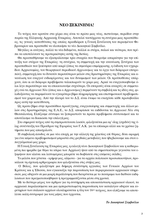### **NEO EEKINHMA!**

Tο τεύχος που κρατάτε στα χέρια σας είναι το πρώτο μιας νέας, πιστεύουμε, περιόδου στην πορεία της Ελληνικής Αρχειακής Εταιρείας. Αποτελεί ταυτόχρονα τη συνέχεια μιας προσπάθειας, τις γενικές κατευθύνσεις της οποίας προσδιόρισε η Γενική Συνέλευση του περασμένου Φεβρουαρίου και προσπαθεί να υλοποιήσει το νέο Διοικητικό Συμβούλιο.

Mεγάλες οι ανάγκες, πολλά τα νέα δεδομένα, πολλοί οι στόχοι, παλιοί και νεότεροι, που πρέπει να αποτελέσουν τις προτεραιότητες αυτής της διετίας.

Θα προσπαθήσουμε να εξασφαλίσουμε τρία στοιχεία που θεωρούμε απαραίτητα για την επίτευξη των στόχων της Εταιρείας: τη συνέχεια, τη συμμετοχή και την ανανέωση. Συνέχεια των προσπαθειών που ξεκίνησαν από καιρό (όπως τα σεμινάρια επιμόρφωσης, η έκδοση του εγχειριδίου Αρχειονομίας, του θεωρητικού περιοδικού *Αρχειονόμος* και το έργο των διάφορων επιτροπών), συμμετοχή όσο το δυνατόν περισσότερων μελών στις δραστηριότητες της Εταιρείας και αvανέωση του ενεργού ενδιαφέροντος και του δυναμισμού των μελών. Οι προϋποθέσεις υπάργουν, όσο κι αν διάφορα προβλήματα ταλαιπωρούν το γώρο μας. Αρκεί να ενεργοποιηθούμε όλοι λίγο περισσότερο και να επικοινωνούμε συχνότερα. Οι επιτροπές είναι ανοιχτές σε συμμετο- $\gamma$ ές ενώ τα *Αργειακά Νέα* (όπως και ο *Αργειονόμος*) περιμένουν τη συμβολή και τις ιδέες σας, φιλοδοξώντας να παραμείνουν το εγκυρότερο βήμα πληροφόρησης και επιστημονικού προβληματισμού του χώρου μας. Από την πλευρά του το Δ.Σ. είναι έτοιμο να ενισχύσει κάθε πρωτοβουλία προς αυτή την κατεύθυνση.

Ως πρώτο βήμα στην προσπάθεια προσέγγισης, ενεργοποίησης και συμμετοχής και άλλων μελών στις δραστηριότητες της Ε.Α.Ε., το Δ.Σ. αποφάσισε να εκδίδονται τα *Αρχειακά Νέα* στη Θεσσαλονίκη. Ελπίζουμε σύντομα να ξεπεραστούν τα πρώτα προβλήματα συντονισμού και το αποτέλεσμα να δικαιώσει την επιλογή μας.

Στο σημερινό τεύχος από τη συμπρωτεύουσα λοιπόν, φιλοξενείται μια εφ' όλης (σχεδόν) της ύλης συνέντευξη του Προέδρου της Εφορείας των Γ.Α.Κ. για τα επίκαιρα αλλά και τα χρόνια ζητήματα που μας απασχολούν.

H συμβολική είσοδος σε μια νέα εποχή, με την αλλαγή της χιλιετίας επί θύραις, δίνει αφορμή για ένα κείμενο προβληματισμού μπροστά στις ραγδαίες μεταβολές που ήδη βιώνουμε και στον επαγγελματικό μας χώρο.

H Γενική Συνέλευση της Εταιρείας μας, η εκλογή νέου Διοικητικού Συμβουλίου και η καθιερωμένη πια ημερίδα (με θέμα τα κτίρια των Αρχείων) ήταν από τα σημαντικότερα γεγονότα του εξαμήνου που κλείνει και λεπτομέρειες μπορείτε να διαβάσετε στις επόμενες σελίδες.

Tο μελάνι που χύνεται - ερήμην μας, αλίμονο - για τα αρχεία πολιτικών προσωπικοτήτων, προκάλεσε τη σχετική αρθρογραφία που φιλοξενείται στις στήλες μας.

O Βόλος, που φιλοξένησε μια διήμερη συνάντηση εργασίας των Γενικών Αρχείων του Κράτους και η Έδεσσα, που εγκαινιάζει την παρουσίαση των περιφερειακών αρχειακών υπηρεσιών, μας οδηγούν σε μια μικρή περιπλάνηση που διευρύνεται με το πανόραμα των διεθνών εκδηλώσεων που πραγματοποιήθηκαν ή προγραμματίζονται μέσα στη χρονιά.

Mε το δεύτερο μέρος του άρθρου για τη συντήρηση και αποκατάσταση αρχειακού υλικού, τα αρχειακά παραλειπόμενα και μια εμπεριστατωμένη παρουσίαση του καταλόγου οδηγών και ευρετηρίων των ιταλικών αρχείων ολοκληρώνεται η ύλη του 16<sup>ου</sup> τεύχους, που ελπίζουμε να αποτελέσει καλή συντροφιά για τους μήνες που έρχονται.

#### **To Διοικητικό Συμβούλιο**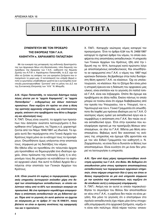# **EIIIKAIPOTHTA**

### ΣΥΝΕΝΤΕΥΞΗ ΜΕ ΤΟΝ ΠΡΟΕΔΡΟ ΤΗΣ ΕΦΟΡΕΙΑΣ ΤΩΝ Γ.Α.Κ. ΚΑΘΗΓΗΤΗ κ. ΧΑΡΑΛΑΜΠΟ ΠΑΠΑΣΤΑΘΗ

Με την ευκαιρία της μεταφοράς της εκδοτικής δραστηριότητας των Αρχειακών Νέων στη Θεσσαλονίκη, τόπο διαμονής του προέδρου της Εφορείας των Γ.Α.Κ., καθηγητή της Νομικής Σχολής του Α.Π.Θ. κ. Χαράλαμπου Παπαστάθη, το Δ.Σ. είχε την ιδέα να ζητήσει τις απόψεις του για ορισμένα ζητήματα που απασχολούν το χώρο μας. Η ανταπόκρισή του υπήρξε θερμή οπότε οι ερωτήσεις υποβλήθηκαν γραπτά και η αυτοσχέδια συνέντευξη μαγνητοφωνήθηκε "ζωντανή" από το μέλος του Δ.Σ. και της Συντακτικής Επιτροπής των "Α.Ν." Ν. Μπαμίδη.

#### Α.Ν.: Κύριε Παπαστάθη, το τελευταίο διάστημα πολύς λόγος γίνεται για τα "αρχεία Καραμανλή", τα "αρχεία Παπανδρέου" - ενδεχομένως και άλλων πολιτικών προσώπων. Ποια νομίζετε ότι πρέπει να είναι η θέση της κρατικής αρχειακής υπηρεσίας, ως εποπτεύοντος φορέα, απέναντι στα προβλήματα που θέτει η διαχείριση και αξιοποίησή τους;

Χ. ΠΑΠ. Όπως είναι γνωστό, τα αρχεία των προσώπων που άσκησαν ανώτατα λειτουργήματα ή διακρίθηκαν στα Γράμματα, τις Τέχνες κ.ά. χαρακτηρίζονται από τον Νόμο 1946/1991 ως ιδιωτικά. Τα αρχεία αυτά δεν περιέρχονται στα Γενικά Αρχεία του Κράτους παρά μόνο αν οι κάτοχοί τους τα προσφέρουν. Οπωσδήποτε όμως υπάγονται στην εποπτεία τους, σύμφωνα με τις διατάξεις του νόμου.

Θα ήθελα εδώ να προσθέσω ότι τελευταία άρχισε μία προσπάθεια να δημιουργηθεί ένα ιδιαίτερο αρχείο, όπου πρόσωπα της πολιτικής ζωής ή οι κληρονόμοι τους θα μπορούν να καταθέτουν το σχετικό αρχειακό υλικό. Και αυτό το Ειδικό Αρχείο θα υπάγεται στην εποπτεία των Γενικών Αρχείων του Κράτους.

Α.Ν.: Είναι γνωστό ότι κυρίως οι περιφερειακές αρχειακές υπηρεσίες λειτουργούν ανέκαθεν χάρη στο θεσμό των αποσπασμένων εκπαιδευτικών, οι οποίοι καλύπτουν πάνω από το 65% των συνολικών αναγκών σε προσωπικό. Με ένα πρόσφατο νομοθέτημα απαγορεύθηκε η απόσπαση εκπαιδευτικών σε μη διδακτικό έργο. Πέρα από το γεγονός ότι αυτό φαίνεται να έρχεται σε σύγκρουση με το άρθρο 31 του Ν.1946/91, ποιες βλέπετε να είναι οι άμεσες συνέπειες της εφαρμογής του και τι προτείνετε;

Χ. ΠΑΠ.: Καταρχήν νεώτερος νόμος καταργεί τον προηγούμενο. Έτσι το άρθρο 6, §4 του Ν. 2469/1997 καταργεί το σχετικό άρθρο του νόμου, το οποίο αναφέρεται στις αποσπάσεις εκπαιδευτικών. Η υπηρεσία των Γενικών Αρχείων του Κράτους, ήδη από την ίδρυσή της το 1914, λειτουργεί κατά πρώτιστο λόγο με αποσπασμένους εκπαιδευτικούς. Και οπωσδήποτε αν εφαρμοστεί στα Γ.Α.Κ. ο νόμος του 1997 περί κρατικών δαπανών, θα βρεθούμε στην πολύ δυσάρεστη θέση αρκετά Γ.Α.Κ. να κλείσουν. Όχι να υπολειτουργούν, να κλείσουν. Και το ζήτημα δεν είναι μόνο η ιστορική έρευνα και η διάσωση του αρχειακού μας υλικού, είναι επιπλέον και το γεγονός ότι πολλά τοπικά Γ.Α.Κ. είναι και ληξιαρχεία. Οπότε θα έχουμε και προβλήματα σε άλλα πεδία. Εκείνο πάντως το οποίο μπορώ να τονίσω είναι ότι είχαμε διαβεβαιώσεις από την ηγεσία του Υπουργείου, τον κ. Υπουργό, τον κ. Υφυπουργό και τον κ. Γενικό Γραμματέα ότι οπωσδήποτε θα ληφθεί μια πρόνοια ιδιαίτερη για τα Γ.Α.Κ. Ο νεώτερος νόμος ομιλεί για εκπαιδευτικό έργο και αναμφιβόλως η απόσπαση στα Γ.Α.Κ. δεν παύει να είναι εκπαιδευτικό έργο. Έτσι στην εγκύκλιο που κυκλοφόρησε σχετικά με την προκήρυξη θέσεων αποσπασμένων, σε όλα τα Γ.Α.Κ. δίδεται μια θέση αποσπασμένου. Βεβαίως αυτό δεν ικανοποιεί τις ανάγκες της υπηρεσίας και έχουμε ήδη φροντίσει και με τον νέο Ειδικό Γραμματέα τον καθηγητή κ. Ν. Ζαχαρόπουλο, να είναι δύο ει δυνατόν οι θέσεις των αποσπασμένων. Είναι ευνόητο ότι με έναν δεν μπορεί να λειτουργήσει η υπηρεσία.

Α.Ν.: Πριν από λίγες μέρες πραγματοποιήθηκε συνάντηση ερνασίας των Γ.Α.Κ. στο Βόλο. Με δεδομένο ότι απευθυνόταν μόνο στους πρόσφατα αποσπασμένους εκπαιδευτικούς των περιφερειακών αρχειακών υπηρεσιών, όπου σήμερα υπηρετούν δύο ή τρεις και όπου οι θέσεις περιορίζονται σε μία ανά υπηρεσία σύμφωνα με την εγκύκλιο περί αποσπάσεων, πώς νομίζετε ότι θα αποδώσει αυτή η εισαγωγική επιμόρφωση;

Χ. ΠΑΠ.: Ακόμη και αν αυτοί οι οποίοι παρακολούθησαν το σεμινάριο του Βόλου δεν αποσπασθούν εκ νέου στα Γ.Α.Κ., η ωφέλεια δεν παύει να είναι μεγάλη. Και μόνο το γεγονός ότι ο επιστρέφων στο σχολείο εκπαιδευτικός έχει πάρει μίαν έστω στοιχειώδη επιμόρφωση στα αρχειακά ζητήματα, νομίζω ότι είναι κάτι πολύτιμο. Αλλά πέραν τούτου -επανα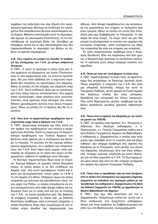λαμβάνω την απάντηση που σας έδωσα στο προηγούμενο ερώτημα- θέλουμε να ελπίζουμε ότι τουλάχιστον δύο εκπαιδευτικοί θα είναι απεσπασμένοι κατά Αρχείο. Μάλιστα σκεπτόμεθα αυτό το σεμινάριο, εάν έχουμε τις οικονομικές δυνατότητες, να το επαναλάβουμε σε ευρύτερη βάση τον Οκτώβριο με Νοέμβριο, οπότε και οι νέοι αποσπασμένοι που δεν παρηκολούθησαν το σεμινάριο του Βόλου να λάβουν τη σχετική επιμόρφωση.

#### Α.Ν.: Πως νομίζετε ότι μπορεί να επιλυθεί το πρόβλημα της στελέχωσης των Γ.Α.Κ. με μόνιμο ανθρώπινο δυναμικό;

Χ. ΠΑΠ.: Σ' αυτό το ερώτημα η λύσις είναι μία: όταν αρχίσουν να εξέρχονται του Ιονίου Πανεπιστημίου οι νέοι αρχειονόμοι μας, να γίνονται προσλήψεις. Θα μου πείτε βεβαίως ότι η ισχύουσα νομοθεσία δεν επιτρέπει τις προσλήψεις στο Δημόσιο. Θέλω να ελπίζω ότι θα υπάρξει μια εξαίρεση υπέρ των Γ.Α.Κ., διότι οτιδήποτε άλλο και να καταστραφεί είναι τέλος πάντων αντικαταστατό. Στα αρχεία πάσα καταστροφή, πάσα απώλεια είναι αναντικατάστατη, είναι οριστική, είναι οδυνηρή. Και οπωσδήποτε χρειαζόμαστε αυτούς τους νέους πτυχιούχους. Θέλω να ελπίζω ότι το Κράτος δεν θα το αμελήσει.

#### Α.Ν.: Ποια ήταν τα σημαντικότερα προβλήματα που αντιμετώπισε μέχρι τώρα η Εφορεία των Γ.Α.Κ.;

Χ. ΠΑΠ.: Διερωτώμαι καταρχήν όχι ποια, αλλά για τον αριθμό των προβλημάτων των οποίων η ιεράρχηση είναι δύσκολη. Κατά τη γνώμη μου τα σημαντικότερα προβλήματα των Γενικών Αρχείων του Κράτους είναι αφενός μεν η στελέχωσις και δεύτερο το κτιριακό. Το γεγονός ότι δεν έχουμε ειδικευμένους αρχειονόμους, ότι ο αριθμός των υπηρετούντων στα Γ.Α.Κ. είναι πάρα πολύ μικρός, είναι ανεπαρκής σε σύγκριση με το υλικό που έχουν να διαχειριστούν, καθιστά το πρόβλημα αυτό οδυνηρό.

Το δεύτερο σημαντικότερο θέμα είναι το κτιριακό. Έχουμε βεβαίως σε μερικές πόλεις θαυμάσια κτίρια, τα οποία ακόμη κι αν δεν κτίσθηκαν για Αρχεία, παρ' όλα αυτά προσφέρουν πολλά και έχουν μια λειτουργικότητα, λόγου χάρη το Ι.Α.Μ ή το νέο Αρχείο στο Βόλο. Υπάρχουν όμως και άλλες υπηρεσίες με πολύτιμο και ογκωδέστατο υλικό, λόγου χάρη της Ρόδου, οι οποίες στεγάζονται σε κτίρια ανεπαρκέστατα από κάθε άποψη καθώς και ανθυνιεινά τόσο νια το υλικό όσο και νια τα στελέχη των Γ.Α.Κ., τα οποία εργάζονται εκεί. Και βεβαίως εξ επόψεως κτιριακής το πλέον οξύ, με διεθνείς διαστάσεις πρόβλημα, είναι η κεντρική υπηρεσία, η οποία στεγάζεται όπως όλοι γνωρίζουμε σε ένα απαίσιο κτίριο όπισθεν της λαχαναγοράς των

Αθηνών. Από άποψη περιβάλλοντος και κατασκευής και εμφανίσεως του κτηρίου τα πράγματα εκεί είναι τραγικά. Θέλω να ελπίζω ότι εντός δύο ετών, όπως μας έχει διαβεβαιώσει το Υπουργείο, το νέο κτίριο θα είναι έτοιμο. Το κτίριο αυτό ναι μεν δεν μπορεί να εξυπηρετήσει το σύνολο των αρχείων της κεντρικής υπηρεσίας, αλλά τουλάχιστον ως έδρα της υπηρεσίας θα είναι και επαρκές και ευπρεπές.

Το τρίτο σημαντικότερο πρόβλημα είναι ο διορισμός διευθυντή. Εδώ και παραπάνω από δύο χρόνια, η Εφορεία έχει προτείνει το κατάλληλο πρόσωπο. Η πρόταση αυτή ακόμη εκκρεμεί ενώπιον των αρμοδίων.

#### Α.Ν.: Πόσα και ποια απ' αυτά βρήκαν τη λύση τους;

Χ. ΠΑΠ.: Αρκετά βρήκαν τη λύση τους, σε αρκετά ακόμα δεν μπορέσαμε να δώσουμε οριστική λύση. Όπως γνωρίζετε, η υπηρεσία των Γ.Α.Κ. δεν είναι μια υπηρεσία αυτοτελής. Ακόμη και αυτό το Υπουργείο Παιδείας, σε ότι αφορά τα Γενικά Αρχεία του Κράτους, επίσης δεν είναι αύταρκες. Χρειάζεται την υπογραφή και άλλων υπουργών. Όλα αυτά δημιουργούν μεγάλο πρόβλημα και βεβαίως προκαλούν μεγάλες χρονικές καθυστερήσεις.

#### Α.Ν.: Ποιες είναι οι σχέσεις της Εφορείας με την πολιτική ηγεσία του ΥΠΕΠΘ;

Χ. ΠΑΠ.: Οι σχέσεις είναι άριστες. Ο κ. Υπουργός επιδεικνύει ένα ιδιαίτερο ενδιαφέρον, ο κ. Υφυπουργός, ο κ. Γενικός Γραμματέας καθώς και ο νέος Ειδικός Γραμματεύς Αρχείων και Βιβλιοθηκών, ο καθηγητής κ. Ζαχαρόπουλος ο οποίος προ ενός μηνός έχει αναλάβει αυτό το ευγενές όσο και βαρύ καθήκον. Δεν υπάρχει πρόβλημα στις σχέσεις της Εφορείας με το Υπουργείο, ούτε μεταξύ των μελών της Εφορείας. Δουλεύουμε όλοι σαν ένας άνθρωπος. Υπάρχει ομόνοια, σύμπνοια και κοινή ιδεολογία για να πάνε μπροστά τα Γ.Α.Κ. Το δυστύχημα είναι μόνο όπως σας είπα ότι δεν υπάρχει αυτάρκεια στο φορέα που λέγεται Υπουργείο Παιδείας.

#### Α.Ν.: Ποιες είναι οι προσδοκίες σας και ποια ζητήματα, από τα πολλά που απασχολούν την αρχειακή υπηρεσία, περιμένετε να επιλυθούν στο προσεχές μέλλον με την τοποθέτηση του καθηγητού κ. Ζαχαρόπουλου στη θέση του Ειδικού Γραμματέα του ΥΠΕΠΘ, με αρμοδιότητα τα θέματα Βιβλιοθηκών και Αρχείων;

Χ. ΠΑΠ.: Σας έχω ήδη απαντήσει για τον κ. Ζαχαρόπουλο. Αναμένουμε πολλά απ' αυτόν και ο ίδιος επιδεικνύει ένα ζωηρότατο ενδιαφέρον. Ακόμη και όταν ανεβαίνει τα Σαββατοκύριακα στο σπίτι του στη Θεσσαλονίκη, συνεργαζόμαστε.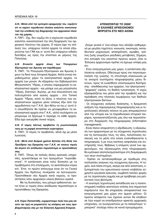#### *A.N.: Μέσα από την εμπειρία εφαρμογής του, νομίζετε* ότι το ισχύον νομοθετικό πλαίσιο καλύπτει ικανοποιητικά την υπόθεση της διαχείρισης του αρχειακού πλού*του της χώρας;*

X. ΠΑΠ.: Όχι, δεν νομίζω ότι η ισχύουσα νομοθεσία καλύπτει ικανοποιητικά την όλη διαχείριση του αρχειακού πλούτου της χώρας. Ο νόμος έχει τις ατέλειές του, υπάρχουν πολλά αρχεία τα οποία εξαιρούνται των ΓΑΚ και γι' αυτά δεν υπάρχουν ειδικές διατάξεις ως προς την εποπτεία εκ μέρους της Πολιτείας.

#### *A.N. Evvoείτε αρχεία όπως των Υπουργείων Eξωτερικών και Άμυνας για παράδειγμα;*

X. ΠΑΠ.: Τα Υπουργεία Εξωτερικών και Άμυνας έχουν τα δικά τους Ιστορικά Αρχεία. Αλλά εννοώ παραδείγματος χάριν τα εκκλησιαστικά αρχεία, τα αρχεία των μονών. Αν εξαιρέσω τον Σεβασμιώτατο Mητροπολίτη *'*Υδρας, ο οποίος παρεχώρησε το εκκλησιαστικό αρχείο - και μιλάμε για μια μητρόπολη <sup>γ</sup>δρας, Σπετσών, Αιγίνης, με ένα πλουσιότατο και πολυτιμότατο από αιώνες αρχείο - στο Τοπικό Αρχείο Ύδρας, κατά τα άλλα, ο πλούτος των εκκλησιαστικών αρχείων μένει τελείως έξω από την αρμοδιότητα των Γ.Α.Κ. Δεν θέλω να πω μ' αυτό ότι οπωσδήποτε θα πρέπει να μεταφερθούν τα εκκλησιαστικά αρχεία στα Γ.Α.Κ., αλλά τουλάχιστο να μπορούμε να ξέρουμε τι περιέχει το κάθε αρχείο. Eδώ έχει ανεγερθεί σινικό τείχος.

#### *A.N. Ο νόμος πάντως προβλέπει τη γνωστοποίησή τους με τη μορφή συνοπτικών ευρετηρίων.*

X. ΠΑΠ.: Ο νόμος το προβλέπει, αλλά όχι με μέσα λυσιτελή.

#### *A.N.: Μετά από δυόμισι χρόνια θητείας στη θέση του* Προέδρου της Εφορείας των Γ.Α.Κ. σε ποιους τομείς θα λέγατε ότι απέδωσαν περισσότερο οι προσπάθειές σας;

X. ΠΑΠ.: Όπως σε πολλές άλλες κρατικές υπηρεσίες, εργαστήκαμε εκ των πραγμάτων "πυροσβεστικά". Η κατάσταση είναι πολύ δύσκολη με τα προβλήματα στη στελέχωση, τα ακατάλληλα κτίρια κτλ. Έτσι, το πρώτο επίτευγμα είναι ότι τα Γενικά Aρχεία του Κράτους συνέχισαν να λειτουργούν. Προστέθηκαν νέα Αρχεία κατά νομούς, οι προσκτήσεις νέου αρχειακού υλικού βαίνουν ομαλά.

Mε τις δυσκολίες, που μόνιμα ορθώνονταν, αυτοί ήταν οι τομείς όπου απέδωσαν περισσότερο οι προσπάθειες της Εφορείας.

A.N. Κύριε Παπαστάθη, ευχαριστούμε πολύ που μας κά-*VATE Tην τιμή να μοιραστείτε τις απόψεις και τους προ*βληματισμούς σας με την Ελληνική Αρχειακή Εταιρεία.

#### **ATENIZONTA™ TO 2000! ΟΙ ΕΛΛΗΝΕΣ ΑΡΧΕΙΟΝΟΜΟΙ ΜΠΡΟΣΤΑ ΣΤΟ ΝΕΟ ΑΙΩΝΑ**

Zούμε γενικά σ' ένα κόσμο που αλλάζει καθημερινά με μενάλη ταχύτητα: κοινωνία, οικονομία, εκπαιδευτικοί μηχανισμοί, απασχόληση, αμοιβές, τρόπος ζωής γνωρίζουν ραγδαίες μεταβολές. Σήμερα, στο κατώφλι του εικοστού πρώτου αιώνα, όλοι οι Έλληνες αρχειονόμοι πρέπει να έχουμε υπόψη μας óτι:

- Στον επαγγελματικό μας χώρο, η κατάσταση εξελίσσεται ανάλογα. Οδεύουμε προς την παγκοσμιοποίηση της γνώσης, τη στενότερη επικοινωνία με τα ανοιχτά συστήματα πληροφόρησης μέσω δικτύων, προς τα ευαίσθητα υποστρώματα διατήρησης - αποθήκευσης των αρχείων, την ηλεκτρονική -"ψηφιακή" εικόνα, τη διεθνή τυποποίηση. Η ισχύς εξασφαλίζεται πια μέσα από την προβολή και την πρόσβαση στις πλατειές λεωφόρους των διεθνών ηλεκτρονικών δικτύων.

- Οι σύγχρονες ανάγκες διοίκησης, η δραματική αύξηση της παραγόμενης πληροφόρησης και οι τεχνολογικές αλλαγές τείνουν να μας απομακρύνουν από την ιστορία και τα παραδοσιακά ιστορικά τεκμήρια, προσανατολίζοντάς μας όλο και περισσότερο στη διαχείριση της πληροφορίας (information management).

- Είναι πλέον απαραίτητη η εξειδίκευση, η εξοικείωση των αρχειονόμων με τις σύγχρονες τεχνολογίες και τις λειτουργίες τους, τις νέες, πολύπλοκες συσκευές και τα μέσα στα οποία εναποθηκεύεται η πληροφορία, ή με τους κανόνες ασφαλείας και συντήρησής τους. Βεβαίως η επόμενη γενιά των αρχειονόμων, πιο εξοικειωμένη στην πληροφορική, θα εμπλακεί αποτελεσματικότερα στη διαμόρφωση των νέων συστημάτων.

- Πρέπει να ανταποκριθούμε με προθυμία στις πολλαπλές ανάγκες της σύγχρονης έρευνας. Η ταχεία, ανά πάσα στιγμή, ακόμη και από απόσταση, εξυπηρέτηση του ερευνητικού κοινού επιβάλλει εύχρηστα εργαλεία έρευνας, συμβατά πολλές φορές με τις τεχνολογίες αιχμής και με πρόβλεψη για μελλοντική τους βελτίωση.

- Η ανώτερη τεχνολογική εκπαίδευση και η πανεπιστημιακή παιδεία αποτελούν επίσης ένα σημαντικό παράγοντα που θα επηρεάσει αποφασιστικά τον επαγγελματικό μας χώρο στο άμεσο μέλλον. Οι πρώτοι απόφοιτοι των σχολών αυτών θα κληθούν σε λίγο καιρό να επανδρώσουν αρκετές αρχειακές υπηρεσίες, να συνεργαστούν με τα παλαιότερα "εμπειρικά" στελέχη πάνω σε κοινά προγράμματα.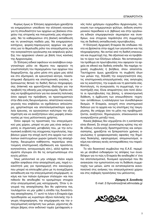Kυρίως όμως οι Έλληνες αρχειονόμοι χρειάζεται να ενημερώσουν υπεύθυνα την ελληνική κοινωνία για τη σπουδαιότητα των αρχείων ως βασικού στοιχείου της ιστορικής και πνευματικής μας κληρονομιάς. Να τα καθιερώσουν στη βασική εκπαίδευση και τη γενικότερη παιδεία μας. Να ενημερώσουν κατόχους, φορείς-παραγωγούς αρχείων και χρήστες για το θεμελιώδη ρόλο του επαννέλματος και την αναγκαιότητα οργάνωσης και ασφαλούς φύλαξης του αρχειακού υλικού με βάση τους κανόνες της Αρχειονομίας.

Οι Έλληνες ειδικοί οφείλουν να αναλάβουν ενεργητικότερο ρόλο σε θέματα που αφορούν τη γνωστοποίηση του περιεχομένου των αρχείων που διαχειρίζονται, όχι μόνο μέσα στη χώρα μας αλλά και στο εξωτερικό, σε ερευνητικά κέντρα, πανεπιστημιακά ιδρύματα και επιστημονικές ενώσεις, α*ξιοποιώντας θετικά τα διεθνή δίκτυα πληροφόρη*σης (Internet) και φροντίζοντας ιδιαίτερα για την προβολή της εθνικής μας κληρονομιάς. Πρέπει επίσης να προβληματιστούν για πιο ανοικτές πολιτικές όσον αφορά την πρόσβαση, να προετοιμαστούν στην ιδέα ενός διευρυνόμενου, απαιτητικού κοινού, γεγονός που επιβάλλει να σχεδιάσουν απλούστερα, χρηστικότερα και αποτελεσματικότερα εργαλεία έρευνας, να οργανώσουν καλύτερα την εξυπηρέτηση και να αναζητήσουν νέες μορφές επικοινωνίας με τους μελλοντικούς χρήστες.

Όσον αφορά τις προοπτικές του επαγγελματι-<u>κού μας χώρου, μπορεί να μην μας είναι ακόμη ο-</u> ρατές οι σημαντικές μεταβολές που, με την εντυπωσιακή εισβολή της σύγχρονης τεχνολογίας, λαμβάνουν χώρα την εποχή αυτή στα αρχεία των υπόλοιπων ανεπτυγμένων χωρών (μείωση της απασχόλησης, διευρυμένα καθήκοντα, περαιτέρω απαιτούμενη επιστημονική εξειδίκευση και προσόντα, κινητικότητα, ανταγωνισμός κλπ.), αλλά πρέπει να είμαστε σίγουροι ότι θα τις αντιμετωπίσουμε στο εγγύς μέλλον.

Ίσως μελλοντικά να μην υπάρχει πλέον καμία σχεδόν ασφάλεια στην απασχόλησή μας, παρά η ικανότητά μας για προσαρμογή στο καινούργιο, που μπορεί να επιτευχθεί μόνο με τη συνεχιζόμενη εκπαίδευση και την επαγγελματική επιμόρφωση - ακόμη και των παλιών έμπειρων στελεχών- και που πιθανόν θα αποδειχθεί το κρισιμότερο στοιχείο στην επαγγελματική μας κατοχύρωση. Όταν η σιγουριά της απασχόλησης δεν θα υφίσταται πια, τουλάχιστον να μην χαθεί η ελπίδα της δυνατότητας απασχόλησης. Γι' αυτό το λόγο η Εταιρεία έχει προσδιορίσει ως κυριότερο άξονα πολιτικής την έγκυρη πληροφόρηση, την επιμόρφωση και την επαγγελματική κατάρτιση των μελών, ρίχνοντας ιδιαίτερο βάρος στον εκδοτικό τομέα (μετάφραση ενός πολύ χρήσιμου εγχειριδίου Αρχειονομίας, πύ-Κνωση των ενημερωτικών φύλλων, έκδοση επιστημονικού περιοδικού κ.ά. βιβλίων) και στην οργάνωση ειδικών επιμορφωτικών σεμιναρίων και συνεδρίων, ενώ στοχεύει παράλληλα στη συμμετοχή της σε διεθνείς εκπαιδευτικές πρωτοβουλίες.

H Ελληνική Αρχειακή Εταιρεία θα επιδιώκει πάντα να βρίσκεται στην αιχμή των νενονότων και της πληροφόρησης. Να αντλεί από τη διεθνή επικοινωνία και συμμετοχή της. Να αξιοποιεί και να προβάλλει το έργο των Ελλήνων ειδικών. Να ανταποκρίνεται πρόθυμα σε πρωτοβουλίες που αφορούν τα αρχεία σε εθνικό και διεθνές επίπεδο. Να παρέχει τεχνικές συμβουλές ή βοήθεια, όπου απαιτείται. Tαυτόχρονα όμως χρειάζεται τη συμβολή όλων των μελών της, δηλαδή την ενεργητικότητά σας, τις επιστημονικές-επαγγελματικές σας ανησυχίες και τις ικανότητες, την ευφυΐα και τη φαντασία σας. Kοντολογίς, τη συνεργασία, τη συμμετοχή, την υποστήριξή σας. Είναι απαραίτητες όσο ποτέ άλλοτε οι πρωτοβουλίες της βάσης, η αποκεντρωτική διάθεση, η άμβλυνση των οποιωνδήποτε -τεχνητών- αντιθέσεων, η καλλιέργεια των συναδελφικών δεσμών. Η Εταιρεία, ανοιχτή στον επιστημονικό διάλογο για τα αρχεία και τις επιστήμες της τεκμηρίωσης, θα υπάρχει όσο τα μέλη της προβληματίζονται, αναζητούν, δημιουργούν, επικοινωνούν και συνεργάζονται μεταξύ τους.

Kανείς βεβαίως δεν ισχυρίζεται ότι η κατάσταση είναι ιδανική. Σε εποχή γενικότερης κρίσης της κάθε είδους συλλογικής δραστηριότητας και εκπροσώπησης, χρειάζεται να ξεπεραστούν χρόνιες αγκυλώσεις ή γραφειοκρατικές αφασίες της δημόσιας διοίκησης, εφησυχασμοί, απομονωτισμοί, ακόμη και κάποιες κενές αντιπαραθέσεις του παρελθόντος.

To νέο διοικητικό συμβούλιο της Ε.Α.Ε. περιμένει με αληθινό ενδιαφέρον τις απόψεις των συναδέλφων για το πώς η Εταιρεία θα αναδειχθεί σ' ένα πιο αποτελεσματικό, δυναμικό οργανισμό που θα ανανεώσει την εμπιστοσύνη και τη διάθεση συμμετοχής των μελών, ώστε να ανταποκρίνεται ικανοποιητικά στις ανάγκες του επαγγελματικού χώρου και στις σοβαρές προκλήσεις του μέλλοντος.

> *Zήσιμος X. Συνοδινός* E-mail: Z-Synodinos@net.ethnodata.gr

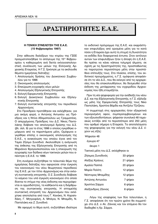# **¢PA™THPIOTHTE™ E.A.E. ¢PA™THPIOTHTE™ E.A.E.**

#### **Η ΓΕΝΙΚΗ ΣΥΝΕΛΕΥΣΗ ΤΗΣ Ε.Α.Ε. (15 ºÂ'ÚÔ˘·Ú›Ô˘ 1997)**

Στην αίθουσα διαλέξεων του κτιρίου της ΓΣΕΕ πραγματοποιήθηκε το απόγευμα της 15<sup>ης</sup> Φεβρουαρίου η καθιερωμένη ανά διετία εκλογοαπολογιστική συνέλευση των μελών της Ελληνικής Αρχειακής Εταιρείας. Η Γ.Σ. ξεκίνησε με τα ακόλουθα θέματα ημερήσιας διάταξης:

- 1. Απολογισμός δράσης του Διοικητικού Συμβουλίου για το 1996
- 2. Οικονομικός απολογισμός
- 3. Επικύρωση εγγραφής νέων μελών
- 4. Απολογισμός Εξελεγκτικής Επιτροπής
- 5. Εκλογή Εφορευτικής Επιτροπής
- 6. Εκλογή Διοικητικού Συμβουλίου και Εξελεγκτικής Επιτροπής
- 7. Εκλογή συντακτικής επιτροπής του περιοδικού *Aρχειονόμος.*

Στο Προεδρείο προτάθηκαν και εκλέχθηκαν, για μια ακόμη φορά, ο Αντώνης Αντωνίου ως Πρόεδρος και η Ντίνα Αδαμοπούλου ως Γραμματέας. Ο απερχόμενος Πρόεδρος του Δ.Σ. Νίκος Παντελάκης διάβασε τον απολογισμό δράσης του Δ.Σ. (βλ. σελ. 9) για το έτος 1996 ο οποίος εγκρίθηκε ομόφωνα από τα παριστάμενα μέλη. Ομόφωνα εγκρίθηκε επίσης ο οικονομικός απολογισμός της E.A.E., η ανακοίνωση του οποίου έγινε από τον Ταμία Ζήσιμο Συνοδινό. Ακολούθησε η ανάγνωση της έκθεσης της Εξελεγκτικής Επιτροπής από τη Mαριάννα Φραγκισκοπούλου και η επικύρωση της εγγραφής των δώδεκα νέων τακτικών μελών που απέκτησε η Ε.Α.Ε. το 1996.

Στη συνέχεια συζητήθηκε το τελευταίο θέμα της ημερήσιας διάταξης που αφορούσε στην έγκριση του κανονισμού του νέου θεωρητικού περιοδικού της Ε.Α.Ε. με τον τίτλο *Αρχειονόμος* και στην εκλογή συντακτικής επιτροπής. Ο Ζ. Συνοδινός διάβασε το κείμενο του υπό έγκριση κανονισμού στο οποίο δίνεται το στίγμα της νέας έκδοσης και περιγράφονται οι αρμοδιότητες, τα καθήκοντα και η διάρθρωση της συντακτικής επιτροπής. Η επταμελής συντακτική επιτροπή του Αρχειονόμου που εκλέχτηκε αποτελείται από τους Γ. Κανάκη, Ν. Καραπιδάκη, Γ. Μητροφάνη, Α. Μπάγια, Ν. Μπαμίδη, Ν. Παντελάκη και Ζ. Συνοδινό.

Mε αφορμή το θέμα αυτό, συζητήθηκε ιδιαίτερα

το εκδοτικό πρόγραμμα της Ε.Α.Ε. και εκφράστηκαν επιφυλάξεις από ορισμένα μέλη για το κατά πόσο η Εταιρεία έχει αυτή τη στιγμή τη δυνατότητα να εκδίδει δύο διαφορετικά έντυπα. Στον αντίλογο αυτών των επιφυλάξεων ήταν η άποψη ότι η Ε.Α.Ε. θα πρέπει να κάνει κάποια τολμηρά άλματα, σε σχέση με τις δραστηριότητές της, προσπαθώντας να παροτρύνει περισσότερα μέλη στην προσπάθεια επίτευξής τους. Στα πλαίσια, επίσης, του εκδοτικού προγράμματος, η Γ.Σ. ομόφωνα αποφάσισε ότι το νέο Δ.Σ., που θα εκλεγεί από τις αρχαιρεσίες που θα επακολουθήσουν, θα δεσμευθεί στην έκδοση της μετάφρασης του εγχειριδίου Αρχειονομίας που ήδη ετοιμάζεται.

Πριν τη νέα ψηφοφορία για την ανάδειξη του νέου Δ.Σ. και της Εξελεγκτικής Επιτροπής, η Γ.Σ. εξέλεξε ως μέλη της Εφορευτικής Επιτροπής τους Νίκο Παντελάκη, Χριστίνα Βάρδα και Άντζελα Τζιτζίκου.

H συμμετοχή στις αρχαιρεσίες ήταν εξαιρετικά περιορισμένη αφού, συμπεριλαμβανομένων και των εξουσιοδοτήσεων, ψήφισαν συνολικά 48 ταμειακώς εντάξει από τα περισσότερα από 250 μέλη που αριθμεί σήμερα η Εταιρεία. Τα αποτελέσματα της ψηφοφορίας για την εκλογή του νέου Δ.Σ. έχουν ως εξής:

Ψήφισαν 48

έγκυρα 47

άκυρο 1

Tακτικά μέλη του Δ.Σ. εκλέχθηκαν οι

| Ζήσιμος Συνοδινός | 33 ψήφοι |
|-------------------|----------|
| Αλέξης Κράους     | 21 ψήφοι |
| Αμαλία Παππά      | 20 ψήφοι |
| Μαρία Πολίτη      | 12 ψήφοι |
| Νέστορας Μπαμίδης | 12 ψήφοι |
| Αντώνης Αντωνίου  | 7 ψήφοι  |
| Χριστίνα Σάρρα    | 6 ψήφοι  |
| Αλέξανδρος Ζάννας | 6 ψήφοι  |

Λόγω της ισοψηφίας των δύο τελευταίων, η Γ.Σ. αποφάσισε ότι τον πρώτο χρόνο θα συμμετέχει στο Δ.Σ. ο Αλ. Ζάννας και τον επόμενο θα τον διαδεχθεί η Χρ. Σάρρα.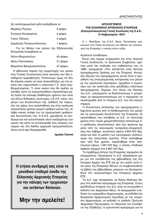Ως αναπληρωματικά μέλη εκλέχθηκαν οι:

| Μιχάλης Ρηγίνος                                                       | 5 ψήφοι  |
|-----------------------------------------------------------------------|----------|
| Σταύρος Κουρεμένος                                                    | 4 ψήφοι  |
| Γιώτα Τζέλαλη                                                         | 2 ψήφοι  |
| Δημήτρης Παναγιωτόπουλος                                              | 1 ψήφος. |
| Για τις θέσεις των μελών της Εξελεγκτικής<br>Επιτροπής εκλέχθηκαν οι: |          |

| Ντίνα Αδαμοπούλου        | 40 ψήφοι  |
|--------------------------|-----------|
| Νίκος Παντελάκης         | 31 ψήφοι  |
| Μαριάννα Φραγκισκοπούλου | 27 ψήφοι. |

Η φθίνουσα πορεία της συμμετοχής των μελών στις Γενικές Συνελεύσεις είναι γεγονός που δεν επιδέχεται αμφισβήτηση. Πιστεύουμε όμως ότι δεν θα έπρεπε κανείς να είναι απαισιόδοξος για την εικόνα που παρουσίασε η τελευταία Γ.Σ. αλλά προβληματισμένος. Τι είναι εκείνο που θα πρέπει να αλλάξει ώστε να ενεργοποιηθούν περισσότερα μέλη παρά την έλλειψη διαθέσιμου χρόνου που είναι για όλους δεδομένη; Δυστυχώς, η Ε.Α.Ε. κάνει, στο μέτρο των δυνατοτήτων της, αισθητή την παρουσία της χάρις στις προσπάθειες και στην ανάλωση προσωπικού χρόνου μικρού αριθμού μελών της, αν λάβει κανείς υπόψη του τις πραγματικές αριθμητικές δυνατότητές της. Η Ε.Α.Ε. χρειάζεται τη συνδρομή και την κινητοποίηση όλων ανεξαιρέτως των μελών της ώστε να ανταποκριθεί στις ανάγκες των καιρών και στη διεθνή αρχειακή πραγματικότητα, όπως αυτή έχει διαμορφωθεί.

#### Αμαλία Παππά

Η ετήσια συνδρομή σας είναι το μοναδικό σταθερό έσοδο της Ελληνικής Αρχειακής Εταιρείας για την κάλυψη των τρεχουσών και εκτάκτων δαπανών.

# Μην την αμελείτε!

#### ΑΠΟΛΟΓΙΣΜΟΣ ΤΗΣ ΕΛΛΗΝΙΚΗΣ ΑΡΧΕΙΑΚΗΣ ΕΤΑΙΡΕΙΑΣ (Εκλογοαπολογιστική Γενική Συνέλευση της Ε.Α.Ε., 15 Φεβρουαρίου 1997)

Ο τ. Πρόεδρος της Ε.Α.Ε. Νίκος Παντελάκης ανακοίνωσε στη Γενική Συνέλευση των Μελών τον απολογισμό της Εταιρείας, ο οποίος είναι ο εξής:

#### Αγαπητοί συνάδελφοι,

Όπως σας είχαμε ενημερώσει και στην περσινή Γενική Συνέλευση, το Διοικητικό Συμβούλιο, αμέσως μετά την ανάληψη των καθηκόντων του το 1995, προχώρησε στην κατάρτιση ενός διετούς προγράμματος δράσης για την Εταιρεία. Κεντρικός άξονας του προγράμματος αυτού ήταν η προώθηση της επαγγελματικής κατάρτισης των μελών με την οργάνωση σεμιναρίων, ημερίδων ή συμποσίων και την ανάπτυξη ενός φιλόδοξου εκδοτικού προγράμματος. Σήμερα, στο τέλος της θητείας του Δ.Σ., καλούμαστε να διαπιστώσουμε τι μπορέσαμε να πραγματοποιήσουμε και τι παραμένει να ολοκληρωθεί από το επόμενο Δ.Σ. που θα εκλεγεί σήμερα.

Η δυνατότητα εκτέλεσης του προγράμματος εξαρτάται φυσικά από τη διαθεσιμότητα των μελών και τις οικονομικές δυνατότητες της Εταιρείας. Οι προσπάθειες που κατέβαλε το Δ.Σ. τα τελευταία χρόνια στον τομέα χρηματοδότησης πιστεύουμε ότι απέδωσαν ικανοποιητικά, κάτι που φαίνεται όχι μόνο από τις οικονομικές ενισχύσεις-επιχορηγήσεις που λάβαμε, συνολικού ύψους 3.600.000 δρχ. αλλά και από τη μελέτη των οικονομικών απολογισμών της τελευταίας τριετίας. Όταν αναλάβαμε πριν από δύο χρόνια, παραλάβαμε έναν απολογισμό ύψους 1.391.000 δρχ. ο οποίος σταδιακά έφθασε σήμερα στα 4.867.000 δρχ.

Το πρόβλημα στέγης της Εταιρείας παραμένει σε εκκρεμότητα. Προσωρινά το Δ.Σ. εξασφάλισε χώρο για την τοποθέτηση της βιβλιοθήκης της στο Ιστορικό Αρχείο της ΕΤΕ και με τον τρόπο αυτό όσα μέλη της Εταιρείας θέλουν να συμβουλευθούν τα βιβλία της βιβλιοθήκης μπορούν να εξυπηρετηθούν στο αναγνωστήριο του Ιστορικού Αρχείου ETE.

Το Δ.Σ. είχε αποφασίσει να δώσει ιδιαίτερο βάρος στο εκδοτικό πρόγραμμα της Εταιρείας. Στους φιλόδοξους στόχους του Δ.Σ. ήταν να συνεχισθεί η έκδοση των Αρχειακών Νέων, να προχωρήσει η έκδοση του εγχειριδίου Αρχειονομίας, να εκδοθεί ένα θεωρητικό αρχειονομικό περιοδικό με την ονομασία Αρχειονόμος, να εκδοθεί το Διεθνές Πρότυπο Αρχειακής Περιγραφής, τα Πρακτικά του Συνεδρίου της Πρέβεζας, το ερευνητικό πρόγραμμα για τα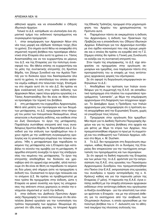αθλητικά αρχεία, και να επανεκδοθεί ο Οδηγός Ιδιωτικών Αρχείων.

Τελικά το Δ.Σ. κατόρθωσε να υλοποιήσει ένα σημαντικό τμήμα του εκδοτικού προγράμματος και συγκεκριμένα προχώρησε:

 $1.$ στην αναμόρφωση των Αρχειακών Νέων στη νέα τους μορφή και εξέδωσε τέσσερα τεύχη (δύο το χρόνο). Στο σημείο αυτό θέλω να αναφερθώ στη σημαντική τεχνική βοήθεια που προσέφερε εθελοντικά στην Εταιρεία όλα αυτά τα χρόνια ο κ. Τάσος Αναστασιάδης και να τον ευχαριστήσω εκ μέρους του Δ.Σ. και της Εταιρείας για την πολύτιμη συνεισφορά του. Θα ήθελα επίσης να ευχαριστήσω και τα μέλη της συντακτικής επιτροπής (τη Χριστίνα Βάρδα, τον Ζήσιμο Συνοδινό και την Αμαλία Παππά) για το δύσκολο έργο που διεκπεραίωσαν όλα αυτά τα χρόνια, το αποτέλεσμα του οποίου φαίνεται νομίζω καθαρά στα τελευταία τεύχη. Επισημαίνω στο σημείο αυτό ότι το νέο Δ.Σ. θα πρέπει να βρει εναλλακτική λύση στον τρόπο έκδοσης των Αρχειακών Νέων, αφού λόγω φόρτου εργασίας ο κ. Τάσος Αναστασιάδης δεν θα είναι σε θέση πλέον να προσφέρει την τεχνική του βοήθεια.

στη μετάφραση του εγχειριδίου Αρχειονομίας.  $2.$ Μετά από μελέτη των προσφορών και των δειγμάτων μετάφρασης, το Δ.Σ. προχώρησε στην πληρωμή του μισού των πνευματικών δικαιωμάτων, όπως απαιτούσε ο Αυστραλός εκδότης, και ανέθεσε στην κα Ζωή Οικονόμου το έργο της μετάφρασης. Παράλληλα συστάθηκε επιτροπή από τους συναδέλφους Χριστίνα Βάρδα, Ν. Καραπιδάκη και Ζ. Συνοδινό για την επίλυση των προβλημάτων που έχουν σχέση με την υιοθέτηση συγκεκριμένης ορολογίας και τη γενικότερη επιμέλεια του τελικού κειμένου. Ήδη η μεταφράστρια έχει παραδώσει το κείμενο της μετάφρασης και η Εταιρεία έχει καταβάλει το σύνολο της αμοιβής για τη μετάφραση. Η αρμόδια επιτροπή συνεχίζει το έργο της επεξεργασίας του κειμένου της μετάφρασης. Το έργο της επιτροπής αποδείχθηκε πιο δύσκολο και χρονοβόρο από ότι αρχικά είχε εκτιμηθεί, αλλά πιστεύουμε ότι θα είναι σε θέση να παραδώσει το κείμενο σε δύο μήνες από σήμερα ώστε να προχωρήσει η έκδοσή του. Ουσιαστικά το έργο έχει τελειώσει και το επόμενο Δ.Σ. θα πρέπει να προβληματιστεί με ποιο τρόπο θα προχωρήσει στην έκδοση, ώστε η Εταιρεία να φανεί συνεπής και προς τις υποχρεώσεις της απέναντι στους χορηγούς οι οποίοι την ενίσχυσαν σημαντικά γι' αυτή την έκδοση.

στην έκδοση του Διεθνούς Προτύπου Αρχει-3. ακής Περιγραφής το οποίο πιστεύουμε ότι θα αποτελέσει βασικό εργαλείο για την τυποποίηση του τρόπου περιγραφής των αρχείων. Θεωρούμε σημαντικό ότι ήδη ένας φορέας, το Ιστορικό Αρχείο της Εθνικής Τράπεζας, προχωρεί στην μηχανογράφηση του Αρχείου του χρησιμοποιώντας το Πρότυπο αυτό.

Παραμένουν πάντα σε εκκρεμότητα η έκδοση  $4.$ του Αρχειονόμου, η έκδοση των Πρακτικών της Πρέβεζας και η επανέκδοση του Οδηγού Ιδιωτικών Αρχείων. Ειδικότερα για τον Αρχειονόμο συντάξαμε ένα σχέδιο κανονισμού που σας έχουμε μοιράσει και ο οποίος θα πρέπει να εγκριθεί από τη Γ.Σ. Σήμερα επίσης θα πρέπει η Γενική μας Συνέλευση να εκλέξει και τη συντακτική επιτροπή του.

Στον τομέα της επιμόρφωσης, το Δ.Σ. είχε αποφασίσει να προχωρήσει στην οργάνωση σεμιναρίων και ημερίδας, ενώ παρέμεναν πάντα στις προτεραιότητές του οι επαφές με τους αντίστοιχους αρχειακούς φορείς του εξωτερικού.

Σε ότι αφορά τη διοργάνωση επιμορφωτικών εκδηλώσεων το Δ.Σ.:

 $\mathbf{1}$ Αποδέχθηκε την πρόταση των Ιταλών συναδέλφων για τη συμμετοχή της Ε.Α.Ε. σε εκπαιδευτικό πρόγραμμα στα πλαίσια του ευρωπαϊκού προγράμματος "Leonardo", με θέμα την επιμόρφωση αρχειονόμων στη διαχείριση των σύγχρονων αρχείων. Το Δεκέμβριο όμως η Πρόεδρος των Ιταλών αρχειονόμων μας πληροφόρησε ότι η πρόταση αυτή απορρίφθηκε από την Ευρωπαϊκή Ένωση, χωρίς να γνωρίζουμε τους λόγους.

Προχώρησε στην οργάνωση δύο ημερίδων:  $2.$ Μία πέρσι για το Διεθνές Πρότυπο Περιγραφής Αρχείων και για τις πρώτες βοήθειες στα αρχεία και μία φέτος με θέμα τα κτίρια των Αρχείων, που πραγματοποιήθηκε σήμερα το πρωί με τη συμμετοχή και του επιθεωρητή των Γαλλικών Αρχείων, ειδικού στο θέμα, κ. Μ. Duchein.

Το Δ.Σ. δεν προχώρησε στη διοργάνωση σεμι-3. ναρίων, καθώς θεώρησε ότι οι δυνάμεις της Εταιρείας δεν επαρκούσαν για την ταυτόχρονη αντιμετώπιση του προγράμματος και των σεμιναρίων.

Σε ότι αφορά τη διεθνή παρουσία της Εταιρείας και των μελών της, το Δ.Σ. φρόντισε για την εκπροσώπηση της Ε.Α.Ε. στις εργασίες του Παγκόσμιου Αρχειονομικού Συνεδρίου που πραγματοποιήθηκε στο Πεκίνο (την Ε.Α.Ε. εκπροσώπησε στις εργασίες του συνεδρίου ο πρώην αντιπρόεδρός της κ. Α. Κράους) καθώς και για την παρουσία μελών της Εταιρείας (7 μέλη). Η παρουσία της Ε.Α.Ε. έγινε επίσης αισθητή με την ύπαρξη ελληνικών αρχειακών εκδόσεων στην αντίστοιχη έκθεση που οργάνωσαν οι Κινέζοι συνάδελφοι - για την αποστολή των οποίων φρόντισε η Εταιρεία - και με την ελληνική έκθεση για τα εκατόχρονα από την αναβίωση των Ολυμπιακών Αγώνων, η οποία οργανώθηκε με την πολύτιμη βοήθεια του κ. Γ. Δολιανίτη και τα αθλητικά τεκμήρια της πλούσιας συλλογής του.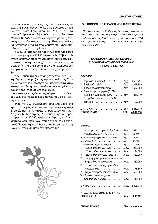Όσον αφορά τις επαφές της Ε.Α.Ε. με φορείς, το Δ.Σ. της Ε.Α.Ε. συναντήθηκε στις 3 Απριλίου 1996 με τον Ειδικό Γραμματέα του ΥΠΕΠΘ για τα Ιστορικά Αρχεία τις Βιβλιοθήκες και τα Εποπτικά Μέσα κ. Κ. Δάλλα και τον ενημέρωσε για τους στόχους και τις δραστηριότητες της Εταιρείας καθώς και γενικότερα για τα προβλήματα που αντιμετωπίζουν τα αρχεία στη χώρα μας.

Το Δ.Σ., με αφορμή το πρόβλημα που προέκυψε με τη στέγαση των Γ.Α.Κ. -Αρχείων Ν. Εύβοιας, έστειλε επιστολή προς το Δήμαρχο Χαλκιδέων εφιστώντας του την προσοχή στις συνέπειες της εφαρμογής της απόφασής του να απομακρυνθούν τα αρχεία από το κτίριο που τους είχε παραχωρηθεί.

Το Δ.Σ. απευθύνθηκε επίσης στον Υπουργό Εθνικής Άμυνας εκφράζοντας την ανησυχία της Εταιρείας για την καθυστέρηση που παρατηρείται στην κάλυψη της θέσης του υπεύθυνου των αρχείων της Διεύθυνσης Ιστορίας Στρατού (ΔΙΣ).

Δυστυχώς φέτος δεν συνεχίσθηκαν οι περιοδείες του Δ.Σ. στα περιφερειακά αρχεία που είχαν ξεκινήσει πέρσι.

Τέλος, το Δ.Σ. συνεδρίασε συνολικά μέσα στο χρόνο 8 φορές και ενέκρινε την εγγραφή στην Εταιρεία των κ.κ. Α. Μηλίτση, προϊσταμένης Γ.Α.Κ. -Αρχείων Ν. Μεσσηνίας, Α. Παπαδημητρίου προϊσταμένης των Γ.Α.Κ.-Αρχείων Ν. Άρτας, Δ. Παναγιωτόπουλου υπεύθυνου του Αρχείου του Γεωπονικού Πανεπιστημίου Αθηνών, που θα επικυρώσει η Γενική Συνέλευση μετά τον απολογισμό.



#### Ο ΟΙΚΟΝΟΜΙΚΟΣ ΑΠΟΛΟΓΙΣΜΟΣ ΤΗΣ ΕΤΑΙΡΕΙΑΣ

Ο τ. Ταμίας της Ε.Α.Ε. Ζήσιμος Συνοδινός ανακοίνωσε στη Γενική Συνέλευση της Εταιρείας τους οικονομικούς απολογισμούς της Ε.Α.Ε. για τη χρήση του έτους 1996 και το χρονικό διάστημα 1.1.1997 έως 15.2.1997, που είναι οι ακόλουθοι:

#### **EAAHNIKH APXEIAKH ETAIPEIA** Α. ΟΙΚΟΝΟΜΙΚΟΣ ΑΠΟΛΟΓΙΣΜΟΣ 1996  $(1.1.1996 - 31.12.1996)$

#### **ENEPΓHTIKO**

| ΓΕΝΙΚΟ ΣΥΝΟΛΟ ΔΡΧ.                                                                                  | 4.867.710- |
|-----------------------------------------------------------------------------------------------------|------------|
| $\Sigma$ Y N O $\Lambda$ O $\dots$ $\dots$ $\dots$ $\dots$ $\dots$ $\dots$ $\delta$ $\rho$ $\chi$ . | 4.867.710- |
|                                                                                                     | 20.000-    |
| Εισπράξεις από πωλήσεις βιβλίων                                                                     |            |
| 1995 και Α'& Β' Εξάμ. 1996)' δρχ.                                                                   | 345.919-   |
| ΙV. Τόκοι λογ/μού ταμ/ρίου (Β' Εξάμ.                                                                |            |
| III. Έσοδα από επιχορηγήσεις  δρχ.                                                                  | 2.577.200- |
| ΙΙ. Συνδρομές μελώνδρχ.                                                                             | 398.800-   |
| I. Ταμειακό υπόλοιπο 31.12.1995 δρχ.                                                                | 1.525.791- |

#### **ПАΘНТІКО**

| Διάφορες λειτουργικές δαπάνες δρχ.<br>I.                                        | 517.422-   |
|---------------------------------------------------------------------------------|------------|
| α. Έξοδα Ημερίδας και Γεν. Συνέλευσης δρχ.                                      | 128.000-   |
| β. Μετακινήσεις Συμβούλων στο εσωτερικό δρχ.                                    | 120.220-   |
|                                                                                 | 37.709-    |
| δ. Λοιπά έξοδα (ταχ/κά, χαρτικά, κλπ.)  δρχ.                                    | 231.493-   |
| Έξοδα έκδοσης ΔΙ.Π.Α.Π. δρχ.<br>Ш.                                              | 249.600-   |
| Έξοδα έκδοσης Αρχ. Νέων τχ. 13 δρχ.<br>III.                                     | 124.800-   |
| ΙV. Έξοδα έκδοσης Αρχ. Νέων τχ. 14 δρχ.                                         | 187.200-   |
| Πληρωμή πνευματικών δικαιωμάτων<br>V.                                           |            |
| Εγχειριδίου Αρχειονομίας  δρχ.                                                  | 483.096-   |
| VI. Έξοδα μετάφρασης Εγχειριδίου                                                |            |
| Αρχειονομίας δρχ.                                                               | 778.800-   |
| VII. Ταξίδι Αντιπροέδρου στο Πεκίνο δρχ.                                        | 550.000-   |
| VIII. Βιντεοταινία εκατόχρονων                                                  |            |
| Ολυμπιακών Αγώνων δρχ.                                                          | 118.000-   |
|                                                                                 |            |
| $\Sigma$ Y N O $\Lambda$ O $\dots$ $\dots$ $\dots$ $\dots$ $\dots$ $\delta$ px. | 3.008.918- |
|                                                                                 |            |
| ΥΠΟΛΟΙΠΟ ΔΙΑΘΕΣΙΜΟ ΕΝΕΡΓΗΤΙΚΟΥ                                                  |            |
| ΣΤΗ ΝΕΑ ΧΡΗΣΗ  δρχ.                                                             | 1.858.792- |
|                                                                                 |            |
|                                                                                 |            |
| ΓΕΝΙΚΟ ΣΥΝΟΛΟ ΔΡΧ.                                                              | 4.867.710- |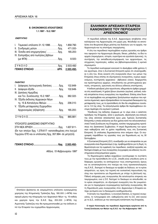#### Β. ΟΙΚΟΝΟΜΙΚΟΣ ΑΠΟΛΟΓΙΣΜΟΣ 1.1.1997 - 15.2.1997

#### **ENEPΓHTIKO**

| ΓΕΝΙΚΟ ΣΥΝΟΛΟ ΔΡΧ.                                                                                 | 2.503.492- |
|----------------------------------------------------------------------------------------------------|------------|
|                                                                                                    | 2.503.492- |
| $( \mu \varepsilon \Phi \Pi A) \ldots \ldots \ldots \ldots \ldots \ldots \ldots \delta \rho \chi.$ | $8.500 -$  |
| ΙΝ. Εισπράξεις από πωλήσεις βιβλίων                                                                |            |
| III. Έσοδα από επιχορηγήσεις" δρχ.                                                                 | 165.200-   |
| ΙΙ. Συνδρομές μελών δρχ.                                                                           | 471.000-   |
| Ι. Ταμειακό υπόλοιπο 31.12.1996δρχ.                                                                | 1.858.792- |

#### **ПАΘНТІКО**

| I. Διάφορες λειτουργικές δαπάνες  δρχ. | 102.649- |
|----------------------------------------|----------|
| ΙΙ. Διάφορα έξοδα  δρχ.                | 102.649- |
| III. Δαπάνες Ημερίδας                  |          |
| και Γεν. Συνέλευσης 15.2.1997 δρχ.     | 362.022- |
| ΙΝ. Έξοδα έκδοσης Αρχειακών Νέων       |          |
| τχ. 15 & Καταλόγου Μελών δρχ.          | 236.010- |
| V. Έξοδα μετάφρασης Εγχειριδίου        |          |
| Αρχειονομίας (εξόφληση) δρχ.           | 165.200- |
|                                        |          |
|                                        | 865.881- |
|                                        |          |

#### ΥΠΟΛΟΙΠΟ ΔΙΑΘΕΣΙΜΟ ΕΝΕΡΓΗΤΙΚΟ

| (Εκ των οποίων δρχ. 1.279.617- κατατεθειμένες στο λογ/μό |  |
|----------------------------------------------------------|--|
| Ταμ/ρίου ΕΤΕ και οι υπόλοιπες δρχ. 357.994- σε μετρητά). |  |

#### 

Αθήνα, 15 Φεβρουαρίου 1997

#### **EAAHNIKH APXEIAKH ETAIPEIA** ΚΑΝΟΝΙΣΜΟΣ ΤΟΥ ΠΕΡΙΟΛΙΚΟΥ **ΑΡΧΕΙΟΝΟΜΟΣ**

Η περιοδική έκδοση της Ε.Α.Ε. Αρχειονόμος αποβλέπει στην καλλιέργεια της Αρχειονομίας στη χώρα μας. Φιλοδοξεί να αποτελέσει ένα θεωρητικό βήμα μελέτης και διαλόγου για τα αρχεία, την Αρχειονομία και τις επιστήμες τεκμηρίωσης.

Η ύλη του περιοδικού περιλαμβάνει κυρίως εργασίες και άρθρα που αφορούν την Αρχειονομία (θεωρία, δίκαιο, μέθοδοι), τα ίδια τα αρχεία (περιεχόμενο, ιστορία, ευρετήρια και εργαλεία έρευνας), τη συντήρηση, την εκπαίδευση-επιμόρφωση των αρχειονόμων, τις σύγχρονες τεχνολογίες, καθώς και βιβλιοπαρουσιάσεις ή κριτικά σημειώματα.

Το περιοδικό κυκλοφορεί κανονικά το Δεκέμβριο κάθε χρόνου ή και αργότερα, όταν η Συντακτική Επιτροπή κρίνει ότι ολοκληρώθηκε η ύλη του. Είναι ανοικτό στη συνεργασία όλων των μελών της Εταιρείας όπως επίσης σε εξωτερικούς συνεργάτες, κυρίως αρχειονόμους, συντηρητές αρχειακού - βιβλιακού υλικού, διαχειριστές και προϊσταμένους αρχείων, σπουδαστές και μεταπτυχιακούς φοιτητές, ιστορικούς, ερευνητές και άλλους ειδικούς επιστήμονες.

Η έκδοση φιλοξενεί μόνο πρωτότυπα, αδημοσίευτα άρθρα γραμμένα στη νεοελληνική. Η χρήση ξένων γλωσσών (αγγλικά, γαλλικά, ιταλικά) επιτρέπεται στους συνεργάτες του περιοδικού. Επίσης είναι δυνατό να περιλαμβάνει και μεταφράσεις ξενόγλωσσων κειμένων που κρίνονται σημαντικά, αφού εξασφαλισθούν τα πνευματικά δικαιώματα της μετάφρασής τους, με τη προϋπόθεση ότι δεν θα υπερβαίνουν συνολικά το 1/4 της ύλης. Τα ελληνόγλωσσα άρθρα θα περιλαμβάνουν σύντομη περίληψη στα αγγλικά ή γαλλικά.

Υπεύθυνος της έκδοσης σύμφωνα με το νόμο είναι ο εκάστοτε πρόεδρος της Εταιρείας, αλλά η οργάνωση, αξιολόγηση και επιλογή της ύλης αποτελεί αποκλειστικό έργο μιας 7μελούς Συντακτικής Επιτροπής η οποία εκλέγεται για δύο χρόνια κατά την εκλογοαπολογιστική Γενική Συνέλευση της Εταιρείας, κατόπιν τεκμηριωμένης προτάσεως του Διοικητικού Συμβουλίου. Η σειρά δημοσίευσης των εργασιών καθορίζεται από το χρόνο παράδοσής τους στη Συντακτική Επιτροπή. Οι υπόλοιπες δημοσιεύονται στον επόμενο τόμο. Οι συγγραφείς παραδίδουν τις εργασίες τους για δημοσίευση ως τις 30 Σεπτεμβρίου.

Η Συντακτική Επιτροπή (Σ.Ε.) συνεδριάζει για να αποφασίσει αν μια συνεργασία είναι δημοσιεύσιμη ή όχι, προβληματίζεται για τη δομή, τη θεματολογία και την εμφάνιση του περιοδικού, αναζητεί εργασίες και διατηρεί επαφές με τους συνεργάτες συγγραφείς και ειδικούς του επιστημονικού-επαγγελματικού χώρου.

Τα δημοσιευμένα άρθρα εκφράζουν ενυπόγραφα το συντάκτη τους με την προϋπόθεση ότι η Σ.Ε., επειδή είναι υπεύθυνη ώστε οι διάφορες εργασίες να εκπληρώνουν τους επιστημονικούς όρους και να ανταποκρίνονται στο πνεύμα και τους προσανατολισμούς της Ε.Α.Ε., διατηρεί το δικαίωμα να προβεί σε διάλογο, αν το κρίνει απαραίτητο, ως προς την τεχνική και ουσιαστική παρουσίαση της ύλης που προτείνεται για δημοσίευση με στόχο τη βελτίωσή της. Πιθανή απόρριψη μιας συνεργασίας θα αιτιολογείται επαρκώς και τεκμηριωμένα, ενώ η Σ.Ε. διατηρεί το δικαίωμα να απευθυνθεί, αν το κρίνει απαραίτητο, σε εξωτερικό συνεργάτη που θα γνωματεύσει για το περιεχόμενο συγκεκριμένης πρότασης συνεργασίας. Με τη δημοσίευση μιας συνεργασίας στον Αρχειονόμο η Εταιρεία κατέχει αυτόματα και τα δικαιώματα αναδημοσίευσης.

Η έκταση του περιοδικού, η συνολική δαπάνη, οι τεχνικοί συνεργάτες, το τυπογραφείο κλπ. καθορίζονται από τη Σ.Ε. από κοινού με το Δ.Σ., ανάλογα με την οικονομική κατάσταση της Εταιρείας.

Ο παρών Κανονισμός του περιοδικού Αρχειονόμος εγκρίνεται από τη Γενική Συνέλευση των Μελών της Ε.Α.Ε. την 15η Φεβρουαρίου 1997.

Επιπλέον βρίσκεται σε εκκρεμότητα υπόλοιπο εγκεκριμένης χορηγίας της Κτηματικής Τράπεζας δρχ. 180.000 (+ΦΠΑ) που αφορά μέρος της πληρωμής των Αρχειακών Νέων τχ. 15 καθώς και χορηγία προς την Ε.Α.Ε. δρχ. 200.000 (+ΦΠΑ) της Αγροτικής Τράπεζας που θα πραγματοποιηθεί με την έκδοση από την Εταιρεία του εγχειριδίου Αρχειονομίας.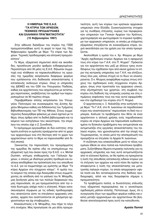#### Η ΗΜΕΡΙΔΑ ΤΗΣ Ε.Α.Ε. **"ΤΑ ΚΤΙΡΙΑ ΤΩΝ ΑΡΧΕΙΩΝ.** ΤΕΧΝΙΚΕΣ ΠΡΟΔΙΑΓΡΑΦΕΣ КАІ ЕЛЛН МІКН ПРАГМАТІКОТНТА" (15 Φεβρουαρίου 1997)

Στην αίθουσα διαλέξεων του κτιρίου της ΓΣΕΕ πραγματοποιήθηκε αυτή τη φορά το πρωί της 15ης Φεβρουαρίου ημερίδα με θέμα "Τα κτίρια των Αρχείων. Τεχνικές προδιαγραφές και ελληνική πραγματικότητα".

Το θέμα, εξαιρετικά σημαντικό αλλά και ακανθώδες, προσέλκυσε μεγάλο αριθμών ενδιαφερομένων. Περισσότερα από 35 μέλη τις Ε.Α.Ε. δήλωσαν συμμετοχή ενώ κλήθηκαν να παρακολουθήσουν τις εργασίες της ημερίδας εκπρόσωποι διαφόρων φορέων που εμπλέκονται στη διαδικασία αποκατάστασης ή κατασκευής ανάλογων κτιρίων, όπως οι υπηρεσίες της ΔΙΕΦΕΣ και του ΟΣΚ του Υπουργείου Παιδείας. καθώς και αρχιτέκτονες που ασχολούνται με αντίστοιχες περιπτώσεις, ανεβάζοντας τον αριθμό των παρευρισκομένων σε 90 περίπου άτομα.

Παραβρέθηκαν επίσης εκπρόσωποι του Υπουργείου Πολιτισμού και συγκεκριμένα της Δ/νσης Αρχείου Μνημείων καθώς και διδάσκοντες του Τμήματος Βιβλιοθηκονομίας των ΤΕΙ της Αθήνας. Στους συμμετέχοντες διανεμήθηκε φάκελος με υλικό σχετικό με το θέμα, όπως άρθρα από τη διεθνή βιβλιογραφία και τα κείμενα των εισηγήσεων που ακούστηκαν, την επιμέλεια του οποίου είχε ο Ζ. Συνοδινός.

Το πρόγραμμα οργανώθηκε σε δύο ενότητες: στην πρώτη ενότητα οι ομιλητές προέρχονταν από το χώρο των αρχειονόμων ενώ στη δεύτερη από το χώρο των αρχιτεκτόνων ώστε το θέμα να παρουσιασθεί από διπλή σκοπιά.

Ξεκινώντας την παρουσίαση του προγράμματος της ημερίδας θα πρέπει εδώ να επισημάνουμε την εξαιρετική τιμή που έκανε προς την Ε.Α.Ε. ο κ. Michel Duchein, επίτιμος επιθεωρητής των Γαλλικών Αρχείων, ο οποίος με ιδιαίτερα μεγάλη προθυμία και ευγένεια αποδέχθηκε την πρόσκληση που του απηύθυνε το Δ.Σ. για να συμμετάσχει ως ομιλητής με θέμα "Τα κτίρια Αρχείων στο σύγχρονο κόσμο". Η ομιλία του, το κείμενο της οποίας είχε διανεμηθεί στους συμμετέχοντες σε απόδοση από τα γαλλικά του Ν. Μπαμίδη, μας ξενάνησε μέσω και των πολλών διαφανειών που μας παρουσίασε, σε μια πραγματικότητα από την οποία δυστυχώς απέχει πολύ η ελληνική. Κτίρια κατασκευασμένα σύμφωνα με τις ειδικές προδιαγραφές που απαιτούνται ώστε να στεγάσουν αρχειακές υπηρεσίες, αρχεία που αναπτύσσονται σε χιλιόμετρα αρχειοστασίων και όχι στοιβαγμένα...

Αποκαλυπτικός ο Ν. Μπαμίδης, που πήρε το λόγο στη συνέχεια. Μας προσγείωσε σε μια άλλη πραγματικότητα, αυτή των κτιρίων των κρατικών αρχειακών υπηρεσιών στην Ελλάδα. Συγκεντρώνοντας στοιχεία για τις συνθήκες στέγασης, κυρίως των περιφερειακών υπηρεσιών των Γενικών Αρχείων του Κράτους, χαρτογράφησε και φωτογράφισε το κτιριακό πρόβλημα των αρχειακών υπηρεσιών, οι οποίες με ελάχιστες εξαιρέσεις στεγάζονται σε ενοικιαζόμενα κτίρια, συχνά ακατάλληλα για την χρήση για την οποία προορίζονται.

Ακολούθησε η ομιλία του κ. Χρ. Φλώρου με θέμα "Αρχές σχεδιασμού κτιρίων Αρχείων και η εφαρμογή τους στο κτίριο των Γ.Α.Κ. στο Π. Ψυχικό". Πρόκειται για τον αρχιτέκτονα που μαζί με άλλους τρεις συναδέλφους του σχεδίασαν πριν από είκοσι χρόνια το κτίριο της κεντρικής υπηρεσίας των Γ.Α.Κ. και ελπίζουν, όπως όλοι μας, κάποια στιγμή να το δουν να ολοκληρώνεται. Ο κ. Φλώρος αναφέρθηκε κυρίως στους στόχους του σχεδιασμού ενός σύγχρονου κτιρίου Αρχείων, όπως στην προστασία του αρχειακού υλικού, στην εξυπηρέτηση των χρηστών, στη συμβολή του κτιρίου στη διάδοση της ιστορικής γνώσης και στις επιμέρους εκφάνσεις τους και πώς αυτοί εφαρμόσθηκαν στο σχεδιασμό του κτιρίου στο Π. Ψυχικό.

Ο αρχιτέκτονας κ. Ξ. Καλαϊτζής στην εισήγησή του με θέμα "Τα Γ.Α.Κ. στο Ν. Ιωαννίνων σε παραδοσιακό κτίριο που αναστηλώνεται" παρουσίασε τη δική του εμπειρία. Ανέλυσε τα προβλήματα που θέτει σε έναν αρχιτέκτονα η αλλαγή χρήσης ενός παραδοσιακού κτιρίου σε κτίριο Αρχείων και παρουσίασε κωδικοποιημένα τα δύσκολα προβλήματα που αντιμετώπισε και αντιμετωπίζει στις εργασίες αποκατάστασης του παλαιού κτιρίου, που χρονολογείται από την εποχή της Τουρκοκρατίας, το οποίο μετά την αποπεράτωσή του προορίζεται να στεγάσει τα Αρχεία Ν. Ιωαννίνων.

Η συζήτηση που επακολούθησε μετά το τέλος των ομιλιών έθεσε εκ νέου πολλά και πολύπλοκα προβλήματα. Συζητήθηκαν θέματα κτιριακής πολιτικής για τις αρχειακές υπηρεσίες και πώς αυτά αντιμετωπίζονται από το ελληνικό Κράτος, αν θα πρέπει να προκρίνεται η λύση της απευθείας κατασκευής ειδικών κτιρίων για τη στέγαση των αρχείων και κατά πόσο θα πρέπει να αποφεύγεται η λύση της αποκατάστασης και μετατροπής παλαιών κτιρίων, τα οποία απορροφούν υψηλά ποσά και δεν ανταποκρίνονται στις διεθνείς προδιαγραφές, αλλά και πώς διαγράφεται σήμερα η πραγματικότητα.

Τα προβλήματα πολλά, οι δυνατότητες επίλυσής τους εξαιρετικά περιορισμένες και ο γενικότερος σχεδιασμός μάλλον ελλιπής. Πιστεύουμε, όμως, ότι η συνεργασία όλων των αρμόδιων φορέων καθώς και εκείνη μεταξύ αρχειονόμων και αρχιτεκτόνων θα βοηθούσε αποτελεσματικά προς αυτή την κατεύθυνση.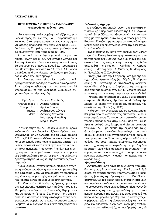#### **ΠΕΠΡΑΓΜΕΝΑ ΔΙΟΙΚΗΤΙΚΟΥ ΣΥΜΒΟΥΛΙΟΥ** (Φεβρουάριος- Ιούνιος 1997)

Συνεπείς στην καθιερωμένη, ανά εξάμηνο, ενημέρωση προς τα μέλη της Ε.Α.Ε., παρουσιάζουμε και σ' αυτό το τεύχος τα πεπραγμένα και τις σημα-Vτικότερες αποφάσεις του νέου Διοικητικού Συμ-Bouλίου της Εταιρείας όπως αυτό προέκυψε από τις εκλογές της 15ης Φεβρουαρίου 1997.

Στο νέο Δ.Σ. συμμετέχουν για πρώτη φορά η κα Mαρία Πολίτη και οι κ.κ. Αλέξανδρος Ζάννας και Αντώνης Αντωνίου. Θεωρούμε ότι η παρουσία τους θα ενισχύσει σε σημαντικό βαθμό τις προσπάθειες που θα καταβληθούν από το Δ.Σ. της Ε.Α.Ε., αφού ο καθένας από την πλευρά του διαθέτει μια διαφορετική αλλά πολύτιμη εμπειρία.

Στη διάρκεια των τελευταίων μηνών το Δ.Σ. πραγματοποίησε τέσσερις συνολικά συνεδριάσεις. Στην πρώτη συνεδρίασή του, που έγινε στις 25 Φεβρουαρίου, το νέο Διοικητικό Συμβούλιο συγκροτήθηκε σε σώμα ως εξής:

|  | Πρόεδρος : Ζήσιμος Συνοδινός |
|--|------------------------------|
|  | Αντιπρόεδρος : Αλέξης Κράους |
|  | Γραμματέας : Αμαλία Παππά    |
|  | Ταμίας: Αλέξανδρος Ζάννας    |
|  | Μέλη: Αντώνης Αντωνίου       |
|  | Νέστορας Μπαμίδης            |
|  | Μαρία Πολίτη                 |
|  |                              |

Tη συγκρότηση του Δ.Σ. σε σώμα, ακολούθησε ο καθορισμός των βασικών αξόνων δράσης του. Θεωρώντας, όπως άλλωστε όλα τα μέχρι σήμερα  $\Delta$ . Σ. της Ε.Α.Ε., ότι οι εκδόσεις αποτελούν το βασικό μέσο ενημέρωσης και επικοινωνίας μεταξύ των μελών, αποτελεί κοινή πεποίθηση και στο νέο Δ.Σ. ότι είναι αναγκαία η συνέχιση ή ακόμη και η ενίσχυση, αν η οικονομική κατάσταση και οι ανθρώπινες διαθεσιμότητες το επιτρέψουν, της εκδοτικής δραστηριότητας καθώς και της λειτουργίας των επιτροπών.

Kύριο θέμα συζήτησης υπήρξε, επίσης, η αναζήτηση τρόπου ανανέωσης των επαφών με τα μέλη της Εταιρείας ώστε να περιοριστεί το πρόβλημα της έλλειψης συμμετοχής των μελών στις επιτροπές και στις άλλες επιμέρους δραστηριότητες.

Στο ίδιο πνεύμα, δηλαδή της άμεσης προσέγγισης και επαφής, κινήθηκε και η πρόταση του κ. Ν. Μπαμίδη, υπεύθυνου της Επιτροπής Περιφερειακής Οργάνωσης. Έτσι μετά από συζήτηση, αποφασίστηκε η αποστολή ερωτηματολογίου στους περι-Φερειακούς φορείς, ώστε να καταγραφούν τα προβλήματα και οι ανάγκες τους και να επεξεργαστούν συνολικά.

#### *Eκδοτικό πρόγραμμα*

Mε γνώμονα την αποκέντρωση, αποφασίστηκε ότι στο εξής η περιοδική έκδοση της Ε.Α.Ε. *Αρχειακά Νέα* θα εκδίδεται στη Θεσσαλονίκη κινητοποιώντας με τον τρόπο αυτό τους συναδέλφους της Bόρειας Ελλάδας, με πυρήνα το Ιστορικό Αρχείο Μακεδονίας και εκμεταλλευόμενοι την εκεί τεχνολονική υποδομή.

Eνεργοποιήθηκε, μετά την εκλογή των μελών της από τη Γενική Συνέλευση, η συντακτική επιτροτη του περιοδικού *Αρχειονόμος* με στόχο την οριστικοποίηση της ύλης και της μορφής της έκδοσης. Μέλη της είναι οι Γ. Κανάκης, Ν. Καραπιδάκης, Γ. Μητροφάνης, Α. Μπάγιας, Ν. Μπαμίδης, N. Παντελάκης, Ζ. Συνοδινός.

Συνεχίζεται από την Επιτροπή μετάφρασης του εγχειριδίου Αρχειονομίας (Χρ. Βάρδα, Ν. Καραπιδάκης, Ν. Παντελάκης, Ζ. Συνοδινός) η κοπιώδης προσπάθεια ελέγχου, κατά τμήματα, της μετάφρασης που παραδίδεται στην Ε.Α.Ε. ώστε το κείμενο να αποκτήσει την τελική του μορφή και να εκδοθεί.

Ύστερα από απόφαση του Δ.Σ., συγκροτήθηκε επιτροπή (Αλ. Κράους, Αμ. Παππά, Μ. Πολίτη, Χρ. Σάρρα) με σκοπό την έκδοση των πρακτικών του συνεδρίου της Πρέβεζας (1990).

H έκδοση των ανακοινώσεων θα πραγματοποιηθεί μετά από συνεργασία της επιτροπής με τους συγγραφείς τους. Το σώμα των πρακτικών του συνεδρίου παραδόθηκε στην Ε.Α.Ε. από τα Γενικά Aρχεία του Κράτους, ύστερα από αίτημα του προηγούμενου Δ.Σ., με σκοπό την αξιοποίησή τους. Θεωρήσαμε ότι η πλούσια θεματολογία του συνεδρίου, ο μεγάλος και αντιπροσωπευτικός αριθμός των ομιλητών από όλους τους χώρους αλλά και ο χρόνος που αυτό πραγματοποιήθηκε, δεδομένου ότι στη χρονική εκείνη περίοδο ήταν ορατή η διαμόρφωση μιας νέας αρχειακής πραγματικότητας κυρίως σε ότι αφορά τα αρχεία του κρατικού τομέα, μας επιβάλλουν την αναζήτηση πόρων για την έκδοσή τους.

#### *Xρηματοδότηση*

Aντιμέτωποι με το πάγιο πρόβλημα της χρηματοδότησης μιας Εταιρείας όπως η Ε.Α.Ε., το Δ.Σ. βρίσκεται σε αναζήτηση νέων χορηγιών ώστε να καλύψει τις βασικές της δραστηριότητες. Παράλληλα στάλθηκε, για μια ακόμη φορά, επιστολή στα μέλη που οφείλουν συνδρομές ετών να τακτοποιήσουν τις οικονομικές τους εκκρεμότητες. Είναι γεγονός ότι ο τομέας της αυτοχρηματοδότησης, το μόνο βέβαιο εισόδημα της Ε.Α.Ε., δεν είναι σταθερό και παρουσιάζει μεγάλα προβλήματα. Το κόστος της ενημέρωσης, μέσω της αλληλογραφίας και των περιοδικών εκδόσεων, όλων των μελών μας ανεξάρτητα του αν οφείλουν ή όχι τις συνδρομές τους, εί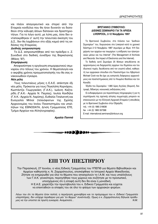ναι πλέον απαγορευτικό και στερεί από την Εταιρεία κονδύλια που θα ήταν δυνατόν να διατεθούν στην κάλυψη άλλων δαπανών και δραστηριοτήτων. Για το λόγο αυτό, με λύπη μας, όσοι δεν ανταποκρίθηκαν σ' αυτή την τελευταία έκκληση του Δ.Σ., δεν θα λαμβάνουν στο εξής καμιά από τις εκδόσεις της Εταιρείας.

#### Διεθνής εκπροσώπηση

Το Δ.Σ. εκπροσωπήθηκε από τον πρόεδρο κ. Ζ. Συνοδινό στο διεθνές συνέδριο της Βαρκελώνης (Μάιος '97).

#### Επιμόρφωση

Αποφασίστηκε η οργάνωση επιμορφωτικού σεμιναρίου στο τέλους του χρόνου. Η θεματολονία και ο ακριβής χρόνος πραγματοποίησής του θα σας ανακοινωθούν έγκαιρα.

#### Νέα μέλη

Τους τελευταίους μήνες η Ε.Α.Ε. απέκτησε έξι νέα μέλη. Πρόκειται για τους Πηνελόπη Κορνάρου, Κωστάντζα Γεωργακάκη (Γ.Α.Κ.), Ιωάννη Καζταρίδη (Γ.Α.Κ. -Αρχεία Ν. Πιερίας), Ιουλία Κανδήλα (Γ.Α.Κ.- Αρχεία Ν. Λαρίσης), Ευθαλία Τσαλικτσή και Ευαγγελία Μπλαί (τελειόφοιτων της Σχολής Αρχειονομίας του Ιονίου Πανεπιστημίου και υπαλλήλων της ΕΘΝΟDΑΤΑ, Δ/νση Γραμματείας ΕΤΕ, Τμήμα Αρχείων και Αλληλογραφίας).

Αμαλία Παππά

#### ΒΡΕΤΑΝΙΚΟ ΣΥΜΒΟΥΛΙΟ: ΔΙΕΘΝΕΣ ΣΕΜΙΝΑΡΙΟ ΓΙΑ ΤΑ ΑΡΧΕΙΑ LIVERPOOL, 2-12 Noεuβρίου 1997

Το Βρετανικό Συμβούλιο, στα πλάισια των "Διεθνών Σεμιναρίων" του, διοργανώνει στο Liverpool κατά το χρονικό διάστημα 2-12 Νοεμβρίου 1997 σεμινάριο με θέμα: ®Η διαχείριση των αρχείων και τεκμηρίων: η επίδραση των ηλεκτρονικών μέσων και του Internet" (The Management of Archives and Records: the Impact of Electronics and the Internet).

Το διεθνές αυτό Σεμινάριο 25 θέσεων απευθύνεται σε αρχειονόμους και διαχειριστές αρχείων του δημόσιου και του ιδιωτικού τομέα, διευθύνεται από τον γνωστό ειδικό, καθηγητή των αρχειακών σπουδών στο Πανεπιστήμιο του Λίβερπουλ Michael Cook και θα έχει ως εισηγητές διάφορους αρχειονόμους και πανεπιστημιακούς από το Ηνωμένο Βασίλειο και τον Καναδά.

Έξοδα του Σεμιναρίου: 1.680 λίρες Αγγλίας (διαμονή, διατροφή, δίδακτρα, κοινωνικές εκδηλώσεις κλπ).

Οι ενδιαφερόμενοι για περισσότερες πληροφορίες ή για τη συμπλήρωση της σχετικής αίτησης συμμετοχής μπορούν να επικοινωνούν με την Ελληνική Αρχειακή Εταιρεία ή απευθείας με το Βρετανικό Συμβούλιο στην Οξφόρδη:

τηλ. +44 (0) 1865 316636 fax  $+44$  (0) 1865 557368 E-mail: international.seminars@britcoun.org



### ΕΠΙ ΤΟΥ ΠΙΕΣΤΗΡΙΟΥ

Την Παρασκευή, 27 Ιουνίου, ο νέος Ειδικός Γραμματέας του ΥΠΕΠΘ για θέματα Βιβλιοθηκών και Αρχείων καθηγητής κ. Ν. Ζαχαρόπουλος, επισκέφθηκε το Ιστορικό Αρχείο Μακεδονίας. Ζήτησε να ενημερωθεί για όλα τα θέματα που απασχολούν το Ι.Α.Μ. και τους υπαλλήλους των Γ.Α.Κ. γενικότερα, περιηγήθηκε τους χώρους και συζήτησε με το προσωπικό, υποσχόμενος ότι η επαφή αυτή δεν θα είναι η μοναδική. Η Ε.Α.Ε. χαιρετίζει την πρωτοβουλία του κ. Ειδικού Γραμματέα και εύχεται να επεκταθούν οι επαφές του σε όλο το φάσμα των αρχειακών φορέων.

Λόγω του ότι τα θέματα ήταν πολλά, η περιήγηση χρονοβόρα και το πρόγραμμα του κ. Ειδικού Γραμματέα υπερπλήρες, δεν υπήρχε περιθώριο για μία "εν θερμώ" συνέντευξη. Όμως ο κ. Ζαχαρόπουλος δήλωσε πρόθυμος να την υποστεί σε πρώτη ευκαιρία. Αναμείνατε...  $M$   $M$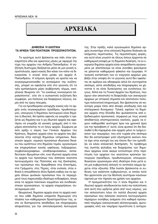# **APXEIAKA**

#### ΔΗΜΟΣΙΑ Ή ΙΔΙΩΤΙΚΑ ΤΑ ΑΡΧΕΙΑ ΤΩΝ ΠΟΛΙΤΙΚΩΝ ΠΡΟΣΩΠΙΚΟΤΗΤΩΝ;

Το ερώτημα αυτό βρίσκεται και πάλι στην επικαιρότητα εδώ και αρκετούς μήνες με αφορμή την τύχη του αρχείου του Ανδρέα Παπανδρέου. Η συζήτηση δυστυχώς διεξάγεται μέσα σε μια γενική αοριστολογία, αφού κανείς δεν κάνει τον κόπο να διευκρινίσει τι εννοεί όταν μιλάει για αρχείο Α. Παπανδρέου. Η επίμονη άρνηση να οριστεί και να συγκεκριμενοποιηθεί το αντικείμενο της συζήτησης, μπορεί να οφείλεται είτε στο γεγονός ότι τα τρία εμπλεκόμενα μέρη (κυβέρνηση, κόμμα, οικογένεια) θεωρούν ότι "τα ευκόλως εννοούμενα παραλείπονται", είτε ότι η ουσιαστική συζήτηση δεν συμφέρει, για πολλούς και διαφόρους λόγους, καμία από τις τρεις πλευρές.

Για να προσδιορίσει καταρχήν κανείς εάν το αρχείο ενός συγκεκριμένου προέδρου, πρωθυπουργού, υπουργού ή δημόσιου λειτουργού είναι δημόσιο ή ιδιωτικό, θα πρέπει αφενός να γνωρίζει τι ορίζεται ως δημόσιο και τι ως ιδιωτικό αρχείο και αφετέρου να γνωρίζει σε γενικές γραμμές από τι τεκμήρια αποτελείται το εν λόγω αρχείο. Σύμφωνα με όσα ορίζει ο νόμος των Γενικών Αρχείων του Κράτους, δημόσια αρχεία είναι τα αρχεία που βρίσκονται στην κατοχή δημοσίων υπηρεσιών, δικαστικών αρχών, νομικών προσώπων ιδιωτικού δικαίου που εμπίπτουν στο δημόσιο τομέα, οργανισμών και επιχειρήσεων κοινής ωφέλειας, ληξιαρχείων, συμβολαιογραφείων, υποθηκοφυλακείων, εκπαιδευτικών ιδρυμάτων κλπ, ενώ ιδιωτικά αρχεία είναι τα αρχεία των προσώπων που άσκησαν ανώτατα λειτουργήματα της Πολιτείας και της Εκκλησίας, των προσώπων που διακρίθηκαν στις Επιστήμες, στα Γράμματα, στις Τέχνες, στην ευποιία, στην εθνική ή οποιαδήποτε άλλη δράση καθώς και τα αρχεία άλλων φυσικών προσώπων που το περιεχόμενό τους παρουσιάζει ιδιαίτερο ενδιαφέρον, όπως είναι τα αρχεία πολιτικών κομμάτων και συνδικαλιστικών οργανώσεων, τα αρχεία επιχειρήσεων, συνεταιρισμών κλπ.

Θεωρητικά, δημόσιο αρχείο είναι το αρχείο εκείνο που κάθε δημόσια υπηρεσία δημιουργεί στα πλαίσια των καθημερινών δραστηριοτήτων της, ώστε να διατηρούνται αποδείξεις και πληροφορίες απαραίτητες για την αποτελεσματική λειτουργία της. Στην πράξη, καλά οργανωμένα δημόσια αρχεία συναντάμε στην ελληνική δημόσια διοίκηση σε ελάχιστες περιπτώσεις. Τις περισσότερες φορές, και αυτό είναι γνωστό σε όλους όσους έρχονται σε καθημερινή επαφή με τη δημόσια διοίκηση, τα εν ενεργεία δημόσια αρχεία είναι απαράδεκτα οργανωμένα με αποτέλεσμα να είναι σύνηθες φαινόμενο να χάνονται καθημερινά φάκελοι και έγγραφα. Η τραγική κατάσταση των εν ενεργεία αρχείων μας βάζει στην υποψία ότι το γεγονός αυτό δεν οφείλεται σε αμέλεια και αδιαφορία αλλά ότι συντηρείται σκόπιμα, ώστε αποδείξεις και πληροφορίες να χάνονται ή να είναι δυσεύρετες για ευνόητους λόγους. Αλλά και τα Γενικά Αρχεία του Κράτους, που έχουν σαν αποστολή τη διαφύλαξη των ανενεργών αρχείων με ιστορική σημασία και αποτελούν πολύτιμη πολιτιστική κληρονομιά, δεν βρίσκονται σε καλύτερη μοίρα τόσο από άποψη υποδομής όσο και στελεχιακού δυναμικού. Τελικά, εφόσον τα δημόσια αρχεία στην Ελλάδα δεν φυλάσσονται από εξειδικευμένο προσωπικό, σύμφωνα με τους γενικά αποδεκτούς επιστημονικούς κανόνες, χωρίς να έχουν καθορισθεί αυστηροί όροι και χρονικά όρια για την πρόσβαση σ' αυτά, είναι φυσικό ότι θα διασωθεί ή θα παραμένει σαν αρχείο μόνο το τμήμα εκείνο των τεκμηρίων, που είτε τυχαία είτε σκόπιμα δεν θα καταστραφεί γιατί εξυπηρετεί εκείνον που το έχει στην κατοχή του και τίποτε δεν τον εμποδίζει να κάνει επιλεκτική διατήρηση. Το πρόβλημα της σωστής φύλαξης και διαχείρισης των δημοσίων αρχείων είναι ακόμα εντονότερο στην περίπτωση των αρχείων του ανώτατων κρατικών λειτουργών (προέδρων, πρωθυπουργών, υπουργών, διοικητών οργανισμών κλπ) ιδιαίτερα όταν μετά από μια κυβερνητική αλλαγή το αντίπαλο κόμμα έρχεται στην εξουσία. Εδώ λοιπόν βρίσκονται οι ευθύνες των εκάστοτε κυβερνώντων, οι οποίοι ποτέ δεν φρόντισαν για την θέσπιση αυστηρών κανόνων σχετικά με την τήρηση και χρήση των αρχείων.

Η πραγματικότητα του τι είναι δημόσιο και τι ιδιωτικό αρχείο αποδεικνύεται πολύ πιο πολύπλοκη από αυτή που ορίζεται μέσα από τους νόμους, για τον απλούστατο λόγο ότι πολλά ιδιωτικά αρχεία προσώπων που άσκησαν ανώτατα λειτουργήματα περιέχουν συνήθως ανάμεσα στα καθαρά προσωπικά τεκμήρια (οικογενειακή αλληλογραφία, φωτογραφίες κλπ) και τεκμήρια πρωτότυπα ή αντίγρα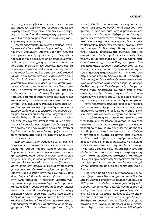φα, που χωρίς αμφιβολία ανήκουν στην κατηγορία των δημοσίων αρχείων. Ταυτόχρονα υπάρχει μια μεγάλη ποικιλία τεκμηρίων, που δεν είναι προφανές σε ποια από τις δύο κατηγορίες αρχείων ανήκουν. Θα αναφέρουμε ενδεικτικά ορισμένες χαρακτηριστικές περιπτώσεις:

Πρώτη περίπτωση: Στο ανώτατο επίπεδο -δηλαδή στο επίπεδο προέδρων δημοκρατίας, πρωθυπουργών, υπουργών- υπάρχει μια τάση τμήματα των αρχείων των Γραφείων τους να θεωρούνται προσωπικά τους αρχεία, τα οποία παραλαμβάνουν μαζί τους με την αποχώρηση τους από το αντίστοιχο αξίωμα. Η εμπλοκή δεν οφείλεται μόνο στο ότι παράλληλα ασκούν συνήθως δύο ή και περισσότερα λειτουργήματα που δεν αφορούν τον ίδιο θεσμό και ότι με τον τρόπο αυτό έχουν στην κατοχή τους δύο ή τρία διαφορετικά αρχεία, όπως π.χ. το αρχείο του πρωθυπουργού αλλά και τμήμα του αρχείου του κόμματος του οποίου είναι συνήθως πρόεδροι. Το γεγονός ότι μετακομίζουν και κατοικούν σε δημόσια κτίρια, προεδρικά ή άλλα μέγαρα, με αποτέλεσμα τα κτίρια αυτά να είναι ταυτόχρονα και κατοικία τους, περιπλέκει ακόμα περισσότερο το ζήτημα. Έτσι, άθελα ή ηθελημένα, ο καθαρά ιδιωτικός βίος εμπλέκεται στενά με τον δημόσιο με αποτέλεσμα τα όρια μεταξύ ιδιωτικού και δημοσίου βίου, μεταξύ ιδιωτικού και δημοσίου αρχείου να γίνονται δυσδιάκριτα. Πόσο μάλλον, όταν ένας πρωθυπουργός επιλέγει την κατοικία του και ως πρωθυπουργικό γραφείο. Δεν υπάρχει λοιπόν αμφιβολία ότι όσο καλύτερα οργανωμένα αρχεία διαθέτουν οι δημόσιες υπηρεσίες, τόσο θα περιορίζονται και αυτά τα προβλήματα, χωρίς να εξαφανίζονται ωστόσο ολοκληρωτικά.

Δεύτερη περίπτωση: Ανάμεσα στο υπηρεσιακό έγγραφο, που προέρχεται από άλλη δημόσια υπηρεσία και αφορά καθαρά κάποιο ζήτημα του Δημοσίου - και για το οποίο δεν υπάρχει η παραμικρή αμφιβολία ότι αποτελεί έγγραφο του δημοσίου αρχείου- και μιας καθαρά προσωπικής αλληλονραφίας μεταξύ του προέδρου και της συζύγου του για το οποίο δεν υπάρχει αμφιβολία ότι πρόκειται για έγγραφο του ιδιωτικού αρχείου του προέδρουυπάρχει μια ολόκληρη κατηγορία εγγράφων που είναι εξαιρετικά δύσκολο να ενταχθούν στη μια ή στην άλλη κατηγορία. Η κατάθεση γραπτής γνώμης, έστω και για σημαντικό δημόσιο ζήτημα, από κάποιο ιδιώτη ή σύμβουλο του πρόεδρου, μπορεί να αποτελεί μια καθαρά φιλική-προσωπική πράξη ή έκφραση γνώμης μέσα στα πλαίσια μιας άτυπης διαδικασίας, και το έγγραφο αυτό να θεωρείται δικαιολογημένα ιδιωτικό και ούτε ο αποστολέας ούτε ο παραλήπτης να θέλουν να αποτελεί δημόσιο έγγραφο, παρ' όλη την τεράστια ιστορική του αξία, όπως εξάλλου θα συνέβαινε εάν η γνώμη αυτή κατετίθετο προφορικά σε συνάντηση ή διαμέσου τηλεφώνου. Τα έγγραφα αυτά, όσο σημαντικά και εάν είναι για τον τρόπο που πάρθηκε μια απόφαση, εφόσον δεν εντάσσονται στα στοιχεία που είναι αναγκαία για την λήψη των αποφάσεων, δεν μπορούν να θεωρηθούν μέρος του δημοσίου αρχείου. Στην περίπτωση αυτή η δυνατότητα διατήρησης προσωπικού αρχείου αποδεικνύεται σωτήρια, αφού τα στοιχεία αυτά θα διατηρηθούν, ενώ σε κάθε άλλη περίπτωση θα καταστραφούν. Με τον τρόπο αυτό διασώζονται στοιχεία που οι ίδιες οι υπηρεσίες διαφορετικά καταστρέφουν. Γνωρίζουμε έτσι π.χ. ότι κάποιες εκθέσεις που συντάχθηκαν από τις αγγλικές υπηρεσίες πληροφοριών για την κατάσταση στην Ελλάδα κατά τη διάρκεια του Β΄ Παγκοσμίου Πολέμου έχουν διασωθεί σε ιδιωτικά αρχεία, ενώ οι ίδιες οι υπηρεσίες διατείνονται ακόμα και σήμερα ότι δεν υπάρχουν. Γνωρίζουμε ακόμα ότι με τον τρόπο αυτό διασώζονται έγγραφα που ο αποστολέας τους έχει δώσει ρητή εντολή αφού αναγνωσθούν να καταστραφούν και σε καμιά περίπτωση να μην παραμείνουν μέσα στο δημόσιο αρχείο.

Τρίτη περίπτωση: Συνήθως όσοι έχουν περάσει από τα ανώτατα αξιώματα κρατούν για ορισμένες σημαντικές κρατικές υποθέσεις αντίγραφα φακέλων, είτε γιατί χρειάζεται να έχουν ανά πάσα στιγμή στα χέρια τους τα στοιχεία του φακέλου, είτε γιατί πιστεύουν ότι πρέπει αργότερα να έχουν το αρχείο αυτό σε αντίγραφα στα χέρια τους για να υπερασπίσουν τον εαυτό τους και τις αποφάσεις που έλαβαν, στην περίπτωση που κατηγορηθούν ότι δεν έπραξαν σωστά. Το αρχείο αυτό συμπεριλαμβάνει πολλές φορές και τεκμήρια που δεν θα βρεθούν στους επίσημους φακέλους. Η εμπειρία αποδεικνύει ότι η τακτική αυτή υπήρξε σωτήρια για την Ιστορία αφού στοιχεία, που είτε ηθελημένα είτε άθελα μετά από κάποια φυσική καταστροφή χάθηκαν, τελικά διασώζονται φυλαγμένα και αλλού. Όμως σε καμιά περίπτωση δεν πρέπει να επιτρέπεται η εμπορική εκμετάλλευση των δημοσίων αρχείων που βρίσκονται με αυτό τον τρόπο στα χέρια ιδιωτών.

Πρόβλημα με τα αρχεία των προέδρων και άλλων αξιωματούχων δεν υπάρχει μόνο στην Ελλάδα. Στις Ηνωμένες Πολιτείες για παράδειγμα, μόλις το 1978 μετά το σκάνδαλο του Watergate θα ψηφισθεί ο νόμος που ορίζει ότι τα αρχεία των προέδρων είναι δημόσια. Πριν απ' αυτό, τα αρχεία θεωρούνταν ιδιωτικά και οι Αμερικανοί πρόεδροι είτε τα έπαιρναν σπίτι τους είτε τα κατέθεταν σε προεδρική βιβλιοθήκη και μουσείο, που οι ίδιοι ίδρυαν για να στεγάσουν το αρχείο και προσωπικά τους αντικείμενα. Την τακτική των προεδρικών βιβλιοθηκών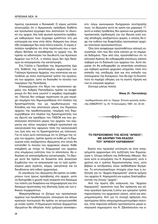πρώτος εγκαινίασε ο Roosevelt. Ο νόμος ωστόσο αναγνωρίζει ότι ο Αμερικανός πρόεδρος διαθέτει και προσωπικά έγγραφα που αποτελούν το ιδιωτικό του αρχείο. Και πάλι φυσικά προκύπτει πρόβλημα καθορισμού ποια έγγραφα εμπίπτουν στη μια κατηγορία και ποια στην άλλη -διάκριση που όπως ήδη αναφέραμε δεν είναι πάντα εύκολη. Ο νόμος ετιπλέον προβλέπει ότι στην περίπτωση που ο πρόεδρος θελήσει να εκκαθαρίσει το αρχείο του, θα πρέπει να ειδοποιήσει τον διευθυντή των Κρατικών Aρχείων των Η.Π.Α., ο οποίος όμως δεν έχει δικαίωμα να απαγορεύσει την καταστροφή.

Στη Γαλλία η Προεδρία της Δημοκρατίας έχει στη διάθεσή της αποσπασμένο αρχειονόμο των Γαλλικών Κρατικών Αρχείων, που εποπτεύει και κατευθύνει με πολύ συστηματικό τρόπο την οργάνωση των αρχείων, ώστε να διασωθεί το σύνολο των τεκμηρίων της Προεδρίας.

Eπανερχόμενοι στο θέμα του προσωπικού αρχείου του Ανδρέα Παπανδρέου πρέπει να αναφέρουμε ότι δεν είναι γνωστό τι ακριβώς περιλαμβάνει. Πάντως δεν υπάρχει περίπτωση να μην περιέχει τεκμήρια που δημιουργήθηκαν στο πλαίσιο της δραστηριότητάς του ως πρωθυπουργού της Eλλάδας και που αποτελούν μέρος του δημόσιου αρχείου της πρωθυπουργίας, τεκμήρια που δημιουργήθηκαν στο πλαίσιο της δραστηριότητάς του ως ιδρυτή και προέδρου του ΠΑΣΟΚ και που φυσιολογικά αποτελούν μέρος του αρχείου του κόμματος και τέλος τεκμήρια καθαρά προσωπικά και οικογενειακά που αφορούν τόσο την οικογενειακή του ζωή όσο και τη δραστηριότητα ως πολιτικού. Για το λόγο αυτό πιστεύουμε ότι το ζήτημα της τύχης του αρχείου, πρέπει άμεσα να λυθεί με τη δημιουργία ενός ανεξάρτητου ιδρύματος στο οποίο θα κατατεθεί το σύνολο του αρχειακού υλικού. Κάθε επέμβαση με στόχο το διαχωρισμό του αρχείου στις επιμέρους ενότητες που το αποτελούν, θα οδηγήσει σε ανεπανόρθωτες καταστροφές. Το ίδρυμα αυτό θα πρέπει να διοικείται από Διοικητικό Συμβούλιο που να εκπροσωπεί και τα τρία εμπλεκόμενα μέρη (κράτος, κόμμα, οικογένεια) και να διευθύνεται από ειδικό αρχειονόμο.

Οι υπεύθυνοι του ιδρύματος θα πρέπει να καθορίσουν τους όρους πρόσβασης στο αρχείο, ώστε να διατηρηθεί η χρυσή τομή ανάμεσα στο δικαίωμα του πολίτη για διαφάνεια και πληροφόρηση και στο δικαίωμα προστασίας της ιδιωτικής ζωής και των εθνικών συμφερόντων.

Μακροπρόθεσμα το ζήτημα των προσωπικών αρχείων των πρωθυπουργών, υπουργών και άλλων κρατικών λειτουργών θα πρέπει να αντιμετωπισθεί με ενιαίο τρόπο. Η δημιουργία πολλών ξεχωριστών ιδρυμάτων θα οδηγήσει πολύ γρήγορα αναπόφευKΤα -λόγω οικονομικών δυσχερειών συντήρησής τους- τα ιδρύματα αυτά σε κρίση και μαρασμό. Γι' αυτό οι καλές προθέσεις δεν αρκούν και χρειάζεται προσεκτικός σχεδιασμός για την ίδρυση ενός κοινής αποδοχής ανεξάρτητου φορέα, ο οποίος θα έχει την ευθύνη της διαφύλαξης προσωπικών αρχείων πολιτικών προσωπικοτήτων.

Όλα όσα αναφέραμε προϋποθέτουν αλλανή νοοτροπιών, κάτι που δεν είναι εύκολο με τα σημερινά δεδομένα. Πριν από όλα, προϋποθέτουν ότι το ελληνικό Κράτος θα ενδιαφερθεί επιτέλους κάποτε σοβαρά για τη διάσωση των αρχείων του. Αυτό σημαίνει ότι θα ενδιαφερθεί να αποκτήσει επιτέλους μια σοβαρή κρατική αρχειακή υπηρεσία, τόσο στο επίπεδο της υποδομής όσο και στο επίπεδο του οτελεχιακού της δυναμικού, που θα έχει τη δυνατότητα να παρέχει οδηγίες για τη σωστή τήρηση και των εν ενεργεία αρχείων.

Zητούμε μήπως πολλά;

#### *Nίκος Στ. Παντελάκης*

\* αναδημοσίευση από το 15μερο *Έντυπο κριτικής ανάλυ-* $\sigma$ ης ΣΑΜΙΖΝΤΑΤ, τχ. ΙΧ/ 15 Ιανουαρίου 1997, σσ. 20-22.



#### **ΤΟ ΠΕΡΙΕΧΟΜΕΝΟ ΤΗΣ ΛΕΞΗΣ "ΑΡΧΕΙΟ": ΜΕ ΑΦΟΡΜΗ ΤΗΝ ΕΚΔΟΣΗ TOY "APXEIOY KAPAMANAH"**

Εκείνο που προκαλεί εντύπωση σε έναν επαγγελματία αρχειονόμο στη συζήτηση που δημιούργησε η 12τομη έκδοση της Εκδοτικής Αθηνών, δεν είναι ούτε οι εκτιμήσεις του Κ. Καραμανλή, ούτε ο χρόνος και ο τρόπος δημοσιοποίησης τους, ούτε βέβαια οι αντιδράσεις όσων αισθάνθηκαν θιγόμενοι. Το εντυπωσιακότερο στοιχείο είναι πως η συζήτηση για τα "Αρχεία Καραμανλή" γίνεται ερήμην του αρχείου Κ. Καραμανλή και κυρίως διαστρεβλώ-VOVTας την έννοια "αρχείο".

Aπό την πρώτη ήδη ανάγνωση του "Αρχείου Kαραμανλή" προκύπτει πως δεν πρόκειται για κάποιο εργαλείο έρευνας ή έστω για ορισμένο τρόπο παρουσίασης του αρχειακού υλικού, αλλά για απομνημονεύματα. Αντί για τη συνεχή αφήγηση που προτίμησαν άλλοι απομνημονευματογράφοι πολιτικοί, στην παρούσα έκδοση προτάσσονται μικρά εισαγωγικά σημειώματα του Κ. Σβολόπουλου και α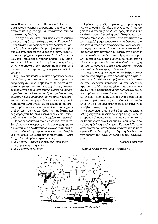κολουθούν κείμενα του Κ. Καραμανλή. Ενίοτε παρατίθενται επιλεγμένα αποσπάσματα από τον ημερήσιο τύπο της εποχής και σπανιότερα από τα πρακτικά της Βουλής.

Το αρχείο όμως υποτίθεται πως είναι το φυσικό απότοκο της δραστηριότητας του Κ. Καραμανλή. Είναι δυνατόν να περιορίζεται στα "επίσημα" (οριστικά, ορθονραφημένα, άκαμπτα) κείμενα που βρίσκουμε στην έκδοση της Εκδοτικής Αθηνών; Δεν υπάρχουν πρόχειρα σημειώματα; Δε βρέθηκαν σημειώσεις, διαγραφές, τροποποιήσεις; Δεν υπάρχουν επιστολές προς πολίτες, φίλους, συνεργάτες; Ο Κ. Καραμανλής δεν διέθετε προσωπική ζωή; Είναι δυνατόν να μην υπάρχει εισερχόμενη αλληλογραφία;

Όχι μόνο απουσιάζουν όλα τα παραπάνω αλλά ο αναγνώστης συναντά κείμενα τα οποία εμφανέστατα γράφτηκαν για να διαβαστούν. Και τούτο αυτόματα ακυρώνει την έννοια του αρχείου ως συνόλου τεκμηρίων τα οποία κατά τρόπο φυσικό και αυθόρμητο έχουν προκύψει από τις δραστηριότητες ενός φυσικού ή νομικού προσώπου. Με άλλα λόγια εκείνο που ανήκει στο αρχείο δεν είναι η άποψη του Κ. Καραμανλή αλλά αντιθέτως τα τεκμήρια που εκείνος παρήγαγε ή έλαβε προσπαθώντας να διαχειριστεί τη ζωή του και τις τύχες της παράταξης και της χώρας του. Και είναι εκείνα ακριβώς που απουσιάζουν από τη έκδοση του "Αρχείου Καραμανλή".

Παρότι η πολυσημία των λέξεων είναι ένα σύνηθες γλωσσικό φαινόμενο, ωστόσο είναι χρήσιμο να διακρίνουμε τις λανθάνουσες έννοιες γιατί διαφορετικά κινδυνεύουμε χρησιμοποιώντας τις ίδιες λέξεις να μιλάμε για διαφορετικά πράγματα. Η λέξη "αρχείο" περιλαμβάνει τρεις έννοιες:

- 1. του κτιρίου χώρου φύλαξης των τεκμηρίων
- 2. της αρχειακής υπηρεσίας
- 3. του συνόλου τεκμηρίων

Πρόσφατα, η λέξη "αρχείο" χρησιμοποιήθηκε για να αποδοθεί μία τέταρτη έννοια, αυτή του αρχειακού συνόλου (ο γαλλικός όρος "fonds" και ο αγγλικός όρος "record group" διακρίνονται από τον όρο "archives"). Στην τελευταία περίπτωση ο όρος "αρχείο" χρησιμοποιείται για να δηλώσει το ορισμένο σύνολο των εγγράφων που έχει δεχθεί ή παρανάνει ένα νομικό ή φυσικό πρόσωπο στα πλαίσια των δραστηριοτήτων του. Τέλος, στη συζήτηση που προκάλεσε η έκδοση των "Αρχείων Καραμανλή", η οποία δεν ανταποκρίνεται σε καμία από τις τέσσερις παραπάνω έννοιες, είναι ιδιάζουσα η χρήση του πληθυντικού (αρχεία αντί αρχείο) - προφανώς κατ' αναλογία προς το "archives".

Τα παραπάνω έχουν σημασία στο βαθμό που δεν αφορούν το συγκεκριμένο πρόσωπο ή τη συγκεκριμένη στιγμή αλλά χαρακτηρίζουν τη συνολική στάση της ελληνικής κοινωνίας και του ελληνικού Κράτους στο θέμα των αρχείων. Η παρανόηση των εννοιών και η εσφαλμένη χρήση των λέξεων δεν είναι παρά συμπτώματα. Το κεντρικό ζήτημα είναι η μεταχείριση που επεφύλαξε η Ελλάδα στα τεκμήρια του παρελθόντος της και η αδυναμία της να δομήσει ένα δίκτυο αρχειακών υπηρεσιών ικανό να αναλάβει τη διαχείριση τους.

Μοιραίο είναι στον ισχνό χώρο των αρχείων οι λέξεις να χάνουν τελείως το νόημά τους. Ποιος θα μπορούσε άλλωστε να τις υπερασπιστεί; Αν κάποιος θα έπρεπε να είχε θιγεί από το θόρυβο που προκάλεσε η έκδοση του"Αρχείου Καραμανλή", αυτοί είναι εκείνοι που ασχολούνται επαγγελματικά με τα αρχεία. Γιατί, δυστυχώς, η συζήτηση δεν έγινε μόνον ερήμην των αρχείων αλλά και των αρχειονόμων.

#### Ανδρέας Μπάγιας



αναδημοσίευση από την εφημερίδα "TA NEA", 9.6.97

\* αναδημοσίευση από το "Βήμα", Κυριακή 1.6.97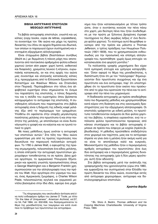#### ΒΙΒΛΙΑ ΑΝΤΙΓΡΑΦΗΣ ΕΠΙΣΤΟΛΩΝ ΜΕΘΟΔΟΙ ΑΝΤΙΓΡΑΦΗΣ

Τα βιβλία αντιγραφής επιστολών, γνωστά και ως κόπιες (copy books, copie de lettres, copialettere), τα συναντάμε τον 19ο αιώνα και μέχρι τις πρώτες δεκαετίες του 20ου σε αρχεία δημόσια και ιδιωτικά, των οποίων οι παρανωνοί έχουν συστηματική και εκτεταμένη εξερχόμενη αλληλογραφία.

Είναι σταχωμένα βιβλία (διαστάσεων συνήθως 29x24 εκ.) με δερμάτινη ή πάνινη ράχη που αποτελούνται από πεντακόσια αριθμημένα φύλλα ειδικού χαρτιού (onion skin paper: χαρτί λεπτό, ανθεκτικό και διαφανές), χρώματος λευκού ή κίτρινου, ευρωπαϊκής κατασκευής, αν και στις αρχές του αιώνα μας συναντάμε και ελληνικής κατασκευής κόπιες (π.χ. προερχόμενες από το Ελληνικόν Εργοστάσιον Καταστίχων και Φακέλων Μάνου και Στασινάκη στον Πειραιά). Περιλαμβάνουν στο τέλος ένα αλφαβητικό ευρετήριο όπου σημειώνεται το όνομα του παραλήπτη της επιστολής, ο τόπος διαμονής του και η σελίδα του ευρετηρίου όπου βρίσκεται καταχωρημένο το αντίγραφο της επιστολής. Η συνηθισμένη αλλοίωση που παρατηρείται στα βιβλία αντιγραφής είναι η διάχυση της ειδικής καφέ μελάνης έξω από το περίγραμμα των γραμμάτων. Υποθέτω ότι οφείλεται στην ύπαρξη μεγαλύτερης ποσότητας μελάνης στο πρωτότυπο ή και στην ποιότητα της μελάνης, με αποτέλεσμα να είναι δυσανάγνωστη η γραφή και να καίγεται και να τρυπά τοπικά το χαρτί.

Με ποιες μεθόδους όμως γινόταν η αντιγραφή των επιστολών αυτών;<sup>1</sup> Στα τέλη του 18ου αιώνα εμφανίστηκε μία από τις πρώτες τεχνολογίες που διευκόλυνε την παραγωγή πολλαπλών αντιγράφων. Το 1780 ο James Watt, ο εφευρέτης της πρώτης ατμομηχανής, τελειοποίησε ένα είδος μελάνης, η οποία επέτρεπε την αντιγραφή πρωτοτύπων χειρογράφων τοποθετώντας τα σε πρέσα. Δέκα χρόνια αργότερα, το αμερικανικό Υπουργείο Εξωτερικών και αρκετές γνωστές προσωπικότητες όπως o George Washington και ο Benjamin Franklin χρησιμοποιούσαν για την αλληλογραφία τους την πρέσα του Watt. Λίγο αργότερα στο γύρισμα του αιώνα, ένας Αμερικανός ζωγράφος, ο Charles Wilson Peale, τελειοποιώντας αγγλικά και γερμανικά μοντέλα βασισμένα στην ίδια ιδέα, εφεύρε ένα μηχάνημα που ήταν κατασκευασμένο με τέτοιο τρόπο ώστε, όταν ο συντάκτης κινούσε την πένα πάνω στο χαρτί, μία δεύτερη πένα που ήταν συνδεδεμένη με την πρώτη με ξύλινους βραχίονες έγραφε ταυτόχρονα τις ίδιες ακριβώς λέξεις σ' ένα δεύτερο φύλλο χαρτιού. Το σύστημα αυτό θεωρήθηκε ανώτερο από την πρέσα και μάλιστα ο Thomas Jefferson, ο τρίτος πρόεδρος των Ηνωμένων Πολιτειών (1801-1809), που το χρησιμοποιούσε ενθουσιωδώς για την προσωπική και επίσημη αλληλογραφία του, προσπάθησε -χωρίς όμως επιτυχία- να κατασκευάσει ένα φορητό μοντέλο.<sup>2</sup>

Τα πολλαπλής γραφής μηχανήματα δεν είχαν ποτέ εμπορική επιτυχία και γρήγορα καταργήθηκαν. Όσον αφορά το θέμα της μοναδικότητας, η διαπίστωση ήταν ότι με τον "πολύγραφο" δημιουργούνταν δύο πρωτότυπα συγχρόνως και όχι ένα πρωτότυπο και ένα αντίγραφο, παρ' ότι υποστηρίχθηκε ότι το πρωτότυπο ήταν εκείνο που προέκυπτε από το χέρι που κρατούσε την πένα και το αντίγραφο από την πένα του μηχανισμού.

Η διαδικασία αντιγραφής με πρέσα αποδείχθηκε πολύ πιο δημοφιλής μέθοδος και χρησιμοποιήθηκε κατά κόρον στη διοίκηση και στις οικονομικές δραστηριότητες για την εξερχόμενη αλληλογραφία. Οι επιστολές γράφονταν με ειδική μελάνη, το πρωτότυπο τοποθετούνταν ανάμεσα σε δύο φύλλα χαρτιού του βιβλίου, η επιφάνεια υγραινόταν, ενώ τα υπόλοιπα φύλλα προστατεύονταν προφανώς από κάποιο στυπόχαρτο και το βιβλίο αντιγραφής έμπαινε σε πρέσα που έσφιγγε με κοχλία (πρέσα βιβλιοδεσίας). Η μέθοδος προϋπέθετε επιδεξιότητα στον χειρισμό και ταχύτητα, μιας και το αντίγραφο έπρεπε να γίνει όσο η μελάνη ήταν ακόμη νωπή για να είναι το αποτέλεσμα καλό και ευκρινές. Μειονεκτήματα της μεθόδου ήταν ο περιορισμένος αριθμός αντιγράφων του πρωτοτύπου (ένα έως δύο αντίγραφα) και ο περιορισμένος χρόνος δυνατότητας της αντιγραφής (μία ή δύο μέρες αργότερα, αυτή ήταν αδύνατη).

Στα βιβλία αντιγραφής μετά την ανάπτυξη της γραφομηχανής που χρονολογείται γύρω στα 1880, και εμφανίζεται πιο συστηματικά στην Ελλάδα την πρώτη δεκαετία του 20ου αιώνα, συναντάμε εκτός από αντίγραφα χειρογράφων, αντίγραφα και δακτυλογραφημένων επιστολών.

Χριστίνα Βάρδα

<sup>&#</sup>x27;Τις πληροφορίες που ακολουθούν άντλησα από ένα πολύ ενδιαφέρον άρθρο του James Ο' Toole, με τίτλο "On the Idea of Uniqueness", American Archivist, vol.57, no 54, Fall 1994, σσ. 632-658, που διαπραγματεύεται το θέμα της μοναδικότητας των τεκμηρίων και κατά συνέπεια το πρόβλημα των πρωτοτύπων και αντιγράφων.

<sup>&</sup>lt;sup>2</sup> BA. Silvio A. Bedini, Thomas Jefferson and his Copying Machines. Charlottesville: University of Virginia Press, 1994.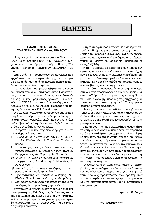### ΕΙΔΗΣΕΙΣ

#### ΣΥΝΑΝΤΗΣΗ ΕΡΓΑΣΙΑΣ ΤΩΝ ΓΕΝΙΚΩΝ ΑΡΧΕΙΩΝ του ΚΡΑΤΟΥΣ

Στις 3 και 4 Ιουνίου πραγματοποιήθηκε στο Βόλο, με τη φροντίδα των Γ.Α.Κ.- Αρχείων Ν. Μαγνησίας και τη συνδρομή του Δήμου Βόλου, "Συνάντηση εργασίας" αρχειακών υπαλλήλων των  $\Gamma.A.K.$ 

Στη Συνάντηση συμμετείχαν 30 αρχειακοί που εργάζονται στις περιφερειακές αρχειακές υπηρεσίες με απόσπαση από τη Δευτεροβάθμια Εκπαίδευση τα τελευταία δύο χρόνια.

Τις εργασίες, που φιλοξενήθηκαν σε αίθουσα του πανεπιστημιακού συγκροτήματος Παπαστράτου, τίμησαν με την παρουσία τους οι κ.κ. Ζαχαρόπουλος, Ειδικός Γραμματέας Αρχείων & Βιβλιοθηκών του ΥΠΕΠΘ, ο κ. Χαρ. Παπαστάθης, ο κ. Β. Κρεμμυδάς και ο κ. Χρ. Λούκος, Πρόεδρος και μέλη της Εφορείας των Γ.Α.Κ. αντίστοιχα.

Ο κ. Ζαχαρόπουλος στο σύντομο χαιρετισμό που απηύθυνε, επισήμανε ότι αποτελεσματικότερη αρχειακή πολιτική θεωρείται εκείνη που αντιμετωπίζει το "πρόβλημα" από τη γέννησή του, δηλαδή από το στάδιο συγκρότησης των αρχείων.

Το πρόγραμμα των εργασιών διαρθρώθηκε σε πέντε θεματικές ενότητες:

- 1. Οι θεσμοί και η λειτουργία των Γ.Α.Κ. (ομιλητές: Αικ. Εξαδακτύλου, Ρ. Χουρδάκη, Στ. Φωτοπούλου)
- 2. Η πρόσκτηση των αρχείων οι σχέσεις με τις τοπικές κοινωνίες (ομιλητές: Κ. Χατζηγιάννη, Δ. Γεωργόπουλος, Αν. Μηλίτση, Αν. Πρασσά)
- 3α. Οι τύποι των αρχείων (ομιλητές: Μ. Κολυβά, Δ. Γεωργόπουλος, Αν. Μηλίτση, Ν. Μπαμίδης, Κ. Λυκουρίνος)
- 3β. Ιδιωτικά αρχεία και Ιστορία (ομιλητές: Β. Κρεμμυδάς, Αν. Πρασσά, Χρ. Λούκος)
- 4. Εγκαταστάσεις και ασφάλεια (ομιλητές: Αικ. Εξαδακτύλου, Ν. Καραπιδάκης, Ν. Μπαμίδης)
- 5. Διαχείριση των αρχείων και απόδοση στο κοινό (ομιλητές: Ν. Καραπιδάκης, Χρ. Λούκος).

Στην πρώτη συνεδρία αναπτύχθηκε ο ρόλος και η συμμετοχή της Ελλάδος στις διαδικασίες χάραξης και υλοποίησης κοινής ευρωπαϊκής πολιτικής, ενώ υπογραμμίστηκε ότι το γόνιμο αρχειακό έργο θα διασφαλιστεί με τη συνεργασία της διεθνούς αρχειακής κοινότητος.

Στη δεύτερη συνεδρία τονίστηκε η σημερινή επιταγή για διεύρυνση του ρόλου του αρχειακού, εξαιτίας του ολοένα αυξανόμενου όγκου πληροφοριών που παράγονται από τον δημόσιο και ιδιωτικό τομέα και μάλιστα σε μορφές που βρίσκονται σε συνεχή εξέλιξη.

Η τρίτη συνεδρία αφιερώθηκε στους τύπους των αρχείων, δημόσιων και ιδιωτικών, και αναπτύχθηκαν διεξοδικά οι προβληματισμοί διαχείρισης δημοτικών, συμβολαιογραφικών, οθωμανικών και εκκλησιαστικών αρχείων καθώς και αρχείων εμπορικών και βιομηχανικών επιχειρήσεων.

Στην τέταρτη συνεδρία έγινε εκτενής αναφορά στις διεθνείς προδιαγραφές αρχειακού κτιρίου και στα προβλήματα λειτουργικότητας και ασφάλειας που θέτει η έλλειψη υποδομής στις σύγχρονες κατασκευές, των οποίων η χρηστική αξία ως αρχειοστασίων είναι περιορισμένη.

Τέλος, στην πέμπτη συνεδρία αναπτύχθηκαν οι τύποι ευρετηρίων-καταλόγων και οι ταξινομικές μέθοδοι καθώς επίσης και οι σχέσεις του αρχειακού υπαλλήλου-διαχειριστή της πληροφορίας με το ερευνητικό κοινό.

Από τη συζήτηση που ακολούθησε, αναδείχθηκε το ζήτημα των κανόνων που πρέπει να τηρούνται κατά την εκκαθάριση του αρχειακού υλικού, ζήτημα που κατέληξε στο ερώτημα: σήμερα, που φαίνεται αδύνατο να κρατάμε όλα τα αρχεία που παράγονται, οι κανόνες που διέπουν την επιλογή τους θα πρέπει να είναι τέτοιοι ώστε να δίνουν πιστή εικόνα του συνόλου των εγγράφων που παράχθηκαν είτε από ένα φορέα είτε σε κάποια χρονική στιγμή, ή η "γνώση" του αρχειακού είναι υποδεέστερη της ιστορικής ευθύνης του;

Όπως και να το αντιλαμβάνεται κανείς, οι πρωτοβουλίες που καταλήγουν σε "συναντήσεις" αρχειακών θα είναι πάντα απαραίτητες, γιατί θα προτείνουν δρόμους προσπέλασης των προβλημάτων που θα επιτρέψουν στο επάγγελμα του αρχειονόμου να επαναπροσδιοριστεί για να ανταποκριθεί στο ρόλο του.

Χριστίνα Β. Σάρρα

\*\*\*\*\*\*\*\*\*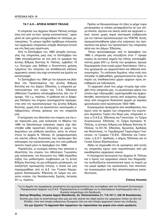#### **ΤΑ Γ.Α.Κ.- ΑΡΧΕΙΑ ΝΟΜΟΥ ΠΕΛΛΑΣ**

H υπηρεσία των Αρχείων Νομού Πέλλας κατέχει ίσως ένα από τα λίγα "ρεκόρ κινητικότητας", αφού μέσα σε τρία χρόνια υποχρεώθηκε σε τέσσερις μετακομίσεις. Το μόνιμο σχεδόν πρόβλημα στέγασης των αρχειακών υπηρεσιών υπήρξε ιδιαίτερα έντονο και στη δική μας περίπτωση.

Από το Σεπτέμβριο του 1993 (έναρξη λειτουργίας της υπηρεσίας μας) έως το Σεπτέμβριο του 1994 στεγαζόμασταν σε ένα από τα γραφεία της Δ/νσης Β/θμιας Εκπ/σης Ν. Πέλλας, εμβαδού 15 τ.μ. Ευτυχώς μας δόθηκε η δυνατότητα χρήσης τμήματος του υπογείου για αποθήκευση κάποιου αρχειακού υλικού που είχε εντοπιστεί και έμελλε να καταστραφεί.

Tο Σεπτέμβριο του 1994 με την έγκριση και βοήθεια του Προϊσταμένου της Δ/νσης Β/θμιας Eκπ/σης και του Δήμου Έδεσσας, η υπηρεσία μεταστεγάστηκε στο κτίριο του Τ.Α.Δ. Έδεσσας (Αθλητικό Γυμνάσιο) καταλαμβάνοντας όλο τον 4<sup>°</sup> όροφο, 100 τ.μ. περίπου. Η μίσθωση και οι διάφορες δαπάνες του κτηρίου (κοινόχρηστα) προέρχονταν από τον προϋπολογισμό της Δ/νσης Β/θμιας Eκπ/σης, χωρίς έτσι να προκύπτουν οικονομικές επιβαρύνσεις τέτοιας φύσεως για την υπηρεσία μας.

H αντίρρηση του ιδιοκτήτη του κτηρίου για την εκεί παρουσία μας, μας ανάγκασε το Μάρτιο του 1995 να ξεκινήσουμε ενέργειες (αφού είχε εξαντληθεί κάθε προοπτική στέγασης σε χώρο του Δημοσίου) για μίσθωση ακινήτου, ώστε να στεγαστούν τα Αρχεία Ν. Πέλλας. Οι γραφειοκρατικές και παντός είδους δυσκολίες που προέκυψαν δεν επέτρεψαν την εγκατάστασή μας στο υπό μίσθωση ακίνητο παρά μόνο το Δεκέμβριο του 1995.

Παράλληλα, οι συνεχείς πιέσεις που ασκούσε ο ιδιοκτήτης του κτιρίου του Αθλητικού Γυμνασίου μας ανάγκασαν, τον Αύγουστο του 1995 (περίοδος λήξης του μισθωτηρίου συμβολαίου με τη Δ/νση B/θμιας Εκπ/σης) σε μια ενδιάμεση μετακόμιση, σε αναζήτηση προσωρινής στέγης, η οποία και μας παραχωρήθηκε από το Δ.Σ. του Γενικού Νομαρχιακού Νοσοκομείου Έδεσσας σε τμήμα του ισογείου κτιρίου της Νοσηλευτικής Σχολής, έκτασης  $40$  T.u.  $\pi$ ερίπου.

Πρέπει να διευκρινίσουμε ότι όλες οι μέχρι τώρα μετακομίσεις οι οποίες μεταφράζονται σε ουκ ολίγα έπιπλα, όργανα και σκεύη αλλά και αρχειακό υλικό, έγιναν χωρίς καμιά οικονομική επιβάρυνση για τον τακτικό προϋπολογισμό του ΥΠΕΠΘ. Αυτές πραγματοποιήθηκαν χάρη στις ενέργειες του προσωπικού και φίλων του προσωπικού της υπηρεσίας αλλά και του Δήμου Έδεσσας.

Όπως προαναφέραμε, από το Δεκέμβριο του 1995 η υπηρεσία μας στεγάζεται στον 1° όροφο κτιρίου σε κεντρικό σημείο της πόλης, καταλαμβάνοντας χώρο 200 τ.μ. Εκτός των γραφείων, έχουμε διαμορφώσει έναν ενιαίο χώρο διαστάσεων 13x4 μ. που χρησιμεύει ως αρχειοστάσιο και αίθουσα αναγνωστηρίου. Τα υπόλοιπα δωμάτια, πλην ενός που στεγάζει τη βιβλιοθήκη, χρησιμοποιούνται προς το παρόν ως αποθηκευτικοί χώροι αρχείων προς εκκαθάριση και ταξινόμηση.

To αρχειακό υλικό που μέχρι στιγμής έχει εισαχθεί στην υπηρεσία μας, το μεγαλύτερο μέρος του οποίου έχει ταξινομηθεί, ευρετηριασθεί και αρχειοθετηθεί, αποτελείται (εκτός από ελάχιστες εξαιρέσεις) από σύγχρονα διοικητικά αρχεία με ακραίες χρονολογίες κατά προσέγγιση 1920-1990.

Συγκεκριμένα προέρχεται από εκκαθαρίσεις που έχουν γίνει σε αρχεία των υπηρεσιών του ευρύτερου Δημόσιου Τομέα στο Νομό μας, υπηρεσίες όπως ο Ο.Α.Ε.Δ. Έδεσσας και Γιαννιτσών, το Τμήμα Συγκοινωνιών Έδεσσας, το Τμήμα Εμπορίου Ν. Πέλλας, οι Δ/νσεις Α/θμιας και Β/θμιας Εκπ/σης Ν. Πέλλας, τα ΕΛ.ΤΑ. Έδεσσας, Άρνισσας, Αριδαίας και Φούστανης, το Ταχυδρομικό Ταμιευτήριο Γιαννιτσών, τα Γραφεία Τ.Ε.Β.Ε. Έδεσσας και Γιαννιτσών, η Δ.Ο.Υ. Αριδαίας, ο Δήμος Έδεσσας και το Γενικό Λύκειο Εξαπλατάνου.

Αξίζει να σημειωθεί ότι σε ορισμένες από αυτές τις υπηρεσίες έχουν γίνει περισσότερες από μία εκκαθαρίσεις αρχειακού υλικού.

H ολιγόχρονη λειτουργία των Αρχείων Ν. Πέλλας και ο όγκος του αρχειακού υλικού που διαχειρίζεται συνδυάζονται ικανοποιητικά προς το παρόν με τον μικρό αριθμό του προσωπικού, που αποτελείται συγκεκριμένα από δύο αποσπασμένους εκπαιδευτικούς.

#### $Στ*έλιος Κιοσσές*$

Για τα Αρχεία της περιφέρειας εσωκλείεται ένα ερωτηματολόγιο που συντάχθηκε από την Επιτροπή Συντονισμού Περιφερειακών Αρχείων της Ε.Α.Ε. Παρακαλούνται οι συνάδελφοι να το επιστρέψουν συμπληρωμένο όσο το δυνατόν πληρέστερα στη διεύθυνση:

Νέστωρ Μπαμίδης, Ιστορικό Αρχείο Μακεδονίας, Αλ. Παπαναστασίου 21, T.Θ.18111, 546 39 Θεσσαλονίκη. Σκοπός μας είναι να αποκτήσουμε όλοι μας μια όσο γίνεται πιο σαφή εικόνα του αρχειακού τοπίου σε όλη την Eλλάδα, τόσο από άποψη ανθρώπινου δυναμικού όσο και από άποψη αρχειακού υλικού και υποδομής.

Kai μην ξεχνάτε! Τα Αρχειακά Νέα περιμένουν την παρουσίαση του φορέα στον οποίο εργάζεστε.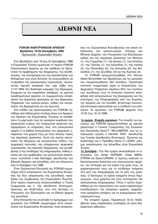# **¢IE£NH NEA ¢IE£NH NEA**

#### **FORUM HΛΕΚΤΡΟΝΙΚΩΝ ΑΡΧΕΙΩΝ Βρυξέλλες 18-20 Δεκεμβρίου 1996** *Οργανωτής : Ευρωπαϊκή Ένωση.*

Στις Βρυξέλλες από 18 έως 20 Δεκεμβρίου 1996 η Ευρωπαϊκή Ένωση οργάνωσε το πρώτο FORUM Hλεκτρονικών Αρχείων με την πρόθεση να εξεταστούν τα προβλήματα της διαχείρισης, της αποθήκευσης, της συντήρησης και της επανάκτησης των δεδομένων που είναι δυνατόν να αναγνωσθούν με τη βοήθεια της ηλεκτρονικής τεχνολογίας, υλοποιώντας σχετική απόφαση που είχε λάβει στις 17.07.1994 στη διάσκεψη κορυφής της Κέρκυρας. Σύμφωνα με την παραπάνω απόφαση, το σχετικό προβληματισμό όφειλαν να συμμεριστούν εκπρόσωποι της Δημόσιας Διοίκησης και των Αρχειακών Υπηρεσιών των κρατών-μελών, καθώς και εκπρόσωποι της βιομηχανίας και της έρευνας.

Στο στάδιο της προετοιμασίας του FORUM, ζητήθηκε από ειδικευμένα στελέχη όλων των Αρχείων των Κρατών της Ευρωπαϊκής Ένωσης να καταθέσουν τη μαρτυρία τους σε ορισμένα κεφάλαια που αφορούσαν κυρίως την υπάρχουσα πρακτική που εφαρμόζουν οι υπηρεσίες τους στα ηλεκτρονικά αρχεία ή το βαθμό συνεργασίας των αρχειακών υπηρεσιών των χωρών τους με τους άλλους τομείς της Δημόσιας Διοίκησης. Αυτή την πρώτη αποτύπωση του θεσμικού και οργανωτικού πεδίου, της αρχειακής πολιτικής, της υπάρχουσας αρχειακής τεχνολογίας, της σχετικής διαχείρισης, της μεταβίβασης ή της αποδοχής της πληροφορίας, καθώς επίσης και της πρόβλεψης των μελλοντικών απαιτήσεων, συντόνισε ο Ken Hannigan, Διευθυντής των Eθνικών Αρχείων της Ιρλανδίας, από τον Αύγουστο έως το Νοέμβριο του 1996.

Στην Οργανωτική Επιτροπή του FORUM συμμετείχαν πέντε εκπρόσωποι της Ευρωπαϊκής Επιτροπής και δύο εκπρόσωποι της Ιρλανδικής προεδρίας του Συμβουλίου της Ευρωπαϊκής Ένωσης. Στην πρώτη περίπτωση εκπροσωπήθηκε η Γενική Γραμματεία και η 12η Διεύθυνση Επιστημών, Έρευνας και Ανάπτυξης, ενώ στη δεύτερη το Υπουργείο των Εξωτερικών και τα Εθνικά Αρχεία της Ιρλανδίας.

Στην Επιτροπή που συνέταξε το πρόγραμμα των εργασιών του FORUM συμμετείχαν επτά εκπρόσωποι της Ευρωπαϊκής Επιτροπής, ένας εκπρόσωπος του Ευρωπαϊκού Κοινοβουλίου και είκοσι εκπρόσωποι των κρατών-μελών, στελέχη των Εθνικών Αρχείων, του Υπουργείου των Εξωτερικών καθώς και της Δημόσιας Διοίκησης του Βελγίου (1), της Γερμανίας (1), της Δανίας (1), της Ισπανίας (1), της Γαλλίας (1), της Ιρλανδίας (1), της Ιταλίας (2), της Ολλανδίας (2), της Αυστρίας (2), της Φινλανδίας (1), της Σουηδίας (3) και της Αγγλίας (3).

To FORUM πραγματοποιήθηκε στο Κέντρο Albert Borschette των Βρυξελλών και τις εργασίες του παρακολούθησαν 350 σύνεδροι. Υψηλότερο ποσοστό συμμετοχής είχαν οι εκπρόσωποι των Aρχειακών Υπηρεσιών (περίπου 60% του συνόλου των συνέδρων), ενώ το υπόλοιπο ποσοστό καλύφθηκε από εκπροσώπους της βιομηχανίας και της επιστήμης της Πληροφορικής από την Ευρώπη, την Αμερική και τον Καναδά. Αντίστοιχη ποσοστιαία κατανομή παρουσίασε και η σύνθεση των εισηγητών. Οι εργασίες του FORUM άρχισαν στις 14.30 στις 18.12.1996.

1η ημέρα, Έναρξη εργασιών: Την έναρξη των εργασιών του FORUM πραγματοποίησε με σχετικό χαιρετισμό ο Γενικός Γραμματέας της Ευρωπαϊκής Επιτροπής David F. WILLIAMSON, ενώ τις εισαγωγικές ομιλίες ο Hendrik TENT, Διευθυντής της Γενικής Διεύθυνσης Επιστημών, Έρευνας και Aνάπτυξης και ο Πρέσβης Denis O' LEARY, μόνιμος εκπρόσωπος της Ιρλανδίας στην Ευρωπαϊκή Ένωση.

*1η Συνεδρία :* Tην ίδια ημέρα ακολούθησαν οι εισηγήσεις των Johan HOFMAN, Claes GRAN-STROM και David LIPMAN. Ο πρώτος ανέλυσε τη διεπιστημονική διάσταση των ηλεκτρονικών αρχείων, την αντίληψη για τον κύκλο της ζωής τους, τα χαρακτηριστικά τους και το σύνδεσμο ανάμεσα στη ροή της πληροφορίας και τη ροή της εργασίας. Ο δεύτερος τη σχέση ανάμεσα στους δημιουργούς, τους χρήστες και τους συντηρητές της ηλεκτρονικής πληροφορίας. Τέλος ο τρίτος ασχολήθηκε με την παρουσίαση των τριών παράλληλων συνεδριάσεων της επόμενης ημέρας, εκφράζοντας ορισμένες απόψεις για τα αναμενόμενα αποτελέσματά τους.

Tην επόμενη ημέρα, Παρασκευή 19.12, διεξήχθησαν τρεις παράλληλες συνεδρίες σε τρεις διαφορετικές αίθουσες: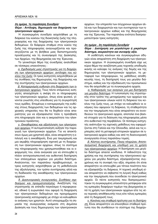#### 2η ημέρα, 1η παράλληλη Συνεδρία· Θέμα: Αντίληψη, δημιουργία και διαχείριση των ηλεκτρονικών αρχείων.

Η συγκεκριμένη συνεδρία ασχολήθηκε με τη διάρκεια του κύκλου της διοικητικής ζωής της πληροφορίας και της διαχείρισης των ηλεκτρονικών δεδομένων. Οι διάφοροι σταθμοί στον κύκλο της ζωής της πληροφορίας αναννωρίζονται και προσεγγίζονται με τη βοήθεια μιας διεπιστημονικής προσέγγισης και τη συνεισφορά της Διοίκησης, των Αρχείων, της Βιομηχανίας και της Έρευνας.

Το γενικότερο θέμα της συνεδρίας αναλύθηκε σε τέσσερις υποενότητες:

α. Σχεδιασμός μιας στρατηγικής για τη διαχείριση των ηλεκτρονικών αρχείων: αντίληψη του κύκλου της ζωής. Οι τρεις εισηγητές ασχολήθηκαν με τις συνθήκες της δημιουργίας, της διαχείρισης και της συντήρησης των ηλεκτρονικών αρχείων.

β. Καταμερισμός ευθυνών στη διαχείριση των ηλεκτρονικών αρχείων. Τους πέντε επόμενους εισηγητές απασχόλησε η σκέψη ότι οι πληροφορίες των ηλεκτρονικών αρχείων, όπως είναι φυσικό, γίνονται γνωστές στις υπεύθυνες για τη συγκρότησή τους ομάδες. Επομένως ο καταμερισμός της ευθύνης στους διαχειριστές των δεδομένων και τις αρχειακές υπηρεσίες που θα τα δεχθούν είναι απαραίτητος για να εξασφαλιστεί τόσο η πρόσβαση στη πληροφορία όσο και η ακεραιότητα του ηλεκτρονικού προϊόντος.

γ. Εκκαθαρίσεις και αξιολόγηση των ηλεκτρονικών αρχείων. Η αυτοματοποίηση αύξησε την παραγωγή των ηλεκτρονικών αρχείων. Για να αποκτήσουν όμως μια χρηστική αξία, είναι απαραίτητη η επιλογή και η εκκαθάριση. Ενώ μια τεκμηρίωση και μια ακριβής πληροφόρηση σχετική με τη διαχείριση των ηλεκτρονικών αρχείων, όπως το σύστημα της πληροφορικής που χρησιμοποιήθηκε και οι εφαρμογές του, είναι αναγκαία για να επιτευχθεί η πλέον αντιπροσωπευτική και αυθεντική διατήρηση των επιλεγμένων αρχείων για μεγάλο διάστημα. Αναλύοντας τον παραπάνω προβληματισμό, οι τρεις εισηγητές ασχολήθηκαν με τη μεθοδολογία της αξιολόγησης, τον τρόπο συντήρησης αλλά και τη διαδικασία της εκκαθάρισης των ηλεκτρονικών αρχείων.

δ. Διασυνοριακές συνερνασίες. Συνθήκες σχεδιασμού και πραγματοποίησης. Αναζήτηση της στρατηγικής σε επίπεδο παγκόσμιο ή περιφερειακό, εθνικό ή ευρωπαϊκό που αφορά τη διαχείριση των ηλεκτρονικών δεδομένων και προγράμματα ηλεκτρονικής καταγραφής με στόχο να καλυφθούν οι ανάγκες των χρηστών. Αυτό υπογραμμίζει τη σημασία της συνεργασίας ανάμεσα στη Δημόσια Διοίκηση και τους δημιουργούς των ηλεκτρονικών αρχείων, την υπηρεσία των σύγχρονων αρχείων αλλά και των διαχειριστών και των συντηρητών των ηλεκτρονικών αρχείων καθώς και της Βιομηχανίας και της Έρευνας. Την παραπάνω ενότητα διαπραγματεύτηκαν τρεις εισηγητές.

#### 2η ημέρα, 2η παράλληλη Συνεδρία·

#### Θέμα: Διατήρηση για μεναλύτερο ή μικρότερο διάστημα, ακεραιότητα και συναφής αξία.

Η υιοθέτηση κανόνων και συγκεκριμένων οδηγιών είναι απαραίτητη στη διαχείριση των ηλεκτρονικών αρχείων. Η συγκεκριμένη συνεδρία είχε ως κύριο θέμα την αναζήτηση μιας τεχνικής υποδομής ικανής να καλύψει τις ανάγκες της δομής και της δημιουργίας των ηλεκτρονικών αρχείων, τη μεταφορά των πληροφοριών, τις μεθόδους αποθήκευσής τους, τη διατήρησή τους για μεγάλο διάστημα, καθώς και την εξειδίκευση του προσωπικού που θα ασχοληθεί με τα συγκεκριμένα αρχεία.

α. Καθορισμός των αναγκών για μια διατήρηση για μεγάλο διάστημα. Η τυποποίηση της στρατηγικής στον τρόπο της μεταχείρισης των αρχείων και των ηλεκτρονικών υλικών κατά τη διάρκεια του κύκλου της ζωής τους, με στόχο να καλυφθούν οι ανάγκες που αφορούν τη διάρκεια, τη σταθερότητα και την τεκμηρίωση που είναι απαραίτητο να συνοδεύουν τα ηλεκτρονικά αρχεία, αποτελεί ένα βασικό στοιχείο για τη διάσωση της πληροφορίας μέσα στο αυθεντικό της περιβάλλον. Οι τέσσερις εισηγητές ανέπτυξαν τις σχετικές μεθόδους που εφαρμόζονται στη Γαλλία και την Ολλανδία, αλλά και τις εμπειρίες από τη μεταφορά ιστορικών αρχείων σε ηλεκτρονικά αρχεία καθώς και από τη διασυνοριακή συνεργασία στους παραπάνω τομείς.

β. Κόστος συντήρησης. Ποιος πληρώνει; Αποτελεσματική διαχείριση και υποδομή για τη χρήση των ηλεκτρονικών αρχείων. Η διατήρηση για μεγάλο διάστημα απαιτεί κονδύλια. Η πιθανότητα της χρήσης και της συντήρησης του ηλεκτρονικού αρχείου για μεγάλο διάστημα, εξασφαλίζοντας συγχρόνως και τη συναφή του αξία, σημαίνει ότι είναι απαραίτητο να επιτευχθεί μια τέτοια ποιότητα που να εξασφαλίζει τη διάρκεια. Η τεχνική υποδομή είναι απαραίτητο να σεβαστεί τη λογική δομή καθώς και την τεκμηρίωση που συνοδεύει το ηλεκτρονικό αρχείο. Οι πέντε εισηγητές που διαπραγματεύτηκαν τη συγκεκριμένη υποενότητα μετέφεραν είτε τις εμπειρίες διαφόρων τομέων της βιομηχανίας από τη χρήση των ηλεκτρονικών αρχείων είτε τις νέες τεχνικές αποθήκευσής τους είτε τέλος εμπειρίες από τη διαχείρισή τους.

γ. Κανόνες και σταθερά πρότυπα για τη διατήρηση. Είναι απαραίτητο να επινοηθούν σταθερά πρότυπα που θα συνθέσουν το σύστημα της διαχείρι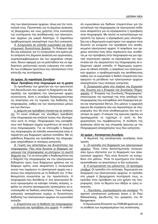σης των ηλεκτρονικών αρχείων, όπως και την τυποποίησή τους. Προοπτικές για τη Δημόσια Διοίκηση, τις βιομηχανίες και τους χρήστες στην ενοποίηση του συστήματος της αποθήκευσης των ηλεκτρονικών αρχείων για μακρό διάστημα. Ο παραπάνω προβληματισμός απασχόλησε τους δύο εισηγητές.

δ. Συνεργασία σε επίπεδο ευρωπαϊκό και διεπιστημονικό: δυνατότητες δράσης. Τα διάφορα σχέδια και ενέργειες για τη συνεργασία στα κράτη-μέλη ανάμεσα στη Δημόσια Διοίκηση και οργανώσεις, συμπεριλαμβανομένων και των αρχειακών υπηρεσιών, δίνουν αφορμή για να μελετηθούν και να σχεδιαστούν μελλοντικές κοινές ενέργειες στο επίπεδο των σταθερών προτύπων που αποσκοπούν στην επίτευξη της συντήρησης.

#### 2η ημέρα, 3η παράλληλη Συνεδρία· Θέμα: Πρόσβαση στην πληροφορία και τη χρήση

Οι προσδοκίες των χρηστών και των ερευνητών στη διευκόλυνση που αφορά τη διαχείριση και εξασφαλίζει την πρόσβαση στο ηλεκτρονικό αρχείο συναντώνται. Αυτή η συνεδρία διαπραγματεύτηκε τις απαιτήσεις και τις τεχνικές της διάδοσης της πληροφορίας, καθώς και των ηλεκτρονικών μέσων και των δικτύων.

α. Διάχυση και πρόσβαση (τοπική και σε απόσταση. Το κοινό επιθυμεί την ελεύθερη πρόσβαση στην πληροφορία και επιζητεί λύσεις που εξυπηρετούν αυτό το στόχο. Πληροφορίες που καταφθάνουν από διάφορα σημεία συμπίπτουν σε κοινά δίκτυα πληροφορικής. Για να επιτευχθεί η διάχυση της πληροφορίας σε επίπεδο ικανοποιητικό είναι απαραίτητη μια διαχείριση υψηλού επιπέδου. Με τις μεθόδους διάχυσης και πρόσβασης της πληροφορίας ασχολήθηκαν οι τέσσερις εισηγητές.

β. Γνώση των απαιτήσεων και δυνατότητες της πληροφορίας. Πώς είναι δυνατόν οι διάφοροι παραγωγοί της πληροφορίας να επιτύχουν τη σωστή διάχυσή της. Για να επιτευχθεί η διαθεσιμότητα και η διάχυση της πληροφορίας και του ηλεκτρονικού δεδομένου προς τους διάφορους χρήστες και τα διάφορα κράτη, είναι απαραίτητη η συνεργασία αυτών που παράγουν το ηλεκτρονικό αρχείο και εκείνων που ασχολούνται με τη διάδοσή του. Η διαθεσιμότητα συναντάται με την προσιτότητα. Η πληροφορία που διατίθεται σ' ένα ηλεκτρονικό δίκτυο προορισμένο να καλύψει τοπικές ανάγκες, οφείλει να υποστεί προσαρμογές προκειμένου να ανταποκριθεί σε διεθνείς απαιτήσεις. Τους τέσσερις εισηγητές απασχόλησαν κυρίως οι δυνατότητες διάδοσης των ηλεκτρονικών αρχείων σε ευρωπαϊκό επίπεδο.

γ. Στερεότυπα για τη διάδοση της πληροφορίας: προσέγγιση και πρόσβαση στα αρχεία. Η υιοθέτηση ευρωπαϊκών και διεθνών στερεοτύπων για την ανταλλαγή της πληροφορίας σε ηλεκτρονικό πεδίο είναι απαραίτητη για να εξασφαλιστεί η πρόσβαση στην πληροφορία. Με σκοπό να καταστήσουμε πιο προσιτή την έρευνα, η εξασφάλιση μιας υποστήριξης και η δημιουργία ευρετηρίων των αρχείων είναι δυνατόν να ενισχύσει την πρόσβαση στα αποθηκευμένα ηλεκτρονικά αρχεία. Η ασφάλεια των αρχείων αποτελεί έναν άλλο παράγοντα που συνδέεται με την πρόσβαση στην πληροφορία και μια σχετική στρατηγική οφείλει να εξασφαλίσει την προστασία και την ακεραιότητα της πληροφορίας σε εξαιρετικά υψηλό επίπεδο. Η δημιουργία ευρετηρίων σε εθνικό επίπεδο, η ασφάλεια των ηλεκτρονικών αρχείων, ο προβληματισμός της αποθήκευσης καθώς και τα ευρωπαϊκά ή διεθνή στερεότυπα που αφορούν τη μετάδοση των ηλεκτρονικών αρχείων απασχόλησαν τους τέσσερις εισηγητές.

δ. Συνεργασία μέσα στα πλαίσια της Ευρωπαϊκής Ένωσης και η Εταιρεία της Συνολικής Πληροφορίας. Η "Εταιρεία της Συνολικής Πληροφορίας" επικεντρώνει την προσοχή της στην αποδοχή της πληροφορίας που καταφθάνει από διαφορετικά μέσα και ηλεκτρονικά δίκτυα. Στο μέλλον η αρχειακή έρευνα θα στρέφεται όλο και περισσότερο σε πληροφορίες που θα είναι αποθηκευμένες όλο και λιγότερο σε χαρτί. Ο κόσμος της έρευνας οφείλει να προσαρμοστεί το ταχύτερο σ' αυτή τη διαφοροποίηση του περιβάλλοντος. Η σύνδεση της Διοίκησης αλλά και της ιστορικής έρευνας με την Πληροφορική απασχόλησαν τους δύο εισηγητές.

#### 3η ημέρα, Καταληκτική Συνεδρία.

Η θεματική της καταληκτικής συνεδρίας ήταν τριπλή.

α : Οι πρόοδοι στη διαχείριση των ηλεκτρονικών αρχείων. Ποιοι τύποι διεπιστημονικής συνεργασίας έχουν εξεταστεί για τη διαχείριση των ηλεκτρονικών αρχείων; Πώς είναι δυνατόν να ενισχυθούν στο μέλλον: Ήταν τα ερωτήματα στα οποία προσπάθησαν να απαντήσουν οι δύο εισηγητές.

β: Η αντιμετώπιση του μέλλοντος. Οι προσεχείς σταθμοί. Οι πρόοδοι στη σύλληψη, δημιουργία και διαχείριση των ηλεκτρονικών αρχείων, οι πρόοδοι στη μακρά ή βραχύχρονη συντήρησή τους, οι πρόοδοι στην πρόσβαση και στη χρήση της πληροφορίας, ήταν τα θέματα που έθιξαν οι τρεις εισηγητές.

γ : Προτάσεις, συμπεράσματα και συνέχεια. Τη σχετική καταληκτική εισήγηση έκανε ο Dr Paul Weissenberg, Διευθυντής του γραφείου του Dr Bangemann.

Η Οργανωτική Επιτροπή του FORUM φρόντισε για τη σύνθεση των συμπερασμάτων της συνάντησης.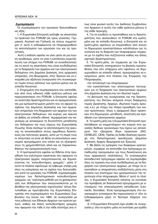#### Συμπεράσματα

Tα συμπεράσματα των εργασιών διατυπώθηκαν ως εξής:

1. Η Ευρωπαϊκή Επιτροπή ανέλαβε να αποστείλει τα πρακτικά του FORUM (σε τρεις γλώσσες: Γερμανικά, Αγγλικά και Γαλλικά) σε όσους συμμετείχαν σ' αυτό ή ενδιαφέρονται να πληροφορηθούν τα αποτελέσματα των ερνασιών του και τις προ-ΟΠΤΙΚές.

Aυτή η έκδοση οφείλει να γίνει μέσα σε μια λογική προθεσμία, ώστε να γίνει η κατάλληλη εκμετάλλευση των στόχων του FORUM, να συνειδητοποιήσει το κοινό τις απαιτήσεις που είναι συνδεδεμένες με τη διαχείριση των αρχείων και των ηλεκτρονικών δεδομένων στη Δημόσια Διοίκηση, στις αρχειακές υπηρεσίες, στη Βιομηχανία, στην Έρευνα και να ενισχυθεί μια αξιόλογη συνεργασία στο συγκεκριμένο τομέα στους κόλπους των κρατών-μελών και σε επίπεδο Κοινοτικό.

2. Στηριγμένη στα συμπεράσματα που κατατέθηκαν από τους ειδικούς κάθε κράτους-μέλους και παρουσιάστηκαν στο FORUM, η Επιτροπή οφείλει να αναπτύξει δραστηριότητα και να πραγματοποιήσει μια εμπεριστατωμένη μελέτη που να αφορά τις σχέσεις της Δημόσιας Διοίκησης και των αρχειακών υπηρεσιών στη διαχείριση των αρχείων και των ηλεκτρονικών δεδομένων, και κυρίως μια έρευνα σε βάθος σε επίπεδο εθνικό, περιφερειακό και παγκόσμιο με αντικείμενο τη δυνατότητα μετάδοσης του δεδομένου και τους νόμους της Ευρωπαϊκής Ένωσης. Είναι σκόπιμο τα αποτελέσματα της έρευνας να κοινοποιηθούν στους αρμόδιους διοικητικούς και πολιτικούς φορείς, ώστε με τη σειρά τους οι τελευταίοι να είναι σε θέση να εκπονήσουν οικοvομικά προγράμματα στα οποία και να εξασφαλίσουν τη χρηματοδότηση αλλά και να παρακολουθήσουν την πραγματοποίησή τους.

3. Η προτεραιότητα οφείλει να δίδεται στην προώθηση των καλύτερων πρακτικών που αφορούν τα ηλεκτρονικά αρχεία, ενεργοποιώντας και δημοσιεύοντας τις "κατευθυντήριες γραμμές": μέσα σ' αυτά τα πλαίσια οφείλουμε να λάβουμε υπόψη μας όλες τις εισηγήσεις και τα σχόλια που διατυπώθηκαν κατά τις εργασίες του FORUM, συμπεριλαμβανομένων των διεπιστημονικών κατευθυντήριων γραμμών, ως "καλύτερη μέθοδο για τη χρησιμοποί*ηση των δεδομένων που αναγιγνώσκονται με τη βοήθεια της ηλεκτρονικής τεχνολογίας*" (όπως διατυπώθηκε με πρωτοβουλία της Ευρωπαϊκής Επιτροπής στα συμπεράσματα του Ευρωπαϊκού Συμβουλίου τον Ιούνιο του 1994, σε συνεργασία με τους ειδικούς των Εθνικών Αρχείων των κρατών-μελών), καθώς και άλλες κατευθυντήριες γραμμές που αφορούν την τάδε ή την τάδε επιστήμη (και όπως είναι φυσικό αυτές του Διεθνούς Συμβουλίου των Αρχείων) ή αυτές του κάθε κράτους-μέλους ή της κάθε περιοχής.

4. Για να ενωθούν οι προσπάθειες και οι δραστηριότητες που ακολουθούν το FORUM στα κράτημέλη και σε επίπεδο Κοινοτικό, η Επιτροπή και τα κράτη-μέλη οφείλουν να επιμεληθούν από κοινού τη δημιουργία εγκαταστάσεων κατάλληλων για τη συλλογή και τη διάχυση των πληροφοριών σύμφωνα με τα σχέδια που συζητούνται καθώς και άλλες σχετικές δραστηριότητες.

5. Τα κράτη-μέλη, σε συμφωνία με την Ευρωπαϊκή Επιτροπή, επισημαίνουν τις βασικές προϋποθέσεις που είτε υπάρχουν είτε οφείλουν να δημιουργηθούν σε επίπεδο εθνικό, προορισμένες να ενισχύσουν μέσα στα πλαίσια της Εταιρείας της Πληροφορίας :

-την ανταλλαγή των πληροφοριών

-την εγκατάσταση των απαιτούμενων λειτουργιών για τη διαχείριση των ηλεκτρονικών αρχείων στη Δημόσια Διοίκηση και τον ιδιωτικό τομέα

-τη βελτίωση της συνεργασίας και της δραστηριότητας του δικτύου ανάμεσα στους διάφορους τομείς (Διοίκησης, Αρχείων, ιδιωτικού τομέα, έρευνας κ.ά.) με στόχο την πλήρη προώθηση των κοινών προοπτικών, όπως η εφαρμογή ίδιων πρακτικών στη δημιουργία, μετάδοση, αποστολή και πρόσβαση των ηλεκτρονικών αρχείων.

6. Τα κράτη-μέλη και η Ευρωπαϊκή Επιτροπή προσκλήθηκαν να συμμετάσχουν πιο ενεργά στις εργασίες διεθνών οργανισμών που έχουν ως αντικείμενο την εξεύρεση ίδιων πρακτικών (ISO, CENELEC, CEN). Πρέπει να δοθεί ιδιαίτερη προσοχή στη διεπιστημονική προσέγγιση (Δημόσια Διοίκηση, Αρχεία, Βιομηχανία και Έρευνα).

7. Mε βάση τις εμπειρίες των διαφόρων κρατώνμελών, συμφέρει να εκπονηθεί ένα πρόγραμμα εκπαίδευσης προορισμένο για τους διοικητικούς και τους αρχειακούς υπαλλήλους. Το συγκεκριμένο εκπαιδευτικό πρόγραμμα οφείλει να συμπεριλάβει όλες τις τεχνικές που είναι συνδεδεμένες με τη διαχείριση των ηλεκτρονικών αρχείων, με στόχο να αποκτηθούν οι απαραίτητες επιδεξιότητες μέσα στα πλαίσια των επιστημών που χρησιμοποιούν την τεχνολογία στην πληροφορία. Μέσα σ' αυτό το πλαίσιο, η Ευρωπαϊκή Επιτροπή καλείται να ευνοήσει την πρόσβαση σε διακοινοτικά προγράμματα με α-VTIKEÍμενο την επαγγελματική εκπαίδευση (Leonardo, Socrates). Ένας προγραμματισμός στο συγκεκριμένο αντικείμενο θα παρουσιαστεί σ' όλα τα ενδιαφερόμενα μέρη το δεύτερο εξάμηνο του 1997.

8. Η Ευρωπαϊκή Επιτροπή έχει κληθεί σε συνεργασία μ' όλα τα κράτη–μέλη να συστήσει μια ομάδα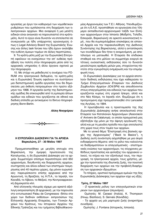εργασίας με έργο τον καθορισμό των νομοθετικών ρυθμίσεων που εμπλέκονται στη διαχείριση των ηλεκτρονικών αρχείων. Μια αναφορά ή μια μελέτη ειδικών είναι αναγκαίο να παρουσιαστεί στα κράτημέλη. Αυτό το έργο είναι δυνατόν να επιτελεστεί σε συνεργασία με ήδη υπάρχοντες οργανισμούς όπως η Legal Advisory Board της Ευρωπαϊκής Ένωσης και άλλες task forces που ήδη έχουν αναλάβει την ευθύνη όμοιων τομέων σε άλλες περιπτώσεις.

9. Τα κράτη-μέλη μαζί με την Ευρωπαϊκή Επιτροπή οφείλουν να ενισχύσουν την απ' ευθείας πρόσβαση του πολίτη στην πληροφορία μέσα από τις αρχειακές υπηρεσίες ή άλλα όργανα σχετικά με την πληροφορία.

10. Με στόχο να μεθοδευτεί η συνέχεια του FO-RUM στα ηλεκτρονικά δεδομένα, τα κράτη-μέλη και η Ευρωπαϊκή Ένωση οφείλουν να συστήσουν μια διεπιστημονική ομάδα εργασίας που θα δημοσιεύσει μια έκθεση πεπραγμένων στο πρώτο εξάμηνο του 1998. Η εργασία αυτής της διεπιστημονικής ομάδας θα επικουρηθεί από τη εμπειρία άλλων ομάδων και ειδικών που εργάζονται σε εθνικό και διεθνές επίπεδο με αντικείμενο το δίκτυο πληροφόρησης Bonn-Berlin.

*Aλίκη Νικηφόρου* 



#### **Η ΕΥΡΩΠΑΙΚΗ ΔΙΑΣΚΕΨΗ ΓΙΑ ΤΑ ΑΡΧΕΙΑ Βαρκελώνη, 27 - 30 Μαΐου 1997**

Πραγματοποιήθηκε με μεγάλη επιτυχία στη Βαρκελώνη, την όμορφη πρωτεύουσα της Καταλωνίας, η 5η Ευρωπαϊκή Διάσκεψη για τα αρ*χεία*. Συμμετείχαν επίσημα περισσότεροι από 650 αρχειονόμοι, διευθυντές και διαχειριστές αρχείων, συντηρητές και άλλοι ειδικοί των επιστημών τεκμηρίωσης από 40 περίπου χώρες, όχι μόνον ευρωπαϊκές: παρευρίσκοντο επίσης αρχειακοί από την Αργεντινή, τη Βραζιλία, τις Η.Π.Α., το Ισραήλ, τον Kαναδά, το Λίβανο, το Μεξικό, την Κεντροαφρικανική Δημοκρατία κλπ.

Aπό ελληνικής πλευράς είχαμε μια αρκετά αξιόλογη εκπροσώπηση (8 αρχειακοί), με την παρουσία στο εντυπωσιακό Palau de Congressos -δίπλα στο χώρο των διεθνών εκθέσεων- εκπροσώπων της Eλληνικής Αρχειακής Εταιρείας, των Γενικών Αρχείων του Κράτους, του Ιστορικού Αρχείου της Εθνικής Τράπεζας και του τμήματος Βιβλιοθηκονομίας-Αρχειονομίας των Τ.Ε.Ι. Αθήνας. Υπενθυμίζουμε ότι η Ε.Α.Ε. προσπάθησε να οργανώσει ένα 10ήμερο εκπαιδευτικό-αρχειονομικό ταξίδι των Ελλήνων αρχειονόμων στην Ισπανία (Μαδρίτη, Τολέδο, Eσκοριάλ, Βαρκελώνη) σε αρκετά ικανοποιητική τιμή, που θα συμπεριλάμβανε επισκέψεις σε ισπανικά Αρχεία και την παρακολούθηση της Διεθνούς Συνάντησης της Βαρκελώνης, αλλά η ανταπόκριση των συναδέλφων δεν ήταν η αναμενόμενη, με αποτέλεσμα να ματαιωθεί. Η Εταιρεία θα επιδιώκει σταθερά και στο μέλλον να συμμετέχει ενεργά σε τέτοιες ουσιαστικές εκδηλώσεις όσο το δυνατόν μεγαλύτερος αριθμός μελών μας, στοχεύοντας πά-VΤΟΤΕ στην εγκυρότερη ενημέρωση και την επιμόρφωσή τους.

Οι *Ευρωπαϊκές Διασκέψεις για τα αρχεία* αποτελούν διεθνείς εκδηλώσεις που έχει καθιερώσει το *Tμήμα Επαγγελματικών Εταιρειών του Διεθνούς Συμβουλίου Αρχείων (ICA/SPA)* και απευθύνονται στους επαγγελματίες και ειδικούς των αρχείων που εργάζονται κυρίως στη γηραιά ήπειρο, αλλά και στο Νέο Κόσμο, το Ισραήλ κλπ. Θυμίζουμε ότι η προηγούμενη είχε πραγματοποιηθεί στο Lancaster της Αγγλίας, το 1994.

H πρωτοβουλία και η προετοιμασία της 5ης *Eυρωπαϊκής Διάσκεψης* ανήκε αποκλειστικά στην Eταιρεία των Καταλανών Αρχειονόμων (Associacio d' Arxivers de Catalunya), οι οποίοι πραγματικά μας εξέπληξαν όχι μόνο με την άψογη οργάνωσή της, αλλά και με τη μεγάλη πρόοδο που έχει επιτελεστεί στη χώρα τους στον τομέα των αρχείων.

Mε το γενικό θέμα "Επιστροφή στις βασικές αρχές της Αρχειονομίας" ("Back to Basics"), η Διεθνής αυτή συνάντηση ασχολήθηκε με μια σειρά ενδιαφέροντα θέματα: από το ρόλο που καλούνται να διαδραματίσουν οι επαγγελματικές - επιστημο-VIΚές ενώσεις των αρχειονόμων, τις σύγχρονες μεθόδους προστασίας και φύλαξης του αρχειακού υλικού, τα κτίρια και τον εξοπλισμό τους, την περιγραφή, τα ηλεκτρονικά αρχεία, τους χρήστες, μέχρι την προστασία της ιδιωτικής ζωής, την ποιοτική διαχείριση των αρχείων και την προβολή-διαφήμιση των αρχειακών ιδρυμάτων.

Tο πλήρες, οριστικό πρόγραμμα ομιλιών της 5ης Eυρωπαϊκής Διάσκεψης των αρχείων είχε ως εξής:

#### **Τρίτη, 27 Μαΐου 1997**

- Ο πρακτικός ρόλος των επαγγελματικών εται*ρειών των αρχειονόμων (σεμινάριο).* 

Oμιλητές: Μ. Carassi (Ιταλία), K. Thompson (Ηνωμ. Βασίλειο), S. Gervais (Καναδάς).

*- Τα αρχεία ως μία μαρτυρία ζωής (εναρκτήρια* συνεδρία).

Oμιλητής: J. Fontana (Ιστορικός, Ισπανία).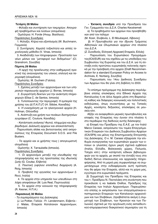#### **Tετάρτη 28 Μαΐου**

- Φύλαξη και συντήρηση των τεκμηρίων. Απογρα-**Φή προβλημάτων και λύσεων (ολομέλεια).** 

Oμιλήτρια: H. Forde (Ηνωμ. Βασίλειο).

Παράλληλες Συνεδρίες

1. Φύλαξη: *Κτίρια και εξοπλισμός* (W. Buchmann, Γερμανία)

2. Συντήρηση: Χαμηλή το*ξικότητα και απλές τεχνολογικές μέθοδοι* (V. Vinas, Ισπανία)

3. Αναδιάταξη των πληροφοριών: Προστασία των *νέων μέσων και "μεταφορά των δεδομένων"* (Cl. Granstrom, Σουηδία)

#### **Πέμπτη 29 Μαΐου**

- *Η αρχή της προέλευσης στην καθημερινή πρα-Κτική της αναγνώρισης του υλικού, επιλογή και περιγραφή* (ολομέλεια).

Oμιλητής: M. Duchein (Γαλλία).

Παράλληλες Συνεδρίες

1. Σχέσεις μεταξύ των αρχειονόμων και των υπη*ρεσιών παραγωγής αρχείων* (J. Borras, Ισπανία)

2. Συγκρότηση δεικτών για την ανάκτηση πληρο- $\omega$ ροριών (Elisa C. de Santos, Ισπανία)

3. Τυποποιώντας την περιγραφή: Η εμπειρία της  $\chi \rho \eta \sigma \eta \varsigma$  *του ΔΙ.Π.Α.Π.(Γ)* (Η. Stibbe, Καναδάς)

4. *H ενασχόληση με τα ηλεκτρονικά αρχεία* (H. Hofman, Ολλανδία)

5. *Ανάπτυξη και χρήση των πινάκων διατηρητέων*  $εγγράφων (C. Couture, Καναδάς)$ 

- Κατάσταση ανάγκης! Φωτιά, πλημμύρα και βομβαρδισμοί. Διάσωση αρχείων και αποκατάσταση.

Παρουσίαση slides και βιντεοταινίας από εκπροσώπους της Εταιρείας Document S.O.S. and File Busters.

- *Τα αρχεία και οι χρήστες τους* ( απογευματινή ολομέλεια)

Oμιλητής: X. Tarraubella (Ισπανία).

Παράλληλες Συνεδρίες

1. *Οι αρχειονόμοι μεταξύ της ελευθερίας της* πληροφόρησης και της προστασίας της ιδιωτικής *ζωής* (G. Coutaz, Ελβετία)

2. Ποιοτική (υψηλού επιπέδου) διαχείριση (A. Roig, Ισπανία)

3. Προβολή της εργασίας των αρχειονόμων (I. Ricci, Ιταλία)

4. Τα αρχεία στην υπηρεσία των υπευθύνων στη *λήψη αποφάσεων* (M. Luis Real, Πορτογαλία)

5. *Τα αρχεία στην κοινωνία της πληροφορικής* (R. Kesner, H.¶.A.)

#### **Παρασκευή 30 Μαΐου**

- Τα συμπεράσματα της Διάσκεψης

(J. Le Pottier, Γαλλία - Fr. Lendenmann, Ελβετία -J. Matas, Εταιρεία Καταλανών Αρχειονόμων, Iσπανία)

**- Έκτακτη συνεδρία** υπό την Προεδρεία του Γεν. Γραμματέα του Δ.Σ.Α. Charles Kecskemeti

a) *Τα προβλήματα των αρχείων που προσβλήθη-Καν από τον πόλεμο* 

(Μ. Kosir, Σλοβενία, L. El Moubayed, Λίβανος)

β) *Η Πρωτοβουλία για την ίδρυση Τμήματος Aθλητικών και Ολυμπιακών αρχείων στα πλαίσια*  $T$ *OU*  $\triangle$   $\Sigma$  *A*.

(Ζ. Συνοδινός, Ελληνική Αρχειακή Εταιρεία, Ελλάς)

Παρουσίαση του Ευρωπαϊκού Προγράμματος (ICA/EUR) και του σχεδίου με τις υποδείξεις του Συμβουλίου της Ευρώπης και του Δ.Σ.Α. για τη σύ-Vταξη ενός προτύπου ευρωπαϊκής πολιτικής σχετικά με την πρόσβαση στα αρχεία (Draft Recommendation for a standard European Policy on Access to Archives, E. Norberg, Σουηδία)

Παρουσίαση του 14ου Διεθνούς Συνεδρίου των Αρχείων που θα γίνει στη Σεβίλλη το 2000.

To επίσημο πρόγραμμα της Διάσκεψης περιλάμβανε επίσης επισκέψεις στα Εθνικά Αρχεία της Καταλωνίας ή σε άλλα Αρχεία μέσα στη Βαρκελώνη καθώς και διάφορες κοινωνικές και πολιτιστικές εκδηλώσεις, όπως συναντήσεις με τις Τοπικές Aρχές, κονσέρτα, δεξιώσεις, επισκέψεις σε μουσεία κλπ.

Aξίζει να αναφερθούν μερικές πρωτοβουλίες και επαφές της Εταιρείας που έγιναν στα πλαίσια ή στο περιθώριο της διεθνούς αυτής διάσκεψης:

α) Επαφή του Προέδρου της Ε.Α.Ε. με τον Ιταλό Marco Carassi, εκπρόσωπο του τομέα Επαγγελματικών Εταιρειών του Διεθνούς Συμβουλίου Αρχείων (ICA/SPA) και μέλος της Επιστημονικής Επιτροπής της Διάσκεψης. Ο κ. Μ. Carassi εξέφρασε την επιθυμία συνεργασίας των ευρωπαϊκών χωρών των οποίων οι γλώσσες έχουν μικρή σχετικά εμβέλεια (Ιταλία, Ελλάδα, Βαλκανικές χώρες, Πολωνία, Tσεχία κλπ.) στην κατάρτιση ειδικών βιβλιογραφιών για τα αρχεία, με σκοπό την ένταξή τους στα διεθνή δίκτυα επικοινωνίας και αρχειακής πληροφόρησης. Από τη μεριά μας συμφωνήσαμε να συμμετάσχουμε στην ενδιαφέρουσα αυτή πρόταση που θα φέρει την Εταιρεία, αλλά και τη χώρα μας, εγγύτερα στα ευρωπαϊκά πράγματα.

β) Συμμετοχή του Προέδρου της Εταιρείας και του τ. Προέδρου Ν. Παντελάκη στη συνάντηση που προκάλεσε η κα Isabela Orefice, Πρόεδρος της Eταιρείας των Ιταλών Αρχειονόμων. Παρευρίσκο-VΤΟ επίσης οι εκπρόσωποι των επαγγελματικών-επιστημονικών Εταιρειών των Καταλανών αρχειονόμων και των Σλοβάκων, (προβλέπεται ακόμη η συμμετοχή των Σλοβένων, των Κροατών και των Πολωνών) σχετικά με την οργάνωση ενός εκπαιδευτικού-επιμορφωτικού διακρατικού σεμιναρίου για τη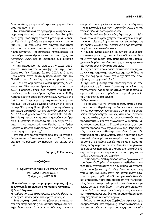διοίκηση-διαχείριση των σύγχρονων αρχείων (Records Management).

Tο Εκπαιδευτικό αυτό πρόγραμμα, ελαφρώς διαφοροποιημένο από το περσινό που δεν εξασφάλισε τη χρηματοδότηση από το Πρόγραμμα Leonardo Da Vinci, σχεδιάζεται για την επόμενη τριετία (1997-99) και αποβλέπει στη συγχρηματοδότησή του από τους εμπλεκόμενους φορείς και τα ευρωπαϊκά κονδύλια. Περισσότερες λεπτομέρειες θα μπορούμε να αναφέρουμε στο επόμενο τεύχος των *Aρχειακών Νέων* και σε ιδιαίτερες ανακοινώσεις της Ε.Α.Ε.

γ) Tην Παρασκευή 30 Μαΐου, στην τελευταία έ-Κτακτη Συνεδρία της Διάσκεψης υπό την Προεδρεία του Γεν. Γραμματέα του Δ.Σ.Α. κ. Charles Kecskemeti, έγινε σύντομη παρουσίαση από τον Πρόεδρο της Εταιρείας της πρωτοβουλίας της E.A.E. για τη δημιουργία ειδικού τμήματος Αθλητικών και Ολυμπιακών Αρχείων στα πλαίσια του Δ.Σ.Α. Πρόκειται, όπως είναι γνωστό, για τις προσπάθειες του Αντιπροέδρου της Εταιρείας κ. Αλέξη Κράους και της Επιτροπής Αθλητικών Αρχείων της E.A.E. που βρήκαν μια πρώτη ανταπόκριση στο περσινό 13ο Διεθνές Συνέδριο Αρχείων στο Πεκίνο με την "Επιτροπή Πρωτοβουλίας για τη σύσταση Tμήματος αθλητικών και ολυμπιακών αρχείων στο  $\Delta$ .Σ.Α." (βλ. *Αρχειακά Νέα*, τχ. 15/Δεκ. 1996, σσ. 34 -36). Με την ανακοίνωση αυτή ενημερώθηκαν άμεσα οι Ευρωπαίοι συνάδελφοι που δεν είχαν τη δυνατότητα να παραστούν στο Πεκίνο και υπήρξαν μάλιστα οι πρώτες αντιδράσεις για περαιτέρω πληροφόρηση και συμμετοχή.

Στο επόμενο τεύχος του περιοδικού θα αναφερθούμε αναλυτικά στα πεπραγμένα της Συνάντησης για μια πληρέστερη ενημέρωση των μελών της E.A.E.

*Zήσιμος X. Συνοδινός* 



#### **ΔΙΕΘΝΕΣ ΣΥΝΕΔΡΙΟ ΤΗΣ ΣΤΡΟΓΓΥΛΗΣ TPA¶EZA™ TøN APXEIøN** *¶ÚfiÁÚ·ÌÌ·, 1997-1999*

#### **Η πρόσβαση στην πληροφορία: νομικές όψεις,** τεχνολογικές προκλήσεις και θέματα φύλαξης. **1) Γενική Θεματική**

*H πρόσβαση στην πληροφορία: νομικές όψεις, τε*χνολογικές προκλήσεις και θέματα φύλαξης.

Mια μεγάλη πρόκληση εν μέσω της επανάστασης της πληροφορίας που απαιτεί επείγουσα ανάληψη δράσης σε τέσσερις κατευθύνσεις: την προσαρμογή των νομικών πλαισίων, την ολοκλήρωση της τεχνολογίας και των πρακτικών φύλαξης και την εκπαίδευση των αρχειονόμων.

Ένα ζωτικό και θεμελιώδες ζήτημα για τη βελτίωση των συνθηκών χρήσης των αρχείων και για την ανάπτυξη της Αρχειονομίας -ως επαγγέλματος και πεδίου γνώσης- που πρέπει να το προσεγγίσουμε μέσω τριών κατευθύνσεων:

• Νομικές όψεις: διεθνείς και εθνικές νομοθεσίες και κανονισμοί - αρχειονομικοί και άλλοι - που διέπουν την πρόσβαση στην πληροφορία που περιέχεται σε δημόσια και ιδιωτικά αρχεία και η προστασία των προσωπικών πληροφοριών.

• Τεχνολογικές προκλήσεις: επιπτώσεις των τεχνολογιών της ψηφιακής αποθήκευσης και διάθεσης της πληροφορίας πάνω στη διαχείριση της πρόσβασης στο αρχειακό υλικό.

• Ζητήματα φύλαξης του υποστρώματος και της πληροφορίας μέσα στα πλαίσια της ποικιλίας της τεχνολογικής προόδου, με στόχο τη μακροπρόθεσμη και διευρυμένη πρόσβαση στην πληροφορία που περιέχεται στα αρχεία.

#### **2) Περιεχόμενο**

Tα αρχεία, για να ανταποκριθούν πλήρως στο ρόλο τους ως θεμελιωτή των δικαιωμάτων των λαών και των ατόμων, ως οργάνου μνήμης, ως εργαλείου πληροφόρησης και ως σταθερού αρωγού της ανάπτυξης, πρέπει να αναγνωριστούν και να προστατευτούν και στη συνέχεια να διαδοθούν και να γίνουν προσβάσιμα. Σ' αυτό τον τομέα, οι πρόσφατες πρόοδοι των τεχνολογιών της Πληροφορικής προσφέρουν ενδιαφέρουσες δυνατότητες. Οι νομοθεσίες που αποβλέπουν στην προστασία των ατομικών δικαιωμάτων και στη διεύρυνση της πρόσβασης στα δημόσια αρχεία καθώς και οι προσπάθειες εκδημοκρατισμού των θεσμών που γίνονται σε ορισμένες περιοχές του κόσμου, αποτελούν επίσης ενθαρρυντικά σημεία και υποστηρίζουν το ρεύμα ανοίγματος των αρχείων.

Tα πρόσφατα διεθνή συνέδρια των αρχειονόμων του Διεθνούς Συμβουλίου Αρχείων ανέδειξαν την επιτακτική αναγκαιότητα για τον κλάδο να ανοιχτεί και να ανοίξει τα αρχεία. Οι ετήσιες συναντήσεις του CITRA κινήθηκαν στην ίδια κατεύθυνση· έφεραν στο φως το ρόλο κλειδί των αρχειακών θεσμών και υπηρεσιών τόσο στη διαχείριση της πληροφορίας όσο και στην ανεξαρτησία των ίδιων των αρχείων, σε μια εποχή όπου η πληροφορία επιβάλλεται ως δεύτερος στρατηγικός πόρος της κοινωνίας και καταλαμβάνει μια όλο και σημαντικότερη θέση στη διαχείριση των οργανισμών.

Άλλωστε, το Διεθνές Συμβούλιο Αρχείων έχει δρομολογήσει στρατηγικούς προσανατολισμούς που επικεντρώνονται στην προαγωγή του επαγγέλ-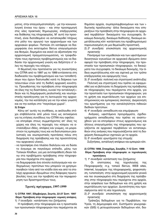ματος, στην επαγγελματοποίηση – με την κοινωνιολογική έννοια του όρου - και στην προσαρμογή στις νέες πρακτικές δημιουργίας, επεξεργασίας και διάθεσης της πληροφορίας. Μ' αυτή την προοπτική, είναι διατεθειμένο να ανταποκριθεί πλήρως στο ρόλο του αρωγού των αρχειονόμων και των αρχειακών φορέων. Πιστεύει ότι κατάφερε να διαμορφώσει ένα εκτεταμένο δίκτυο επαννελματιών και θεσμών, δομημένο και ικανό να αξιοποιήσει την αρχειονομική πραγματογνωμοσύνη, να τροφοδοτήσει τους σχετικούς προβληματισμούς και να διαδώσει την αρχειονομική γνώση και δεξιότητα σ' όλες τις περιοχές του κόσμου.

Η θεματική που προτείνεται για τις συναντήσεις του CITRA από το 1997 ως το 1999 εντάσσεται στη διαδικασία του προβληματισμού και των τοποθετήσεων που έχουν διατυπωθεί κατά τη διάρκεια των τελευταίων ετών από τη διεθνή αρχειακή κοινότητα. Προωθώντας την πρόσβαση στην πληροφορία σε όλες της τις διαστάσεις, ευνοεί την ανταλλαγή ιδεών και τη διαμόρφωση ρεαλιστικής και νεωτεριστικής προσέγγισης για τη λειτουργία της αρχειονομίας, την πιο κατάλληλη για να την κάνει γνωστή και να την εισάγει στο "παγκόσμιο χωριό".

#### 3) Στόχοι

Κάτω απ' αυτές τις συνθήκες, οι ακόλουθοι στόχοι επιβάλλονται από μόνοι τους ως αντικείμενα για τις ετήσιες συνόδους του CITRA που οφείλει:

- να επιτρέψει στους συμμετέχοντες απ' όλες τις χώρες και όλες τις περιοχές του κόσμου να ανταλλάξουν ιδέες, απόψεις και γνώμες, να μοιραστούν τις εμπειρίες τους και να διατυπώσουν ρεαλιστικές και νεωτεριστικές προτάσεις πάνω στη διαχείριση της πρόσβασης και της προσιτότητας του αρχειακού υλικού,
- να προσφέρει ένα πλαίσιο διαλόγου και να δώσει το έναυσμα σε παγκόσμιο επίπεδο, μέσω των Τοπικών Κλάδων, για μια αντιπαράθεση ιδεών πάνω στα προβλήματα πρόσβασης στην πληροφορία που περιέχεται στα αρχεία.
- να διαμορφώσει ένα σύνολο συλλογισμών και -ενδεχομένως- προτύπων που μπορούν να χρησιμοποιηθούν τόσο από τον κλάδο όσο και από τα στελέχη αρχειακών ιδρυμάτων στις διάφορες πρωτοβουλίες τους για την προβολή και την περιφρούρηση των δραστηριοτήτων τους.

#### Τριετές πρόγραμμα, 1997-1999

#### 1) CITRA 1997, Εδιμβούργο, Σκωτία, 22-27 Σεπτ. 1997 Θέμα: Πρόσβαση στην πληροφορία: νομικές απόψεις. 1) 1η συνεδρία: κατάσταση του ζητήματος

Η πρόσβαση στην πληροφορία και η προστασία των προσωπικών πληροφοριών που περιέχονται σε δημόσια αρχεία, συμπεριλαμβανομένων και των ιδιωτικής προέλευσης άλλα δικαιώματα που επηρεάζουν την πρόσβαση στην πληροφορία σε αρχειακό περιβάλλον· δικαιώματα του συγγραφέα, δικαίωμα διανομής, δικαίωμα διάδοσης, δικαίωμα εκμετάλλευσης κλπ· κατάσταση του προβληματισμού παρουσιασμένη σε μια θεμελιώδη προοπτική.

2) 2<sup>η</sup> συνεδρία: επισκόπηση της αρχειονομικής πρακτικής

Πανόραμα των νομοθεσιών και των υφιστάμενων διοικητικών εγκυκλίων σε αρχειακά ιδρύματα όσον αφορά την πρόσβαση στην πληροφορία, την προστασία των προσωπικών πληροφοριών, τα δικαιώματα του συγγραφέα, το δικαίωμα διανομής, την άδεια εκμετάλλευσης κλπ και σχετικά με τον τρόπο επεξεργασίας και εφαρμογής τους.

3) 3<sup>η</sup> συνεδρία: πολιτική και στρατηγική ανάπτυξης

Πολιτική και στρατηγική που πρέπει να εφαρμοσθεί για να βελτιώσει τη διαχείριση της πρόσβασης σε πληροφορίες που περιέχονται στα αρχεία, για την προστασία των προσωπικών πληροφοριών, για τη χρήση και εκμετάλλευση των αρχείων για επιστημονικούς και εμπορικούς σκοπούς. Διερεύνηση του ερωτήματος για την καταλληλότητα πιθανών διεθνών προτύπων.

4) 4η συνεδρία: εκπαίδευση και επιμόρφωση

Ανάγκες, υφιστάμενα προγράμματα, σχεδιαγράμματα εκπαίδευσης που πρέπει να αναπτυχθούν για να επιτρέψουν στους αρχειονόμους και άλλους επαγγελματίες της πληροφορίας που εργάζονται σε αρχειακό περιβάλλον να ανταποκριθούν στις ανάγκες που παρουσιάζονται από τη διαχείριση δικαιωμάτων σχετικών με τα αρχεία.

5) 5" συνεδρία: ερωτήματα της στιγμής

Συζητήσεις, ανταλλαγή απόψεων και εμπειριών κλπ.

#### 2) CITRA 1998, Στοκχόλμη, Σουηδία, 7-12 Σεπτ. 1998 Θέμα: Πρόσβαση στην πληροφορία: οι τεχνολογικές προκλήσεις

1) 1<sup>η</sup> συνεδρία: κατάσταση του ζητήματος

Οı επιπτώσεις της τεχνολογίας της Πληροφορικής -π.χ. τοπικά δίκτυα, WEB sites, Internet, λεωφόροι της πληροφορικής, ψηφιοποίηση, τυποποίηση- στην αρχειονομική εργασία γενικά και πιο συγκεκριμένα στη διαχείριση της πρόσβασης στην πληροφορία που περιέχεται στα αρχεία, στην ασφάλεια των δεδομένων και στη χρήση και εκμετάλλευση των αρχείων. Δυνατότητες που προσφέρονται από τη νέα τεχνολογία.

2) 2η συνεδρία: επισκόπηση της αρχειονομικής πρακτικής

Τράπεζες δεδομένων για το Περιβάλλον, την Υγεία, τη Δημογραφία κλπ. Συστήματα γεωγραφικών (GIS) ή μετεωρολογικών δεδομένων κλπ, δια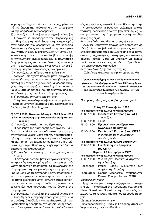χείριση των Τεχνολογιών και του περιεχομένου από την άποψη της πρόσβασης στην πληροφορία και της ασφάλειας των δεδομένων.

3) 3η συνεδρία: πολιτική και στρατηγική ανάπτυξης Εισαγωγή και προσαρμογή της Πληροφορικής στη διαχείριση της πρόσβασης στην πληροφορία, στην ασφάλεια των δεδομένων και στα υπόλοιπα δικαιώματα χρήσης και εκμετάλλευσης των αρχείων. Ανάπτυξη δικτύου επικοινωνίας Η/Υ μεταξύ αρχειακών υπηρεσιών, στο οποίο λαμβάνονται υπόψη οι τεχνολογικές ανομοιομορφίες, οι πολιτιστικές διαφοροποιήσεις και οι απαιτήσεις της τυποποίησης. Τα αρχειακά ιδρύματα είναι κέντρα πληροφόρησης ή υπηρεσίες διαφύλαξης των αρχείων; 4) 4<sup>η</sup> συνεδρία: εκπαίδευση και επιμόρφωση.

Ανάγκες, υπάρχοντα προγράμματα, διαγράμματα εκπαίδευσης που πρέπει να αναπτυχθούν για να επιτρέψουν στους αρχειονόμους και άλλους επαγγελματίες που εργάζονται στα Αρχεία να ανταποκριθούν στις απαιτήσεις που προκύπτουν από την επανάσταση στις τεχνολογίες πληροφόρησης.

5)  $5^{\prime\prime}$  συνεδρία: ζητήματα της στιγμής

Συζητήσεις, ανταλλαγή απόψεων και εμπειριών κλπ. Ιδιαίτερο γεγονός: εορτασμός του Ιωβηλαίου του Διεθνούς Συμβουλίου Αρχείων.

#### 3) CITRA 1999, Τζακάρτα, Ινδονησία, 20-24 Σεπτ. 1999 Θέμα: Η πρόσβαση στην πληροφορία: ζητήματα διατήρησης

1) 1<sup>η</sup> συνεδρία: κατάσταση του ζητήματος

Η πρόκληση της διατήρησης των αρχείων, και ιδιαίτερα εκείνων σε παραδοσιακό υπόστρωμα, στις τροπικές χώρες, μέσα από την προοπτική πρόσβασης στον όγκο των πληροφοριών· από τη φυσική διατήρηση των τεκμηρίων σε ποικίλα υποστρώματα μέχρι τη διάθεσή τους σε ηλεκτρονικά δίκτυα διάδοσης της πληροφορίας.

2) 2η συνεδρία: επισκόπηση της αρχειακής πρακτικής

Η διατήρηση των συμβατικών αρχείων και της ηλεκτρονικής πληροφορίας μέσα από μια μακρόχρονη προοπτική πρόσβασης. Οι τεχνολογίες της πληροφορίας, της ψηφιοποίησης και της ρομποτικής ως μέσα για τη διατήρηση και την προσβασιμότητα των αρχείων μέσα στο χρόνο και το χώρο. Πρότυπα εναποθήκευσης, τεχνικές σταθεροποίησης και αποκατάστασης, αποξίνωση, τεχνικές και τεχνολογίες αναπαραγωγής και μετάδοσης της πληροφορίας.

3) 3η συνεδρία: πολιτική και στρατηγική ανάπτυξης

Σύνταξη ολοκληρωμένης προσέγγισης στο θέμα της μαζικής διαφύλαξης για να εξασφαλιστεί η μακροπρόθεσμη πρόσβαση στα αρχεία και η προσιτότητά τους στο κοινό. Από το πρώτο επίπεδο γενικής παρέμβασης -κατάλληλη αποθήκευση- μέχρι την εξειδικευμένη χειρουργική επέμβαση - αποκατάσταση- περνώντας από την ψηφιοποίηση ως μέσο προστασίας της πληροφορίας και της αποδεικτικής της αξίας.

4) 4<sup>η</sup> συνεδρία: εκπαίδευση και επιμόρφωση

Ανάγκες, υπάρχοντα προγράμματα, πρότυπα για εξέλιξη ώστε να βελτιωθούν οι ννώσεις και οι εμπειρίες στο θέμα της διαφύλαξης από τους αρχειονόμους, τεχνολόγους, συντηρητές και κατόχους αρχείων ούτως ώστε να μπορούν να αντιμετωπίσουν τις προκλήσεις που θέτει η "μετάδοση" των αρχείων μέσα στο χρόνο.

5) 5" συνεδρία: ζητήματα της στιγμής Συζητήσεις, ανταλλαγή απόψεων, εμπειριών κλπ.

Προσωρινό πρόγραμμα των συνεδριάσεων που θα γίνουν στο Εδιμβούργο από 22 έως 29 Σεπτεμβρίου 1997 με την ευκαιρία του ΧΧΧΙΙ<sup>ου</sup> Διεθνούς Συνεδρίου της Στρογγυλής Τράπεζας των Αρχείων (CITRA) (22-27 Σεπτεμβρίου 1997)

Οι νομικές όψεις της πρόσβασης στα αρχεία

#### Τρίτη, 23 Σεπτεμβρίου 1997

|                             | Νέο Μέγαρο Κοινοβουλίου: Κεντρική Αίθουσα                          |  |  |
|-----------------------------|--------------------------------------------------------------------|--|--|
| 09:30-12:30                 | Εκτελεστική Επιτροπή του ΔΣΑ                                       |  |  |
|                             | 1ª συνεδρία                                                        |  |  |
| 12:30-13:30                 | Γεύμα                                                              |  |  |
| 13:30-18:00                 | Εγγραφή των συνέδρων στο                                           |  |  |
|                             | ξενοδοχείο Holiday Inn                                             |  |  |
| 13:30-16:00                 | Εκτελεστική Επιτροπή του CITRA                                     |  |  |
|                             | 2" συνεδρία με τη συμμετοχή                                        |  |  |
|                             | των Επιτροπών                                                      |  |  |
|                             | Νέο Μέγαρο Κοινοβουλίου: Αίθουσα Επιτροπών 1                       |  |  |
| 16:00-18:00                 | Συνεδρίαση του Γραφείου                                            |  |  |
|                             | <b>TOU CITRA</b>                                                   |  |  |
| Πέμπτη, 25 Σεπτεμβρίου 1997 |                                                                    |  |  |
|                             | Νέο Μέγαρο Κοινοβουλίου: Κεντρική Αίθουσα                          |  |  |
|                             | 09:00-11:00 <i>3<sup>η</sup> συνεδρία</i> : Πολιτική και στρατηγι- |  |  |
|                             | κή ανάπτυξης                                                       |  |  |
|                             | Πρόεδρος: Patrick Cadell, Διευθυντής<br>των                        |  |  |
|                             | Αρχείων της Σκωτίας.                                               |  |  |
|                             | Γραμματέας: George MacKenzie, αναπληρωτής                          |  |  |

Γενικός Γραμματέας του CITRA

#### Κύριες εισηνήσεις:

Αρχές υποκείμενες στην επεξεργασία στρατηγικής για τη διαχείριση της πρόσβασης στα αρχεία: Claes Granström, Πρόεδρος της Επιτροπής του Δ.Σ.Α. για τα νομικά ζητήματα που αφορούν τα αρχεία

#### Δευτερεύουσες εισηγήσεις:

Christopher Kitching, Βασιλική Επιτροπή Ιστορικών Χειρογράφων, Ηνωμένο Βασίλειο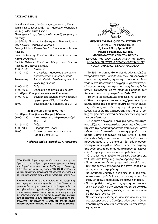Jean-Luis Moreau, Σύμβουλος Αρχειονομίας, Βέλγιο William Lind, Διευθυντής του Aggregate Foundation και της Ballast Trust, Σκωτία.

 $\Pi$ εριφερειακές ομάδες εργασίας προεδρευόμενες α*πό τους:* 

José-Maria Almeida, Διευθυντή των Εθνικών Ιστορικών Αρχείων, Πράσινο Ακρωτήριο

George Nichols, Γενικό Διευθυντή των Αυστραλιανών Αρχείων

Lorenz Mikoletzky, Γενικό Διευθυντή των Αυστριακών Κρατικών Αρχείων

Patricia Galeana, Γενική Διευθύντρια των Γενικών Αρχείων του Έθνους, Μεξικό

11:00-11:30 Διάλειμμα

- 11:30-13:00 <sup>4<sup>η</sup> συνεδρία: παρουσίαση των συμπε-</sup> ρασμάτων των ομάδων εργασίας Συντονιστής: Patrick Cadell, Διευθυντής των Αρ-
- χείων της Σκωτίας
- 13:00-14:00 Γεύμα

14:00-16:00 Επισκέψεις σε αρχειακά ιδρύματα

- **Νέο Μέγαρο Κοινοβουλίου: Αίθουσες Επιτροπών**
- 14:00-16:00 Συναντήσεις εργασίας των διαφόρων οργανισμών (SPA, CITRA κλπ) 19:00 Συνεδρίαση του Γραφείου του CITRA

#### $\Sigma$ άββατο, 27 Σεπτεμβρίου 1997

Νέο Μέγαρο Κοινοβουλίου: Κεντρική Αίθουσα

09:00-11:30 Διοικητική και καταληκτική συνεδρία **του CITRA** 12:15-14:00 Γεύμα 14:00-18:00 Εκδρομή στο Bowhill 19:00 Δείπνο εργασίας των μελών του Γραφείου του CITRA.

*Aπόδοση από τα γαλλικά: Ν. Κ. Μπαμίδης* 

**ΣΥΝΔΡΟΜΕΣ:** Παρακαλούμε τα μέλη που στέλνουν τη συνδρομή τους με ταχυδρομικές επιταγές να γράφουν στη θέση του Παραλήπτη το όνομα και τη διεύθυνση του Ταμία της Ε.Α.Ε. [Αλέξανδρος Ζάννας, Πινότση 17Β, 117 41 ΑΘΗΝΑ) και να διευκρινίζουν στο πίσω μέρος της επιταγής, στο χώρο για τα μηνύματα, ότι πρόκειται για τη συνδρομή τους στην Ε.Α.Ε.

**APOPA:** Η Συντακτική επιτροπή παρακαλεί τους συνεργάτες και αρθρογράφους των "Αρχειακών Νέων" να δίνουν τα κείμενά τους δακτυλογραφημένα ή, ακόμη καλύτερα, σε δισκέτα για τη διευκόλυνση της έκδοσης (με μια πολύ μικρή περίληψη στα αγγλικά ή γαλλικά). Ανταποκρίσεις και συνεργασίες για τις δραστηριότητες και τα νέα των περιφερειακών αρχείων είναι απαραίτητες και ευπρόσδεκτες. Οι συνεργασίες να αποοτέλλονται στη διεύθυνση: **Ν. Μπαμίδης, Ιστορικό Αρχείο** Μακεδονίας, Παπαναστασίου 21, Τ.Θ. 18111, 546 39 Θεσ/νίκη.



#### **ΔΙΕΘΝΕΣ ΣΥΝΕΔΡΙΟ ΓΙΑ ΤΑ ΣΥΣΤΗΜΑΤΑ ΙΣΤΟΡΙΚΗΣ ΠΛΗΡΟΦΟΡΗΣΗΣ 6, 7 και 8 Νοεμβρίου 1997. Mέγαρο Συνεδρίων Europa, VITORIA-GASTEIZ, ΧΩΡΑ ΤΩΝ ΒΑΣΚΩΝ** *OPΓΑΝΩΤΗΣ: ΓΕΝΙΚΟ ΣΥΜΒΟΥΛΙΟ ΤΗΣ ALAVA, XøPA TøN BA™KøN (JUNTAS GENERALES DE ALAVA - ARABAKO BILTZAR NAGUSIAK)*

To 1991, ol Juntas Generales de Alava,  $\lambda$ aïkó a-Vτιπροσωπευτικό κοινοβούλιο των συμφερόντων του λαού της 'Αλαβα, πήραν την απόφαση να ξεκινήσουν ένα πρωτότυπο πρόγραμμα για την ιστορική έρευνα όπως η συγκρότηση μιας βάσης δεδομένων, ξεκινώντας με τα επίσημα Πρακτικά των Aποφάσεών τους της περιόδου 1502-1876.

To εν λόγω πρόγραμμα επιδιώκει να θέσει στη διάθεση των ερευνητών το περιεχόμενο των Πρα-Κτικών μέσω της έκδοσης εργαλείων τεκμηριωμένης ανάλυσης και ανάκτησης της πληροφόρησης καθώς και μέσω της μεταγραφής και της μετατροπής σε ψηφιακή γλώσσα ολόκληρων των κειμένων των συνεδριάσεων.

Σήμερα το πρόγραμμα είναι μία πραγματικότητα που αξίζει να την εκμεταλλευτούμε από κάθε άποψη. Από την πλούσια προοπτική που ανοίγει με την έκδοση των Πρακτικών σε έντυπη μορφή και σε μορφή βάσης δεδομένων σε CD-ROM, οι Juntas Generales θεώρησαν απαραίτητο να διαδώσουν το πρόγραμμα αυτό - στο οποίο με τόση θέρμη συνεργάστηκαν πολυάριθμοι ειδικοί- μέσω της σύγκλησης ενός συνεδρίου όπου θα εκτεθούν σε διεθνές επίπεδο εμπειρίες και παρόμοιες μεθοδολογίες.

Oι στόχοι που επιδιώκει το Διεθνές Συνέδριο για τα Συστήματα Ιστορικής Πληροφόρησης είναι:

- Να παρουσιαστούν τα πραγματικά αποτελέσματα των εφαρμογών πληροφορικής στην ιστορική έρευνα και την τεκμηρίωση.
- Να αντιπαραβληθούν οι εμπειρίες και οι πιο αποτελεσματικές μεθοδολογίες στη συγκρότηση βά-<u>σεων ιστορικών δεδομένων σε διεθνές επίπεδο.</u>
- Να εκτιμηθεί η απήχηση της χρήσης αυτών των νέων εργαλείων στην έρευνα και τη διδασκαλία της ιστορικής γνώσης καθώς και στη συμπεριφορά των πρωταγωνιστών.
- Να ανταλλαγούν ιδέες και απόψεις από τους παρευρισκόμενους στο Συνέδριο μέσα από τη διπλή προοπτική της έρευνας των πηγών και της ιστορικής έρευνας.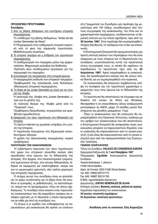### ΠΡΟΣΩΡΙΝΟ ΠΡΟΓΡΑΜΜΑ

### Συνεδρίες

1. *Από τις βάσεις δεδομένων στα συστήματα ιστορικής πληροφόρησης.* 

Tο υπόδειγμα της βάσης δεδομένων "Actas de las Juntas Generales de Alava".

H Πληροφορική στην καθημερινή ιστορική πρακτι-

κή υπό το φως της σημερινής τεχνολογίας. Μεθοδολογικές συνέπειες.

**2.** Το ιστορικό τεκμήριο και η επίδραση των τεχνολογιών *πληροφόρησης.* 

H αναδημιουργία του τεκμηρίου μέσω της ψηφιοποίησης. Μηχανισμός φύλαξης και διάδοσης. Πρόταση νέων υποδειγμάτων εργαλείων για την περιγραφή του τεκμηρίου.

- **3.** Συνεισφορές της τεκμηρίωσης στην ιστορική έρευνα. Η τεκμηριωμένη ανάλυση των ιστορικών τεκμηρίων. Προβληματική της κατασκευής ενός Καταλόγου (Θησαυρού) ιστορικού περιεχομένου.
- 4. Ta Actas de las Juntas Generales ως πηγή για την ιστο $ρ$ ία της 'Αλαβα.

H οικονομία της 'Αλαβα στις Juntas Generales: υλικό για τη μελέτη της.

Oι πολιτικοί θεσμοί της 'Αλαβα μέσα από τα "Πρακτικά" τους.

Προβλήματα δικαιοδοσίας: συγκρούσεις και οριοθέτηση αρμοδιοτήτων.

5. Εφαρμογές των νέων τεχνολογιών στη διδασκαλία της *Iστορίας.* 

Το Δίκτυο Internet ως εργαλείο στήριξης στη γνώση της Ιστορίας.

H τεχνολογία πολυμέσων στη δημιουργία κατευθυντήριων οδηγιών.

H χρήση της ηλεκτρονικής τεκμηρίωσης: νομικά προβλήματα.

#### **ΠΑΡΟΥΣΙΑΣΗ ΤΩΝ ΑΝΑΚΟΙΝΩΣΕΩΝ**

H αυξανόμενη παρουσία των νέων τεχνολογιών στο χώρο του ιστορικού γίγνεσθαι ανοίγει νέες προσδοκίες στην έρευνα και τη διδασκαλία της Ιστορίας. Στα Αρχεία, στα πανεπιστημιακά τμήματα, οτα ερευνητικά κέντρα, στα κέντρα διδασκαλίας τέθηκαν σε εφαρμογή και αναπτύχθηκαν, ακόμη και για το μεμονωμένο ερευνητή, νέοι τρόποι χειρισμού της ιστορικής τεκμηρίωσης.

Ο στόχος αυτού του συνεδρίου είναι να αποτελέσει το χώρο συνάντησης και το βήμα όπου θα εκτεθούν οι εμπειρίες, οι μεθοδολογίες, τα αποτελέσματα, ακόμη και τα προγράμματα, πάνω σε νέους σχεδιασμούς. Το συνέδριο είναι ανοικτό στην παρουσίαση ανακοινώσεων που θα εκφράζουν σκέψεις και απόψεις σχετικές με τη θεματική η οποία περιγράφεται σε κάθε μία από τις συνεδρίες του.

Tα άτομα ή οι ομάδες που ενδιαφέρονται να παρουσιάσουν μία ανακοίνωση θα πρέπει να στείλουν στη Γραμματεία του Συνεδρίου μία περίληψη όχι μεγαλύτερη από 150 λέξεις, συνοδευόμενη από τον/ τους συγγραφείς της ανακοίνωσης, τον τίτλο και τα χαρακτηριστικά περιεχόμενα, υποδεικνύοντας τη θεματική ενότητα με την οποία σχετίζεται, πριν από τις **30 Ιουνίου 1997**. Στην περίληψη θα συμπεριληφθεί η πλήρης διεύθυνση, το τηλέφωνο και το fax για επικοινωνία.

H Επιστημονική Επιτροπή θα πραγματοποιήσει μία πρώτη επιλογή εκείνων των περιλήψεων που θα είναι σύμφωνες με τους στόχους και τη θεματολογία του συνεδρίου, γνωστοποιώντας αυτήν την προεπιλογή στους συγγραφείς τους, οι οποίοι θα οφείλουν να παραδώσουν τα πρωτότυπα πριν από τις 25 **Αυγούστου 1997**. Aφού παραληφθούν οι ανακοινώσεις, θα προσδιοριστούν εκείνες που θα γίνουν τελικά δεκτές για να συμπεριληφθούν στα πρακτικά.

Oι ανακοινώσεις θα επιλεγούν λαμβάνοντας υπόψη τη συνάφεια και τον πρωτότυπο χαρακτήρα εφαρμογής τους στην έρευνα και τη διδασκαλία της Iστορίας.

Tα πρωτότυπα θα αποσταλούν σε έγγραφο και σε δισκέτα 3,5 ιντσών σε Word για Windows, Wordperfect ή σε οποιονδήποτε άλλον επεξεργαστή μετατρέψιμο σε ASCII, μέχρι 15 σελίδες μονού διαστήματος και μέγεθος γραμμάτων 11cpi.

Όλες οι ανακοινώσεις που θα επιλεγούν θα συμπεριληφθούν στα Πρακτικά. Εντούτοις, ανάλογα με τον αριθμό των ανακοινώσεων που θα αποσταλούν, η Επιστημονική Επιτροπή θα αποφασίσει ποιες ανακοινώσεις μπορούν να παρουσιαστούν δημόσια, ενώ οι υπόλοιπες θα παρουσιαστούν από το γενικό εισηγητή, ή εάν όλες θα παρουσιαστούν από το γενικό εισηγητή πριν από την πραγματοποίηση της Στρογγυλής Τράπεζας.

#### **ΓΕΝΙΚΕΣ ΠΛΗΡΟΦΟΡΙΕΣ**

Tόπος του Συνεδρίου: PALACIO DE CONGRESOS EUROPA Ημερομηνία διεξαγωγής: 6, 7 και 8 Νοεμβρίου 1997

Πληροφορίες: Egunbide. Aναγνωρισμένος Διοργανωτής Συνεδοίων.

Vicente Goikoetxea, 1, oficina 4.

01080 Vitoria-Gasteiz.

Apdo. de Correos: 3302 01080 Vitoria-Gasteiz.

ÙËÏ. 945/ 146630 902101174

Fax. 945/ 146827 902101195

E-MAIL: egunbide@abc.ibernet.com

Διοργανωτής: **JUNTAS GENERALES DE ALAVA** 

Επίσημες γλώσσες: **Βασκική, ισπανική, γαλλική και αγγλική.** Ημερολόγιο παρουσίασης των ανακοινώσεων:

30 Ιουνίου: αποστολή περιλήψεων

25 Αυγούστου: αποστολή πρωτοτύπων.

**Απόδοση από τα ισπανικά: Εύη Καρούζου**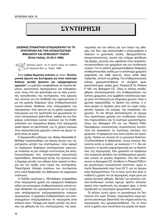# **™YNTHPH™H ™YNTHPH™H**

#### **ΔΙΕΘΝΗΣ ΣΥΝΑΝΤΗΣΗ-ΣΥΝΔΙΑΣΚΕΨΗ ΓΙΑ ΤΗ** ΣΥΝΤΗΡΗΣΗ ΚΑΙ ΤΗΝ ΑΠΟΚΑΤΑΣΤΑΣΗ **BIBAIAKOY KAI APXEIAKOY YAIKOY (Erice Ιταλίας, 23-28.4.1996)**

*(Δεύτερο μέρος· για το πρώτο τμήμα του άρθρου* ,<br><sub>Ξ)</sub> βλ. Αρχειακά Νέα, τχ. 15/Δεκ. 1996)

Στην όγδοη θεματική ενότητα με τίτλο "Επιστημονική έρευνα και Συντήρηση για έναν καλύτερο διάλογο μεταξύ βασικών και εφηρμοσμένων **ερευνών",** οι ομιλητές αναφέρθηκαν σε ποικιλία θεμάτων ερευνητικού περιεχομένου και ενδιαφέρο-VTOS, όπως στη νέα φιλοσοφία και τις νέες γνωστικές κατευθύνσεις της συντήρησης, στις έρευνες που γίνονται για την απόδειξη της ωφελιμότητας ή μη της χρήσης διαφόρων νέων σταθεροποιητικών ουσιών-υλικών (fixatives) στην επιζωγράφιση των περγαμηνών, στην έρευνα για τη χρήση ορισμένων πολυμερών για την προστασία των χρωματικών λεπτών επιστρώσεων (paint films), καθώς και των διαφόρων κολλητικών ουσιών (κολλών) για τη σταθεροποίηση των στρωμάτων βαφής στην περγαμηνή (paint layers on parchment), για τη χρήση ενζύμων στην αποκατάσταση χαρτώου υλικού και έργων τέχνης πάνω σε χαρτί.

H Αμερικανίδα εκδότρια του Abbey Newsletter E. McRady παραπονέθηκε για κάποια άγνοια που παρατηρείται μεταξύ των επιστημόνων, όσον αφορά τα πορίσματα διαφόρων επιστημονικών ερευνών, με συνέπεια να μην υπάρχει συντονισμός και αλληλοσυμπλήρωση στις επιστημονικές ερευνητικές προσπάθειες. Αποτέλεσμα αυτής της άγνοιας είναι η διαμάχη μεταξύ των ειδικών όσον αφορά τη θεωρία και την πράξη στον τομέα της συντήρησης. Παρατήρησε έλλειψη γνώσεων των συντηρητών στην καλή διαφύλαξη των βιβλιακών και αρχειακών συλλογών.

H Ιταλίδα ομιλήτρια L. Montalbano αναφέρθηκε στην πειραματική χρήση και εφαρμογή διαφόρων ειδών και κατηγοριών σταθεροποιητικών υλικών-ουσιών (fixatives) που χρησιμοποιούνται για τη στερέωση αποξηραμένων επιζωγραφισμένων παλαιών περγαμηνών. Η μηχανική σταθεροποίηση των κατεστραμμένων επιζωγραφίσεων σε περγαμηνή είναι επίπονο έρνο. Υπάρχει μία σχέση μεταξύ της έκτασης της φθοράς και του υποστρώματος, της προετοιμασίας και του είδους και των αιτίων της φθοράς, εάν δηλ. έχει αποκολληθεί η επιζωγράφιση ή πέφτουν οι χρωστικές ουσίες, (θρυμματίζονται, κονιορτοποιούνται), γενικά, εάν υπάρχει φολίδωση της βαφής, γεγονός που οφείλεται στην αποκόλληση-αποσύνδεση των χρωμάτων και των συνδετικών ουσιών. Για τη μελέτη χρησιμοποιήθηκαν διάφορες σταθεροποιητικές ουσίες με τα αντίστοιχα χρώματα (pigments) για κάθε έρευνα, όπως white lead, malachite, minium και gilding. Για σταθεροποιητικές κόλλες χρησιμοποιήθηκαν τα sturgeon glue, parchment glue, arabic gum, Paraloid B 72, Plexisol P 550, και Akeogard CO. Όλες οι κόλλες αποδείχθηκαν αποτελεσματικές στη σταθεροποίηση του λεπτού χρώματος, ενώ αμφίβολο αποτέλεσμα είχαμε μόνο στα δείγματα με επίχρισμα χρυσού, όπου ο χρυσός παρεμποδίζει τη δράση της κόλλας, η οποία μπορεί να περάσει μόνο από τις τυχόν υπάρχουσες σχισμές και ρωγμές της επιφάνειας του χρυσού. Τα πιο θετικά αποτελέσματα τα έχουμε *στις περιπτώσεις χρήσης των συνθετικών κολλών,* που παρουσιάζουν και τα λιγότερα μειονεκτήματα, όπως του Akeogard CO και του Plexisol P550. Προσφέρουν ικανοποιητική συγκολλητική δυνατότητα και προκαλούν τις λιγότερες αλλαγές στα χρώματα. Η εφαρμογή τους είναι εύκολη και ομοιογενής. Πρέπει να τονιστεί ότι οι οργανικοί διαλύτες, (Trichloroethane & deliphrene), στους οποίους διαλύονται αυτές οι ουσίες -με αναλογία 1:1:1- δεν αλλοιώνουν τα φυσικά χαρακτηριστικά και τις διαστάσεις της περγαμηνής. Εάν χρειαστεί να προβούμε στη στερέωση φολίδων των αποξηραμένων χρωστι-Κών ουσιών σε μεγάλη επιφάνεια, τότε δεν ενδείκνυται το Akeogard CO. Αντίθετα το Plexisol P550 έχει μεγαλύτερη συγκολλητική ικανότητα, όμως απαιτεί θερμοκρασία περί τους 60°C για να έχουμε καλή διαπερατότητα. Για το λόγο αυτό δεν είναι αποδεκτή η χρήση του σε περγαμηνή, παρά μόνο για μικρής έκτασης φθορές. Μεταξύ των φυσικών κολλών-συνδετικών ουσιών έχουμε άριστα αποτελέσματα στην περίπτωση της sturgeon glue, η οποία προξένησε τις ολιγότερες χρωματικές αλλαγές.

Oι κόλλες αυτές έχουν το μειονέκτημα ότι διαλύονται στο νερό. Επίσης, παρατηρείται καμιά φορά ένα φούσκωμα (διαστολή) στα σημεία εκείνα της περγαμηνής που χρησιμοποιήθηκαν. Για το λόγο αυτό η χρήση τους συνιστάται για μικρής και περιο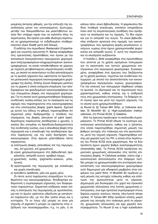ρισμένης έκτασης φθορές, για την επίτευξη της συγκόλλησης μόνον του υποστρώματος. Δυστυχώς, μεταξύ των δοκιμασθέντων και μελετηθέντων ουσιών δεν υπάρχει καμία που να καλύπτει όλες τις περιπτώσεις. Θα πρέπει για κάθε ιδιαίτερη περίπτωση να χρησιμοποιούμε το ενδεδειγμένο σταθεροποιητικό υλικό (fixatif) μετά από δοκιμή.

O εκδότης του περιοδικού *Restaurator* (Copenhagen) και γνωστός ερευνητής H. Bansa αναφέρθηκε στις ερευνητικές προσπάθειες που έγιναν με την κατασκευή πανομοιότυπων περγαμηνών χειρογρά-Φων επιζωγραφισμένων-επιχρωματισμένων (εικονογραφημένων), τα οποία τοποθετήθηκαν σε χώρους με τεχνητά μεταβαλλόμενες κλιματολογικές συνθήκες, με σκοπό να αποκτήσουν τα ίδια αποτελέσματα με τη φυσική γήρανση που υφίστανται τα πρωτότυπα μεσαιωνικά περγαμηνά εικονογραφημένα χειρόγραφα της Δύσης. Επίσης έγιναν διάφορες μελέτες για τη μερική ή ολική ενίσχυση-στερέωση των αποξηραμένων και φολιδωμένων εικονογραφήσεων και των στρωμάτων βαφής στα περγαμηνά χειρόγραφα. Για το σκοπό αυτό χρησιμοποιήθηκαν διάφορες συνδετικές ουσίες-κόλλες για τα σκασίματα και τις σχισμές που παρατηρούνται στις εικονογραφήσεις και στις επιστρώσεις βαφής (paint layers). Σχετικά με αυτού του είδους τη φθορά, παρατηρήθηκε ότι σημαντικό ρόλο διαδραματίζει η σύνθεση του στρώματος της βαφής (structure of paint layer). Χειρότερος παράγοντας αποδείχτηκε ο χρυσός, ο οποίος δεν επιτρέπει τη διείσδυση-διαπερατότητα της συνδετικής ουσίας, ενώ η απευθείας βαφή στην περγαμηνή και η επικάλυψή της αποδείχτηκαν άριστοι παράγοντες για την καλή διατήρηση των εικονογραφιών. Στην έρευνα μελετήθηκαν πέντε παράγοντες:

- α) επίστρωση βαφής (απευθείας επί της περγαμηνής, επί χρυσού, επί χρωμάτων),
- β) υλικά χρησιμοποιούμενα στη βιβλιοδετική (ψαρόκολλα, ασπράδι αυγού, αραβικό κόμμι),
- γ) χρωστικές ουσίες (pigments=κόκκινο, μπλε, λευκό),
- δ) προετοιμασία της περγαμηνής (με επικάλυψη και χωρίς επικάλυψη),
- ε) πρόσθετα (additives, μέλι και χωρίς μέλι).

Oι πέντε αυτοί παράγοντες επηρεάζουν τη σταθερότητα των εικονογραφήσεων. Αποδείχτηκε καθοριστική η συμπεριφορά γήρανσης των διαφορετικών παραγόντων. Σημαντική επίδραση ασκεί επίσης η επίστρωση της περγαμηνής με αμυλόκολλα, μια και το άμυλο υφίσταται υδρόλυση με καταλυτικό παράγοντα οξύ, με τον ίδιο τρόπο όπως και η κυτταρίνη. Το εν λόγω οξύ μπορεί να είναι μία impurity of pigment ή μπορεί να οφείλεται στην οξείδωση των ολοσακχαρωδών, π.χ. το μέλι, ή σε κάποιο άλλο υλικό βιβλιοδεσίας. Η ψαρόκολλα δεν δίνει σταθερή επικάλυψη, επιπλέον επηρεάζεται πολύ από τις κλιματολογικές συνθήκες που προξενούν τα σκασίματα και τις σχισμές. Το ίδιο ισχύει και για το ασπράδι του αυγού. Τα υλικά βιβλιοδεσίας επιδρούν αρνητικά στις σχισμές των εικονογραφήσεων, που ορισμένες φορές μεγαλώνουν, αvοίνουν, κυρίως όταν έχουν χρησιμοποιηθεί ψαρόκολλα και ασπράδι αυγού. Σ' αυτή την περίπτωση και τα σκασίματα αυξάνονται.

H Ιταλίδα L. Botti αναφέρθηκε στις προσπάθειες που γίνονται με τη χρήση ορισμένων πολυμερών για τη προστασία των λεπτών χρωματικών επιστρώσεων στα περγαμηνά χειρόγραφα. Συγκεκριμένα, αναφέρθηκε στις έρευνες που διεξάγονται με τη χρήση φυσικών, τεχνητών και συνθετικών πολυμερών, με σκοπό την αποκατάσταση των εικονογραφημένων περγαμηνών, κυρίως, χειρογράφων. Για την επιλογή των πολυμερών λήφθηκαν υπόψη τα φυσικά, τα εξωτερικά και τα τεχνολογικά τους χαρακτηριστικά, καθώς επίσης και η επίδρασή τους στις χρωματικές επιστρώσεις. Τα διάφορα τεστ έγιναν πριν και μετά την τεχνητή γήρανση. Για το σκοπό αυτό χρησιμοποιήθηκαν:

 $α)$  Klucel G,  $β)$  Tylose MH 300p, γ) Cellulose acetate, δ) Mowilith 60, ε) High-substitution methylcellulose,  $\sigma\tau$ ) Primal AC33,  $\zeta$ ) Gelatine.

Από τις έρευνες προέκυψαν τα ακόλουθα συμπεράσματα: To Primal AC33 έδωσε τα λιγότερα ικανοποιητικά αποτελέσματα, καθώς και η ζελατίνη, στα οποία παρατηρήθηκε σημαντική μείωση του βαθμού αντοχής στο τσάκισμα και στη φωτεινότητα, μετά την τεχνική γήρανση. Παρατηρήθηκε επίσης μία χαμηλή τιμή του PH, η οποία στην περίπτωση του Primal AC33 είναι χαμηλότερη. Και τα δύο προϊόντα έχουν χαμηλό βαθμό αναστρεψιμότητας (reversibility rate). To Primal AC33 προξένησε σημαντικές χρωματικές αλλοιώσεις στις λεπτές επιστρώσεις βαφής. Η Cellulose acetate, καίτοι είχε ικανοποιητικά αποτελέσματα στα διάφορα τεστ, δεν μπορεί να χρησιμοποιηθεί στη συντήρηση-αποκατάσταση των εικονογραφημένων χειρογράφων γιατί δημιουργεί μία αδιαφανή μεμβράνη στην επιφάνεια των paint films. Η Mowilith 60 προξενεί μικρή μείωση της αντοχής τσάκισης καθώς και ελάττωση της φωτεινότητας μετά τη γήρανση. Δημιουργεί μία δυσκαμψία στο χαρτί και προκαλεί χρωματικές αλλοιώσεις στις λεπτές χρωματικές επιστρώσεις, ενώ έχει αρνητική συμπεριφορά στους ξηρούς-υγρούς κύκλους πίεσης (dry-humid stress cycles). H Tylose MH 300p προξενεί επίσης μικρή μείωση της αντοχής στο τσάκισμα μετά τη γήρανση, χρωματικές αλλοιώσεις και έχει χαμηλή αναστρεψιμότητα. To Klucel G και η high substitution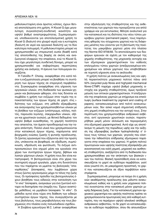μεθυλοκυτταρίνη είναι άριστες κόλλες, έχουν θετικά αποτελέσματα στη χρήση. Η Klucel G έχει μεγαλύτερη συγκολλητική-συνδετική ικανότητα και υψηλό βαθμό αναστρεψιμότητας. Συμπερασματικά, υποδεικνύονται για αποτελεσματική χρήση το Klucel G (διαλυτό στο χλιαρό νερό) και η κυτταρίνη (διαλυτή σε νερό και οργανικό διαλύτη) ως τα δύο καλύτερα πολυμερή. Η μεθυλοκυτταρίνη μπορεί να χρησιμοποιηθεί ως στερεωτική ουσία (fixatif) κατά της αποσύνθεσης της βαφής σε σκόνη και αναζωογονεί ελαφρώς την επιφάνεια, ενώ το Klucel G, που έχει μεγαλύτερη συνδετική δύναμη, μπορεί να χρησιμοποιηθεί για σοβαρότερες περιπτώσεις χρήσης και ανάγκης. Η έρευνα των πολυμερών συνεχίζεται.

H Γαλλίδα P. Choisy, αναφέρθηκε στο κατά πόσον η ενζυματολογία μπορεί να βοηθήσει τη συντήρηση των έργων τέχνης σε ετερογενή περιβάλλοντα. Συγκεκριμένα αναφέρθηκε στη γήρανση των οργανικών υλικών, στη διαδικασία των φυσικών-χημικών και βιολογικών φθορών, στο πώς δύναται να συμβάλει η χρήση των ενζύμων στον τομέα της αποκατάστασης των έργων τέχνης σε χαρτί, στις ιδιότητες των ενζύμων, στη μέθοδο εξακρίβωσης και αναγνώρισης των χρησιμοποιηθέντων υλικών με τη βοήθεια των ενζύμων (υπόστρωμα, κόλλες, πολτός, παρουσία λιγνίνης, σακχαρωδών υλικών, οξέων και χρωστικών ουσιών), με θετικά δεδομένα: τον υψηλό βαθμό ευαισθησίας, τη χαμηλή ποσότητα που απαιτείται, τον άμεσο προσδιορισμό και την ταχεία απάντηση. Πολλά υλικά που χρησιμοποιούνται στην κατασκευή έργων τέχνης, παράγονται από βιοχημικές ενώσεις ζωικής ή φυτικής προέλευσης. Οι ζώντες οργανισμοί που εξάγονται από την πρώτη ύλη, υπόκεινται σε βιοφθορά, σε οξείδωση, συμπύκνωση, υδρόλυση και φωτόλυση. Τα ένζυμα αντιπροσωπεύουν ένα ισχυρό μέσο και εργαλείο στα χέρια των συντηρητών έργων τέχνης, βιβλίων και λοιπών χάρτινων υλικών. Η χρήση τους δεν είναι καταστροφική. Η βιοτεχνολογία είναι στα χέρια του συντηρητή ισχυρό εργαλείο, χάρη στη δυνατότητα που του παρέχεται να μιμείται τις βιολογικές "επαvoρθώσεις" (biorepairs), που λαμβάνουν χώρα στους ζώντες οργανισμούς μέχρι το τέλος της ζωής τους. Οι πρόσφατες πρόοδοι της βιοτεχνολογίας έχουν βοηθήσει τους ειδικούς στην κατανόηση των "in vivo" biorepairs, αναγκαίων για ένα ζωντανό κύτταρο να διατηρήσει την ύπαρξη του. Έχουν αναπτύξει μεθόδους να μιμηθούν biorepairs "in vitro". Οι μέθοδοι αυτοί είναι τώρα στη διάθεση των ειδικών συντηρητών έργων τέχνης, που συνεργάζονται με τους βιολόγους, τους μικροβιολόγους και τους βιοχημικούς στο πλαίσιο ενός πολυκλαδικού σχεδίου.

H Σλοβένα ερευνήτρια M.C. Letnar αναφέρθηκε

στην αξιολόγηση της σταθερότητας και της ανθεκτικότητας των χαρτιών που προορίζονται για απλό γράψιμο και για εκτυπώσεις. Μίλησε αναλυτικά για την κατασκευή και τις ιδιότητες του νέου τύπου μακρόβιου χαρτιού (permanent paper), τους παράγο-Vτες φθοράς του σύγχρονου χαρτιού και τις διάφορες μελέτες που γίνονται για τη βελτίωση της ποιότητας του μακρόβιου χαρτιού μέσα στο πλαίσιο της Norme ISO 9706/93. Τα αποτελέσματα των δια-Φόρων ερευνών σε σχέση με τον καθορισμό της χημικής σταθερότητας, της μηχανικής αντοχής και των εξωτερικών χαρακτηριστικών του καθενός επιλεγμένου τύπου χαρτιών (επεξεργασμένων-επιχρισμένων και απλών χαρτιών) που υποβλήθηκαν σε τεχνητή γήρανση είναι τα ακόλουθα:

H χρήση πολτού με ανακυκλωμένες ίνες και υψηλή περιεκτικότητα μηχανικού πολτού πάνω από 50% (recycled pulp fibres and highyield mechanical fibres-CTMP) παρέχει υψηλό βαθμό μηχανικής αντοχής και χημικής σταθερότητας, όμως προξενεί μείωση των οπτικών χαρακτηριστικών. Η επεξεργασία της επιφάνειας χαρτιών με επίχρισμα και επικάλυψη (surface treatment by pigment and coating of papers), κατασκευασμένων από πολτό ανακυκλωμένων ινών, δεν ασκεί καμιά σημαντική επίδραση στη χημική σταθερότητα και την αντοχή τους. Στην περίπτωση που χρησιμοποιήθηκε ανθρακικό ασβέστιο, αντί οργανικών χρωστικών ουσιών, παρατηρήθηκε μικρή μόνον αλλοίωση και περιορισμένη στα εξωτερικά χαρακτηριστικά. Αυτό είχε ως αποτέλεσμα τη μείωση της πορώδους υφής και την αύξηση της υδροφοβίας (surface hydrophobicity) σ' όλους τους τύπους των χαρτιών, γεγονός που ελαττώνει την πιθανότητα επίδρασης εξωτερικού παράγοντα στην επιφάνεια του χαρτιού. Η χρήση πολτού πρωτογενών ινών υψηλής ποιότητας εξασφαλίζει μία ικανοποιητική και καλή χημική, μηχανική και αισθητική σταθερότητα, ανεξάρτητα από τη διαδικασία που χρησιμοποιήθηκε για την απόκτηση των βασικών ινών του πολτού. Βασική προϋπόθεση είναι να κατασκευάζεται το χαρτί σε ουδέτερο περιβάλλον, γιατί είναι γνωστό ότι, σε μακρόχρονη προοπτική, το χαρτί που κατασκευάζεται σε όξινο περιβάλλον καταστρέφεται.

Συμπερασματικά, μπορούμε να πούμε ότι η χρήση ινών ακαθόριστης προέλευσης (και μάλιστα ανακυκλωμένων) καθώς και η χρήση ινών μηχανικού πολτού συνιστώνται στην κατασκευή μόνον χαρτιών μικρής διάρκειας ζωής. Για την κατασκευή χαρτιών αρχειακού χαρακτήρα και υψηλής ποιότητας πρέπει να χρησιμοποιούνται πρωτογενείς ίνες από καθαρή κυτταρίνη, που να περιέχουν υψηλό αλκαλικό απόθεμα ανθρακικού ασβεστίου, το δε χαρτί να κατασκευάζεται σε ουδέτερο περιβάλλον, όπου θα απουσιάζουν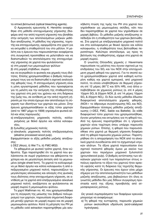τα οπτικά βελτιωτικά (optical bleaching agents).

Ο Αμερικανός ερευνητής Κ. Hendriks αναφέρθηκε στη μέθοδο επιταχυνόμενης γήρανσης (διαφέρει από την απλή τεχνητή γήρανση) που βοηθάει στην εκτίμηση των αποτελεσμάτων μαζικών μεθόδων αποξίνωσης. Η μέθοδος της γήρανσης, τεχνητής και επιταχυνόμενης, εφαρμόζεται στο χαρτί για να εκτιμηθεί η σταθερότητά του στο μέλλον. Η μελέτη και η έρευνα που παρουσιάστηκε αναφέρεται στη συγκριτική προσπάθεια να μελετηθούν και να διαπιστωθούν τα αποτελέσματα της επιταχυνόμενης γήρανσης σε χαρτιά που φυλάσσονται:

α) στη μορφή των μεμονωμένων φύλλων

β) στη μορφή στιβάδων, σωρού

και να συγκριθούν οι φυσικές και χημικές τους ιδιότητες. Επίσης χρησιμοποιήθηκε ο βαθμός πολυμερισμού τους για να διαπιστωθεί η σχετική αναλογία της φθοράς τους. Η επιταχυνόμενη γήρανση είναι η μόνη εργαστηριακή μέθοδος που προσφέρεται για τη μελέτη και την εκτίμηση της σταθερότητας του χαρτιού στη ροή του χρόνου και στη διάρκεια της ζωής του, σε αντίθεση με την απλή τεχνητή γήρανση με την οποία έχουμε σαν αποτέλεσμα τη σύγκριση των ιδιοτήτων των χαρτιών και μόνον. Στην έρευνα χρησιμοποιήθηκαν οι εξής τύποι χαρτιών (από το 1867 μέχρι το 1939) γηρασμένα φυσικά αλλά και νέας παραγωγής:

- α) επεξεργασμένος μηχανικός πολτός, κολλαρισμένος με θεϊκό άργιλο και κόλλα κολοφωνίου.
- β) ξυλώδης μηχανικός πολτός
- γ) αλκαλικός μηχανικός πολτός επεξεργασμένος (alkaline processed wood pulp).

Εφαρμόστηκαν οι εξής μεθοδοι μαζικής αποξίνωσης:

i) DEZ (Akzo), ii) Wei T'o, iii) FMC-MG3.

Τα φθαρμένα με φυσικό τρόπο χαρτιά, ήταν εύθρυπτα. Έχει παρατηρηθεί ότι τα χαρτιά που φυλάσσονται σε σωρό γηράσκουν και φθείρονται ταχύτερα και σε μεγαλύτερη έκταση από τα μεμονωμένα (single sheet form). Τα χαρτιά τα κολλαρισμένα με θεϊκό άργιλο και κόλλα κολοφωνίου ή από επεξεργασμένο μηχανικό πολτό, παρουσιάζουν τις μεγαλύτερες αλλοιώσεις και αλλαγές στις φυσικές τους ιδιότητες στην επιταχυνόμενη γήρανση, σε αντίθεση με τα χαρτιά από επεξεργασμένο αλκαλικό μηχανικό πολτό, ανεξάρτητα αν φυλάσσονται σε μορφή σωρού ή μεμονωμένου φύλλου.

Το χαρτί Wathman no. 40, που χρησιμοποιήθηκε για τη σύγκριση της μείωσης του βαθμού πολυμερισμού των χαρτιών, παρουσίασε σημαντική διαφορά μεταξύ χαρτιών σε μορφή σωρού και σε μορφή μεμονωμένου φύλλου. Κατά τη μέτρηση του PH με τη μέθοδο cold extraction παρατηρήθηκε μία ασυνήθιστη πτώση της τιμής του PH στα χαρτιά που γηράνθηκαν ως μεμονωμένες σελίδες, κάτι που δεν παρατηρήθηκε σε χαρτιά που γηράνθηκαν σε μορφή βιβλίου. Οι μέθοδοι μαζικής αποξίνωσης απέδειξαν ότι η σταθερότητα των χαρτιών βελτιώθηκε. Στα χαρτιά με επεξεργασμένο μηχανικό πολτό και στα κολλαρισμένα με θειικό άργιλο και κόλλα κολοφωνίου, η σταθερότητα τους βελτιώθηκε περισσότερο. Καλύτερο αποτέλεσμα, ως προς τη βελτίωση της σταθερότητας, είχαμε στα χαρτιά σε μορφή σωρού.

Ο γνωστός Ολλανδός χημικός J. Havermans παρουσίασε τις μελέτες που έγιναν σχετικά με τις επιδράσεις του SO<sub>2</sub> και του NOX στην επιταχυνόμενη χημική φθορά του χαρτιού. Για το σκοπό αυτό χρησιμοποιήθηκαν χαρτιά από καθαρή κυτταρίνη καθώς και χαρτιά εμπορικά, από μηχανικό πολτό, τα οποία υποβλήθηκαν σε θερμική γήρανση επί 12 μέρες (90°C και 50% HR), ενώ άλλα υποβλήθηκαν σε χημικούς ρύπους (α. επί 4 μέρες 10ppm SO<sub>2</sub> & 20ppm NOX, β. επί 14 μέρες 10ppm SO<sub>2</sub> & 20ppm NO<sub>2</sub>). Οι δύο αυτές μέθοδοι έδωσαν διαφορετικά αποτελέσματα χημικής φθοράς. (NOX= το άθροισμα συγκέντρωσης NO<sub>2</sub> και NO). Εφαρμόσθηκαν τέσσερις μέθοδοι μαζικής αποξίνωσης (=DEZ, FMC, Sable και Battelle). Σε κάθε διαφορετικό τύπο χαρτιού που χρησιμοποιήθηκε, έγιναν μετρήσεις και εκτιμήσεις για τη φθορά του. Από τις έρευνες παρατηρήθηκε ότι η γήρανση χαρτιών είναι ταχύτερη όπου υπάρχει παρουσία χημικών ρύπων. Επίσης, η φθορά που παρουσιάσθηκε στα χαρτιά με θερμική γήρανση διαφέρει από τη φθορά παρουσία χημικών ρύπων. Παρατηρήθηκε ότι η απορρόφηση του NOX από τα αλκαλικά χαρτιά συνοδεύεται από το σχηματισμό νιτρικών αλάτων. Τα όξινα χαρτιά παρουσίασαν ένα σχετικό ποσοστό φθοράς όμοιο με εκείνο των χαρτιών που περιέχουν μηχανικό ξυλοπολτό (groundwood pulp). Ο βαθμός αντίστασης των αλκαλικών χαρτιών κατά των παραγόντων στους οποίους οφείλεται το όξινο του χαρτιού ήταν αρκετά υψηλός κατά τη διάρκεια της τεχνητής θερμικής γήρανσης. Οι έρευνες που έχουν γίνει μέχρι σήμερα για την αποτελεσματικότητα των μεθόδων μαζικής αποξίνωσης, μας βεβαιώνουν ότι όλες οι γνωστές μέθοδοι δεν μας δίδουν συγκρίσιμη προστασία κατά της όξινης προσβολής από ατμοσφαιρικούς ρύπους.

Ως γενικά συμπεράσματα των διαφόρων ερευνών μπορούμε να αναφέρουμε:

α) Τη φθορά της κυτταρίνης, παρουσία χημικών ρύπων ακολούθησε υδρόλυση (acid-catalyzed hydrolyses).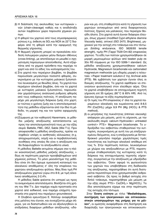- β) Η διάσπαση της ακολουθίας των κυτταρικών ινών (chain-cleavage) καθώς και η αναδιάταξη αυτών λαμβάνουν χώρα παρουσία χημικών ρύπων.
- γ) Η φθορά του χαρτιού από τους ατμοσφαιρικούς ρύπους π.χ. έκθεση σε SO<sub>2</sub> και NOX σε 23°C διαφέρει από τη φθορά κατά την εφαρμογή της θερμικής νήρανσης.
- δ) Η θερμική γήρανση μπορεί να προκαλέσει σύνδεση πολυμερών μορίων μέσω δεσμών σθένους (cross-linking), με αποτέλεσμα να μειωθεί ο σχηματισμός παραγώγων αποσύνθεσης. Αυτό εξαρτάται από τα χημικά πρόσθετα που περιέχει το χαρτί και από το είδος του κολλαρίσματός του.
- ε) Στα χαρτιά που περιέχουν βαμβάκι, το βαμβάκι παρουσίασε μεγαλύτερο ποσοστό φθοράς, συγκρινόμενο με την κυτταρίνη μαλακού ξυλοπολτού λευκασμένη με θειώδες άλας. Τα χαρτιά που περιέχουν αλκαλικό βαμβάκι, όσο και τα χαρτιά με κυτταρίνη μαλακού ξυλοπολτού, παρουσίασαν χαμηλότερους αναλογικά ρυθμούς φθοράς από τους καθαρούς πολτούς. Η αποξίνωση παρέχει μία μεγαλύτερη διάρκεια ζωής στο χαρτί, εν τούτοις ο χρόνος ζωής και η αποτελεσματικότητα της μεθόδου εξαρτώνται από την ίδια τη μέθοδο, τη μορφή της και τον τρόπο εφαρμογής της.
- στ) Σύμφωνα με τον καθηγητή Havermans, οι μέθοδοι μαζικής αποξίνωσης κατατάσσονται ως προς την αποτελεσματικότητά τους με την εξής σειρά: Battelle, FMC, DEZ, Sable (Wei T'o). Πριν αποφασισθεί η μέθοδος αποξίνωσης, πρέπει να ληφθούν υπόψη οι αισθητικές αλλοιώσεις (π.χ. αποχρωματισμός, οσμή) και οι περιβαλλοντικές συνθήκες στις οποίες θα γίνει η αποξίνωση και θα διαφυλαχθούν τα αποξινωθέντα υλικά.

Η μέθοδος Battelle εκτιμάται σήμερα σαν η πλέον ικανοποιητική μέθοδος μαζικής αποξίνωσης, ιδίως σε περίπτωση χαρτιών προσβεβλημένων από χημικούς ρύπους. Το μόνο μειονέκτημα της μεθόδου είναι ότι δεν έχουμε ομοιογενή κατανομή του αλκαλικού αποθέματος σ' όλη την επιφάνεια του χαρτώου αποξινωμένου φύλλου. Μας δίνει τιμή PH αποξινωμένου χαρτιού γύρω στο 8-9, με τιμή αλκαλικού αποθέματος 2-2,4%.

Η μέθοδος Sable φαίνεται ότι υστερεί ως προς τα αναμενόμενα αποτελέσματα. Βασίζεται στη χρήση του Wei T'o. Δεν παρέχει καμία προστασία στα χαρτιά από softwood, ενώ παρέχει ελάχιστη προστασία στα χαρτιά που περιέχουν groundwood.

Η Σλοβένα ερευνήτρια Ε. Κόλλαρ αναφέρθηκε στις μελέτες που έγιναν, και συνεχίζονται μέχρι σήμερα, για να διαπιστωθούν και να αξιολογηθούν οι επιδράσεις διαφόρων μεθόδων αποξίνωσης -υδαρών και μη- στη σταθερότητα κατά τη γήρανση των χαρτώων αντικειμένων από οκτώ διαφορετικούς πολτούς, ξηρούς και μαλακούς, που περιείχαν θειώδη άλατα. Στα χαρτιά αυτά έγιναν διάφοροι έλεγχοι, όπως χημικοί (modified Cypri-ethylene diamine Viscosity tests), οπτικοί (ISO 2470, Brightness), μηχανικοί για την αντοχή στο τσάκισμα και στο τέντωug (folding endurance, ISO 5626/93 tensile strength), τιμής PH (Tappi T529 Om-82) επιφανείας χαρτιού. Τα είδη των πολτών χρησιμοποιήθηκαν σε μορφή μεμονωμένων φύλλων από beaten pulp σε 30ο RS σύμφωνα με την ISO 5269-1 standard. Ως μέθοδοι αποξίνωσης χρησιμοποιήθηκαν calcium Hydroxide, Magnesium bicarbonate kal carbonated magnesium methoxide (μη υδαρής μορφή η τελευ- $\tau$ αία = Paper treatment solution-2 της Archival aids (PTS). Με εμβάπτιση των χαρτιών έγιναν όλες οι δοκιμές αποξίνωσης. Τα χαρτιά αφέθηκαν να στεγνώσουν φυσιολογικά στον ελεύθερο αέρα. Όλα τα χαρτιά υποβλήθηκαν σε επιταχυνόμενη τεχνητή γήρανση επί 35 ημέρες (80°C & 65% HR). Από τις έρευνες έχουμε τα εξής συμπεράσματα:

- α) Οι τιμές του PH επιφανείας σ' όλα τα χαρτιά παραμένουν αλκαλικές και κυμαίνονται από 8-8,5 PH  $(Ca(OH)<sub>2</sub>)$  μέχρι 9,9 PH (Mg  $(HCO<sub>3</sub>)$  & PTS method),
- β) οι μετρήσεις της πυκνότητας (intrinsic viscosity) απέφεραν μία μείωση, μετά τη γήρανση, με την ακόλουθη σειρά: calcium Hydroxide> untreated control> PTS> Magnesium bicarbonate. To uδροξείδιο του ασβεστίου σταθεροποιεί την κυτταρίνη, συγκρινόμενη με αυτή του μη επεξεργασμένου δείγματος, ενώ η επεξεργασία με διττανθρακικό μαγνήσιο παρέχει χαμηλότερες τιμές πυκνότητας και λιγότερο αλκαλικό απόθεμα επί τοις %. Στην περίπτωση πολτών, λευκασμένων με χλώριο και αποξινωθέντων με PTS, παρατηρούμε σταθεροποίηση της κυτταρίνης κατά τη διάρκεια της επιταχυνόμενης τεχνητής γήρανσης, συγκριτικά με την αποξίνωση με υδροξείδιο του ασβεστίου. Όσον αφορά τη φωτεινότητα των χαρτιών που υποβλήθηκαν στη διαδικασία της αποξίνωσης, παρατηρήθηκε ότι αυτή διατηρείται περισσότερο όταν χρησιμοποιηθεί ανθρακικό ασβέστιο. Ως προς το βαθμό αντοχής στο διπλό τσάκισμα, παρατηρήθηκε μία μείωση με την εξής σειρά: PTS> Ca(OH)<sub>2</sub>> Mg(HCO<sub>3</sub>). Τα ίδια αποτελέσματα είχαμε και στην περίπτωση της αντοχής στο τέντωμα.

Στην Ένατη ενότητα με τίτλο "Mediathèques, συντήρηση των ηλεκτρονικών και οπτικοακουστικών υποστρωμάτων της μνήμης για το μέλλον", οι ομιλητές αναφέρθηκαν στη διατήρηση και διαφύλαξη των ηλεκτρονικών και οπτικοακουστι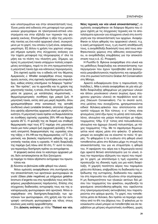κών υποστρωμάτων και στην αποκατάστασή τους. Έγινε μνεία από ειδικούς στη μεταφορά των μεσαιωνικών χειρογράφων σε ηλεκτρονικά-οπτικά υποστρώματα και στην εξέλιξη των τεχνικών της ψηφιακής εικόνας. Επισημάνθηκε η αξία της μαγνητικής ταινίας ως ένα καλό αρχειακό υλικό, συγκρινόμενο με το χαρτί, του οποίου η ζωή είναι, ασφαλώς, μικρότερη. Εξ άλλου η χρήση του χαρτιού υποχωρεί σήμερα εμπρός στις σύγχρονες ανάγκες για την ταχεία μεταφορά της πληροφορίας σ' όλα τα μήκη και τα πλάτη του πλανήτη μας. Σήμερα, ως προς τη μαγνητική ταινία υπάρχουν πολλές εσφαλμένες αντιλήψεις, παρά το ότι στη πραγματικότητα η μαγνητική ταινία έχει και κάποιους περιορισμούς.

Στη σχετική ομιλία του ο ειδικός επί του θέματος Αμερικανός J. Wheller αναφέρθηκε στους περιορισμούς αυτούς, στις σχετικές προλήψεις και επιφυλάξεις, καθώς επίσης επεσήμανε τα διάφορα "πρέπει" και "δεν πρέπει", για τη φροντίδα και τη χρήση της μαγνητικής ταινίας, η οποία, όταν διατηρείται σωστά, μέσα σε χώρους με κατάλληλες κλιματιστικές θερμοϋγρομετρικές- συνθήκες έχει μακρά ζωή. Η μαγνητική ταινία, εκτός από μια μικρή περίοδο, όπου χρησιμοποιήθηκαν στην κατασκευή της ασταθή συνδετικά υλικά (unstable binders), αποτελεί σήμερα ένα υψηλής αξιοπιστίας αρχειακό υλικό με υψηλή πυκνότητα. Η μαγνητική ταινία πρέπει να διαφυλάσσεται σε συνθήκες σχετικής υγρασίας 25% HR και θερμοκρασία 25°C. Η φύλαξή της σε διαρκή και σταθερή θερμοκρασία περί τους 8°C παρέχει στη μαγνητική ταινία μια πολύ μακρά ζωή (αρχειακή φύλαξη). Η δυνατή επιτρεπτή διαφοροποίηση της υγρασίας είναι της τάξης  $\pm$  5% HR και της θερμοκρασίας  $\pm$ 2°C. Σημαντικός και βασικός παράγοντας φθοράς της μαγνητικής ταινίας είναι η υγρασία. Η καλή διαφύλαξη της παρέχει ζωή πάνω από 50 έτη. Γι' αυτό το λόγο, για περαιτέρω διατήρηση πρέπει να αντιγράφεται.

Η ψηφιακή εικόνα είναι το καλύτερο αρχειακό μέσο, διότι ανταποκρίνεται σε δύο ζητούμενα:

- α) παρέχει το πλέον αξιόπιστο αντίνραφο του πρωτοτύπου και
- β) δύναται να βελτιώσει κάθε φθορά του υλικού.

Άλλοι ομιλητές αναφέρθηκαν στη συντήρηση και την αποκατάσταση των αρνητικών φωτογραφιών σε γυαλί (Glass plate negatives) με επίχρισμα gelatinabromuro d'argento και στις προσβολές τους από διαφόρους μικροβιολογικούς παράγοντες. Επίσης στις σύγχρονες διαδικασίες αντιγραφής τους και της αναπαραγωγής φωτογραφιών από αρνητικά. Άλλοι αναφέρθηκαν στη διατήρηση-διαφύλαξη των αρνητικών των φωτογραφιών, στη χρήση και την αντιγραφή - εκτύπωση φωτογραφιών και τέλος στους κανόνες μιας καλής αρχειοθέτησης.

Στη Δέκατη ενότητα με τίτλο "Παλαιό και νέο.

Νέες τεχνικές και νέα υλικά αποκατάστασης", οι ομιλητές αναφέρθηκαν σε διάφορα θέματα που έχουν σχέση με τις σύγχρονες τεχνικές και τα αποτελέσματα ερευνών για σύγχρονα υλικά στη συντήρηση και την αποκατάσταση των αρχείων. Αναφέρθηκαν οι λόγοι φθοράς του αρχειακού υλικού, π.χ. η κακή μεταχείρισή τους, η μη σωστή αποθήκευσή τους, η ανορθόδοξη διακίνησή τους από τους αποθηκευτικούς χώρους στις αίθουσες αναγνωστηρίου, οι ανορθόδοξες επεμβάσεις για την αποκατάσταση τους κ.ά. (C. Prosperi).

Η Ρωσίδα G. Βγκονα αναφέρθηκε στα υλικά και τις μεθόδους διαφύλαξης και αποκατάστασης των περγαμηνών που έχουν προσβληθεί από βιολογικούς-μικροβιολογικούς παράγοντες και εφαρμόζονται στο ρωσικό Ινστιτούτο Grabar Art Conservation στη Μόσχα.

Αρκετά ενδιαφέρουσα ήταν η παρουσίαση της Ιταλίδας L. Mita η οποία αναφέρθηκε σε μία νέα μέθοδο διαφύλαξης φθαρμένων μη χαρτώων υλικών και άλλου μουσειακού υλικού (κυρίως όμως σύγχρονου χαρτώου υλικού) σε περιβάλλον κενό αέρος (Vacuum Conservation). Για το σκοπό αυτό, στις μελέτες που συνεχίζονται, χρησιμοποιούνται ειδικοί θύλακες-φάκελοι που αποτελούνται από τριπλό τοίχωμα σε δύο τύπους: ο α' τύπος είναι φτιαγμένος (από έξω προς τα μέσα) από πολυαιθυλένιο, αλουμίνιο και μαύρο πολυεστέρα με πάχος τοιχώματος 125μ. Ο β' τύπος από πολυαιθυλένιο, αλουμίνιο και άχρωμο (λευκό) πολυεστέρα, με πάχος τοιχώματος 110μ. Με το σφράγισμα δημιουργείται κενό αέρος μέσα στο φάκελο. Ο φάκελος μπορεί να ανοιχθεί και να κλειστεί το πολύ 10 φορές. Το φθαρμένο ή το ευάλωτο στη φθορά υλικό τοποθετείται μέσα στο θύλακα μέχρι τη στιγμή της αποκατάστασής του για να σταματήσει η φθορά του. Η αφαίρεση του αέρα και η δημιουργία κενού έχει αρκετά θετικά αποτελέσματα για το υλικό, όπως την περαιτέρω εξάτμιση του νερού που περιέχει το χαρτί, με αποτέλεσμα η τιμή υγρασίας να προσεγγίζει τις ιδανικές τιμές για μια καλή διαφύλαξη. Η χαμηλή ποσότητα αέρος που παραμένει μέσα στο θύλακα, επιβραδύνει τη διαδικασία της οξείδωσης της κυτταρίνης, διαδικασία που οφείλεται στη παρουσία του οξυγόνου στην ατμόσφαιρα. Η μη διαπερατότητα των ηλιακών ακτίνων διά μέσου του τοιχώματος του φακέλου, εκμηδενίζει τα φαινόμενα αποσύνθεσης-φθοράς που οφείλονται στις ηλεκτρομαγνητικές ακτινοβολίες που παρατηρούνται στο φάσμα φωτός. Το χαρτί, που τοποθετείται μέσα σε θύλακα, δεν πρέπει να περιέχει νερό πάνω από το 6% του βάρους του. Ο φάκελος με το εσώκλειστο υλικό μπορεί να τοποθετηθεί και σε περιβάλλον με μέτριες κλιματιστικές συνθήκες, χωρίς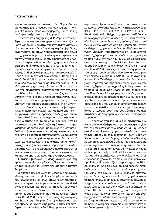να έχει επιπτώσεις στο υλικό το ίδιο. Ο φάκελος είναι αδιάβροχος, στεγανός και ιδανικός για τη διαφύλαξη υλικών όπως οι εφημερίδες, με το κακής ποιότητας εύθρυπτο και όξινο χαρτί.

Η γνωστή Ιταλίδα χημικός Μ. Ρ. Zappala αναφέρθηκε στα αποτελέσματα ερευνών που σχετίζονται με τη χρήση αμύλου στην αποκατάσταση χαρτώων υλικών, που είναι θετική από χημική άποψη. Όπως είναι γνωστό, το άμυλο χρησιμοποιείται από παλιά στη χαρτοποιία για τη βελτίωση των μηχανικών ιδιοτήτων του χαρτιού. Για την διαπίστωση του πλέον κατάλληλου είδους αμύλου, χρησιμοποιήθηκαν διάφορα από καλαμπόκι, πατάτα κλπ. Επίσης χρησιμοποιήθηκαν τα επεξεργασμένα άμυλα: C Film 12905, C Film 05702 (maize hydroxypropylates), C Bond 12506 (maize cationic starch), C Bond 35806 και C Bond 35804 (potato cationic starches). Όλα τα άμυλα ήταν της εταιρείας Cerestar Italia S.P.A. H ιδιότητα και η χρηστική αξία του αμύλου στον τομέα της συντήρησης εξαρτάται από την αναλογία των δύο πολυμερών του: της αμυλόζης και της αμυλοπηκτίνης. Για την ανεύρεση κατάλληλου αμύλου, έγιναν διάφορες μετρήσεις της τιμής PH των χαρτιών, του βαθμού φωτεινότητας, της πυκνότητας, της διαφάνειας και της αναστρεψιμότητας. Όλες οι μετρήσεις έγιναν πριν και μετά από τεχνητή γήρανση. Από τις έρευνες αποδείχθηκε ότι το πλέον αβλαβές και με τις περισσότερες ικανοποιητικές ιδιότητες είναι το άμυλο C Film 05702 (maize hydroxypropylate). Συνδυάζει τη διαλυτότητα (μεγαλύτερη σε ζεστό νερό) με το αβλαβές, δεν μεταβάλλει το βαθμό πολυμερισμού της κυτταρίνης και έχει θετικά αισθητικά αποτελέσματα. Εφαρμόζεται με ευκολία και μπορεί να χρησιμοποιηθεί άνετα σ' όλες τις διαδικασίες της αποκατάστασης: κολλήματα χαρτιών (μπαλώματα), φοδραρίσματα, κολλαρίσματα κ.ά. Τα επεξεργασμένα άμυλα διαλύονται εύκολα στο κρύο και το ζεστό νερό με ικανοποιητικά αποτελέσματα ως προς την αναστρεψιμότητα.

Η Ιταλίδα βιολόγος Ο. Μaggi αναφέρθηκε στη χρήση των επεξεργασμένων αμύλων από την άποψη της βιολογίας και μίλησε ειδικότερα για τα τεστ βιοφθοράς.

Ο σκοπός των ερευνών και μελετών που έγιναν, είναι η σύγκριση της βιολογικής φθοράς του αμύλου καλαμποκιού με άλλα άμυλα ίδιων δημητριακών, επεξεργασμένων με αιθεροποίηση (modified by etherification), με προοπτική τη χρήση τους στον τομέα της αποκατάστασης. Έγιναν έρευνες με χρήση χαρτιού Whatman no1 και Ιαπωνικού τύπου Kozu Shi 632660 (έρευνες χημικές, τεχνολογικές και βιολογικές). Τα χαρτιά υποβλήθηκαν σε τεστ προσβολής και ανάπτυξης μικρομυκήτων και εκτέθηκαν σε μικροκλίμα ειδικά διαμορφωμένο για την περίπτωση. Χρησιμοποιήθηκαν τα παρακάτω άμυλα που κατασκευάζονται από την Εταιρεία Cerestar Italia S.P.A : C Film05702, C Film12905 Kal C Bond12506. Άλλα δείγματα χαρτιών υποβλήθηκαν σε τεχνητή γήρανση και άλλα όχι. Τα τεστ έγιναν επί ειδικών γυαλιών βιολογικής χρήσης αλλά και επί των ίδιων των χαρτιών. Από τις μελέτες που έγιναν σε δείνματα χαρτιών που δεν υποβλήθηκαν σε τεχνητή γήρανση, παρατηρήθηκε ότι μικρομύκητες αναπτύχθηκαν μόνο σε περιβάλλον με σχετική υγρασία γύρω στη τιμή του 100%, με μικροεξαιρέσεις: Η αντίσταση στο Penicillium pinophilum του χαρτιού Whatman με επικάλυψη από C Film12905 και C Bond12506, καθώς και η ανάπτυξη, μετά από 175 μέρες, του Aspergillus niger στο ιαπωνικό χαρτί με επικάλυψη από C Film12905 και σε σχετική υγρασία 92%. Στα δείγματα που υποβλήθηκαν σε τεχνητή γήρανση παρατηρήθηκε ότι οι μικρομύκητες αναπτύχθηκαν σε τιμή υγρασίας 100% (απόλυτη υγρασία) και ορισμένες φορές και στη σχετική τιμή του 92%. Σε υψηλά υγρομετρικά επίπεδα, τόσο τα επεξεργασμένα με αιθεροποίηση άμυλα (etherified starches) όσο και το φυσικό άμυλο καλαμποκιού (natural maize), που χρησιμοποιήθηκαν στη σχετική έρευνα, αποδείχθηκαν, σε μεγαλύτερη ή μικρότερη έκταση, πλούσια τροφή για τους μύκητες που αναπτύχθηκαν σε διαφορετικό χρόνο και με διαφορετικό ρυθμό.

Η Γερμανίδα χημικός και ειδική συντηρήτρια Α. Haberditzl αναφέρθηκε στις προσπάθειες που γίνονται για τη βελτίωση των υδαρών και μη υδαρών μεθόδων αποξίνωσης χαρτώων υλικών, με ταυτόχρονη στερέωση-σταθεροποίηση των χαρτιών. Χρησιμοποιείται μία υδαρής μέθοδος αποξίνωσης, με χρήση διττανθρακικού ασβεστίου και διττανθρακικού μαγνησίου, σε συνδυασμό ή μόνο το ένα από τα δύο, τα οποία αποκτούνται με την παροχή νερού σε δολομητικό ασβεστόλιθο (dolomitized limestone). Τα χαρτιά εμβαπτίζονται στα διαλύματα αυτά σε διαφορετικό χρόνο και σε διάλυμα με κυμαινόμενη τιμή PH και ελαφρώς όξινο μέχρι ελαφρώς ουδέτερο-αλκαλικό. Από τις μέχρι σήμερα έρευνες διαπιστώνουμε ότι τα διαλύματα με ελαφρώς χαμηλό ΡΗ, γύρω στο 5,5 με 6, έχουν αλκαλικά αποτελέσματα. Για να έχουμε ένα αλκαλικό χαρτί με ικανοποιητικό αλκαλικό απόθεμα, συνιστάται διάλυμα ελαφρώς όξινο και συνδυασμός των δύο διττανθρακικών (ασβεστίου και μαγνησίου) με εμβάπτιση περίπου 10'. Σε ότι αφορά τα χαρτιά από groundwood pulp, που είναι πολύ όξινα πριν την αποξίνωση, έχουμε τα καλύτερα αποτελέσματα -με τιμή PH μετά την αποξίνωση γύρω στο 8/9- όταν χρησιμοποιήσουμε ελαφρώς όξινο διάλυμα αποκτημένο από δολομητικό ασβεστόλιθο σε αναλογία calcium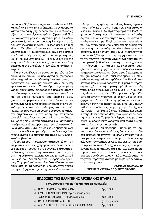carbonate 90,8% kat magnesium carbonate 9,2% και τιμή PH 5,8 για 10' εμβάπτισης. Όσον αφορά τα χαρτιά από ράκη (rag papers), που είναι ελαφρώς όξινα πριν την αποξίνωση, εμβαπτιζόμενα σε διάλυμα μόνο διττανθρακικού μαγνησίου με PH αλκαλικό γύρω στο 8,4 αποκτούν μία τιμή PH γύρω στο 10, που δεν θεωρείται ιδανική. Η υψηλή αλκαλική τιμή είναι το ίδιο βλαπτική νια το χαρτί όσο και η πολύ χαμηλή τιμή PH. Εμβαπτιζόμενα όμως σε διάλυμα των δύο διττανθρακικών, ασβεστίου και μαγνησίου, με PH κυμαινόμενο από 5,8-7,3 έχουμε ένα PH της τιμής των 8. Το πλύσιμο των χαρτιών πριν από τη διαδικασία της αποξίνωσης δεν είναι απολύτως ανανκαίο.

Για την αποξίνωση με ψεκασμό προτείνεται ένα διάλυμα ανθρακικού αιθυλομαγνησίου (carbonate ethyl magnesium) σε αιθανόλη ή σε πεντάνιον, σε περίπτωση που έχουμε διαλυτά στην αιθανόλη χρώματα και μελάνια. Τα πειράματα έγιναν με τη χρήση διαλυμάτων διαφορετικής περιεκτικότητας σε αιθανόλη και πεντάνιο σε παλαιά χαρτιά από ράκη, σε χαρτιά σύγχρονα από chemical pulp, groundwood paper και σε χαρτιά εύθρυπτα και κιτρινισμένα. Οι έρευνες απέδειξαν ότι πρέπει να ψεκάζουμε και στις δύο πλευρές του χαρτιού. Παρατηρήθηκε ότι η μη υδαρής μέθοδος αποξίνωσης συγκρινόμενη με την υδαρή, έχει θετικότερα αποτελέσματα όσον αφορά το αλκαλικό απόθεμα. Το υδαρές διάλυμα του διττανθρακικού ασβεστίου παρέχει στο εμβαπτισμένο χαρτί ένα αλκαλικό απόθεμα γύρω στο 0,75% ανθρακικού ασβεστίου, ενώ μετά την αποξίνωση με ανθρακικό αιθυλομαγνήσιο έχουμε ανθρακικό απόθεμα της τάξης 1,5% ανθρακικού ασβεστίου.

Όσον αφορά τη στερέωση-σταθεροποίηση των εύθρυπτων χαρτιών, χρησιμοποιούνται στις έρευνες διάφορα πρόσθετα στα οργανικά διαλύματα αποξίνωσης, με σκοπό την αντικατάσταση της χρήσης της μεθυλοκυτταρίνης ως ενισχυτικού υλικού με υλικά που δεν επιδέχονται υδαρείς επεξεργασίες. Τα χαρτιά επί των οποίων δοκιμάζονται τα νέα διαλύματα και τα ενισχυτικά, υποβάλλονται πρώτα σε τεχνητή γήρανση, για να έχουμε ενδεικτικά αποτελέσματα της χρήσης των strengthening agents. Παρατηρήθηκε ότι, με τη χρήση ως ενισχυτικού υλικού του Klucel E (= Hydroxypropyl cellulose), τα χαρτιά από ράκη αποκτούν μία ικανοποιητική αύξηση του βαθμού ελαστικότητάς τους. Τα χαρτιά τα επεξεργασμένα με Ethyl carbonate magnesium, που δεν έχουν όμως υποβληθεί στη διαδικασία της στερέωσης με οποιοδήποτε strengthening agent. αποκτούν μία ενίσχυση στο βαθμό ελαστικότητάς τους κατά 3,6% πριν την τεχνητή γήρανση ενώ μετά την τεχνητή γήρανση χάνουν ένα ποσοστό 5% του αρχικού βαθμού ελαστικότητας που είχαν πριν τη γήρανση. Τα στερεωτικά-ενισχυτικά butyl glycoside και octyl glycoside δεν απέδωσαν ικανοποιητικά αποτελέσματα. "Οσον αφορά τα χαρτιά από groundwood pulp, επεξεργασμένα με ethyl carbonate magnesium, κερδίζουν ένα 25% ελαστικότητας πριν και ένα ποσοστό 22% μετά τη γήρανση σε σχέση με την αρχική τιμή ελαστικότητάς τους. Επεξεργαζόμενα με το Klucel E, η αύξηση της ελαστικότητας είναι 22% πριν και ακόμη 33% μετά τη τεχνητή γήρανση, σε σχέση με το μη επεξεργασμένο δείγμα. Όσον αφορά τα δεδομένα των ερευνών στην περίπτωση εφαρμογής μη υδαρών μεθόδων αποξίνωσης, παρατηρούμε ότι έχουμε μία μείωση του βαθμού ελαστικότητας και επιμήκυνσης (tensile stretch data) των χαρτιών σε όλες τις περιπτώσεις. Το χαρτί επεξεργασμένο με αλκοολική μέθοδο χάνει το νερό του, καθίσταται εύθρυπτο και δεν μπορεί να τεντωθεί.

Ως γενικό συμπέρασμα μπορούμε να σημειώσουμε ότι τόσο οι υδαρείς όσο και οι μη υδαρείς μέθοδοι επιδέχονται και άλλη βελτίωση για να έχουμε ικανοποιητικά αποτελέσματα. Η στερέωσηενίσχυση των χαρτιών με ψεκασμό γίνεται προς αυτή την κατεύθυνση. Δεν έχουμε όμως μέχρι τώρα ικανοποιητικά αποτελέσματα. Παρ' όλα αυτά, παρατηρούμε ότι τόσο το Klucel E όσο και το butyl glycoside μειώνουν τα αρνητικά αποτελέσματα της τεχνητής γήρανσης σχετικά με το βαθμό ελαστικότητας των χαρτιών.

#### Βασίλειος Πελτίκογλου ΣΚΕΨΕΙΣ ΥΣΤΕΡΑ ΑΠΟ ΕΠΤΑ ΧΡΟΝΙΑ

| ΕΚΔΟΣΕΙΣ ΤΗΣ ΕΛΛΗΝΙΚΗΣ ΑΡΧΕΙΑΚΗΣ ΕΤΑΙΡΕΙΑΣ            |                |  |  |
|-------------------------------------------------------|----------------|--|--|
| Κυκλοφορούν και διατίθενται στα βιβλιοπωλεία:         |                |  |  |
| ∞ Η ΦΥΣΙΟΓΝΩΜΙΑ ΤΟΥ ΑΡΧΕΙΑΚΟΥ                         | δρχ. 1.000     |  |  |
| ∞ ΣΥΜΠΟΣΙΟ ΑΡΧΕΙΟΝΟΜΙΑΣ. Αρχεία και αρχειακοί:        |                |  |  |
| Ένας ιστός (Κέρκυρα, 11-13 Οκτωβρίου 1991)            | δρχ. 1.500     |  |  |
| ΟΔΗΓΟΣ ΙΔΙΩΤΙΚΩΝ ΑΡΧΕΙΩΝ<br>∞                         | (εξαντλημένος) |  |  |
| ΔΣΑ: ΔΙΕΘΝΕΣ ΠΡΟΤΥΠΟ ΑΡΧΕΙΑΚΗΣ ΠΕΡΙΓΡΑΦΗΣ<br>$\infty$ | δρχ. 1.500     |  |  |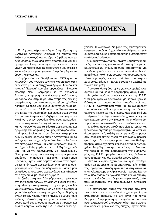# **APXEIAKA ΠΑΡΑΛΕΙΠΟΜΕΝΑ**

Επτά χρόνια πέρασαν ήδη, από την ίδρυση της Ελληνικής Αρχειακής Εταιρείας το Μάρτιο του 1990, και ομολογώ ότι ως ιδρυτικό μέλος, που με ενθουσιασμό συνέβαλα στην προσπάθεια για την πραγματοποίηση των στόχων της, ένοιωσα την ανάγκη να καταγράψω τις προσωπικές μου σκέψεις και προβληματισμούς γύρω από την ύπαρξη και το έρνο της Εταιρείας.

Θυμάμαι ότι τον Οκτώβριο του 1989 η Λίτσα Μπαφούνη μου γνώρισε τον Νίκο Καραπιδάκη στην εκδήλωση με θέμα "Σύγχρονα Αρχεία, Φάκελοι και Ιστορική Έρευνα" που είχε οργανώσει η Εταιρεία Μελέτης Νέου Ελληνισμού και το περιοδικό Ιστορικά, με αφορμή την απόφαση της κυβέρνησης να παραδώσει στην πυρά, στο όνομα της εθνικής συμφιλίωσης, τους ατομικούς φακέλους χιλιάδων πολιτών. Οι τρεις μας είχαμε συναντηθεί λίγες μέρες αργότερα στα Γ.Α.Κ., που στεγάζονταν ακόμα στο κτίριο της Ακαδημίας, και είχαμε συμφωνήσει ότι η συγκυρία ήταν κατάλληλη και η ανάγκη επιτακτική να συγκεντρωθούμε όλοι όσοι ασχολιόμασταν επιστημονικά ή επαγγελματικά με τα αρχεία και να προωθήσουμε τα θέματα αρχειονομίας και αρχειακής επιμόρφωσης που μας απασχολούσαν.

Η πρωτοβουλία μας ήταν τότε ίσως τολμηρή για έναν χώρο και μια χώρα όπου η Αρχειονομία και το επάγγελμα του αρχειονόμου ήταν λίγο πολύ άγνωστα εκτός ενός στενού κύκλου "μυημένων". Μου είχε τύχει πολλές φορές να πω τη λέξη "αρχειονόμος" και να την ερμηνεύσουν ως "αρχαιονόμο". Πρόσφατα ακόμη η προσωπική μου εμπειρία από δημόσιες υπηρεσίες (Εφορία, Επιθεώρηση Εργασίας), ήταν μάτια γεμάτα απορία όταν δήλωσα ως επάγγελμα αρχειονόμος. Η απορία αποσαφηνίστηκε λίγο όταν συμπλήρωσα τη βασική μου εκπαίδευση: ιστορικός-αρχειονόμος και εξήγησα ότι ασχολούμαι με ιστορικά "χαρτιά".

Η ζεύξη αυτή των δύο χώρων-επιστημών που στη συνείδηση πολλών ανθρώπων φθάνει την ταύτιση, είναι χαρακτηριστική στη χώρα μας για λόγους ιδιαίτερων συνθηκών, όπως είναι η ανυπαρξία για πολλά χρόνια κρατικής αρχειακής υποδομής, η αντίληψη των λογίων για τις πηγές, ο ρυθμός και ο τρόπος ανάπτυξης της ιστορικής έρευνας. Το γεγονός αυτό δεν μπορούσε παρά να επηρεάσει και τη σύνθεση των μελών της Ε.Α.Ε.: ιστορικοί και αρχειακοί. Η ειδοποιός διαφορά της επιστημονικής αρχειακής παιδείας ίσχυε τότε για ελάχιστους, ενώ οι αυτοδίδακτοι με κάποια πρακτική εμπειρία ήσαν οι πλέον πολυάριθμοι.

Θυμάμαι την αγωνία που είχα το βράδυ της ιδρυτικής συνέλευσης για το αν θα καταφέρναμε να μαζευτούμε 20 άτομα, αριθμός απαραίτητος για την ίδρυση ενός επιστημονικού σωματείου. Τελικά βρεθήκαμε πολύ περισσότεροι και αργότερα οι αιτήσεις εγγραφής μελών κατέκλυζαν το Διοικητικό Συμβούλιο. Σήμερα η Ε.Α.Ε. έφθασε να αριθμεί πάνω από 250 μέλη.

Πρόκειται όμως δυστυχώς για έναν αριθμό πλασματικό και για μια σύνθεση προβληματική. Γιατί;

- Μεγάλος αριθμός μελών έγιναν μέλη της Ε.Α.Ε. γιατί βρέθηκαν να εργάζονται για κάποιο χρονικό διάστημα ως αποσπασμένοι εκπαιδευτικοί στα Γ.Α.Κ. Η ενεργοποίηση τους και το ενδιαφέρον τους τελειώνει μαζί με την απόσπασή τους. Φυσικό θα έλεγε κανείς για τους ίδιους, καταστροφικό για τα Αρχεία όταν έχουν επενδυθεί χρόνος και γνώσεις και λυπηρό για την Εταιρεία, της οποίας το δυναμικό αποπροσανατολίζεται και αποδυναμώνεται.

- Μεγάλος αριθμός μελών που είναι ιστορικοί και η ενασχόλησή τους με τα αρχεία ήταν και είναι καθαρά ερευνητική, καθώς τα αντιμετωπίζουν μόνον σαν ιστορικές πηγές, χωρίς να κατανοούν μερικές φορές -γιατί δεν τους αφορούν άμεσα- τα ιδιαίτερα προβλήματα διαχείρισης και επεξεργασίας των αρχείων. Τα μέλη αυτά κράτησαν ίσως στη διάρκεια της πορείας και της διαμόρφωσης της φυσιογνωμίας της Ε.Α.Ε. ορισμένες αποστάσεις. Πολύτιμοι συνοδοιπόροι λοιπόν, αλλά όχι ενεργά μέλη.

- Από τα μέλη που έχουν πιο μόνιμη και σταθερή σχέση με τα αρχεία, λόγω επαγγελματικής ιδιότητας, ορισμένοι ασχολήθηκαν πιο συστηματικά και επαγγελματικά με την Αρχειονομία, προσπαθώντας να εμπλουτίσουν τις γνώσεις τους και να αποκτήσουν το επίπεδο του σύγχρονου αρχειακού, άλλοι πάλι αρκέστηκαν στις περιορισμένες εμπειρικές γνώσεις.

Το αποτέλεσμα αυτής της ποικίλης σύνθεσης των μελών είναι ότι οι καθαρά αρχειονομικοί προβληματισμοί μοιάζουν να μην είναι πια κοινοί. Διαρροές, διαφοροποίηση, απογοήτευση, προσωπικοί ανταγωνισμοί, απομαζικοποίηση των συλλογικών φορέων -φαινόμενο της εποχής-, ήσαν διαπι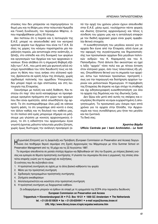στώσεις που δεν μπόρεσαν να παρηγορήσουν το θυμό μου και τη θλίψη μου στην τελευταία Ημερίδα και Γενική Συνέλευση, τον περασμένο Μάρτιο, όπου παραβρέθηκαν μόλις 30 άτομα.

Δεν πιστεύω ότι η πορεία και η λειτουργία της Ε.Α.Ε. μπορεί να αποσυνδεθεί από τον κεντρικό κρατικό φορέα των Αρχείων που είναι τα Γ.Α.Κ. Σε όλες τις χώρες του κόσμου παρατηρείται μία παράλληλη πορεία, μία αντιστοιχία στην ανάπτυξη, εξέλιξη, στο επίπεδο και στη δυναμική των φορέων και οργανισμών των Αρχείων και των αρχειακών ενώσεων. Είναι αλήθεια ότι η σημερινή θλιβερή εξέλιξη των Γ.Α.Κ., που μετά από μία φωτεινή αλλά σύντομη προσπάθεια του τότε διευθυντή τους να πάρουν τη θέση που τους ανήκει στο ελληνικό κράτος, βρίσκονται σε κρίση λόγω της άτολμης, χωρίς σχεδιασμό πολιτικής του αρμόδιου Υπουργείου, δεν μπορεί παρά να έχει επιπτώσεις και στη λειτουργία της Εταιρείας.

Ξεκινήσαμε με πολλή και καλή διάθεση. Και πιστεύω ότι παρ' όλα αυτά καταφέραμε να προσφέρουμε ορισμένα πράγματα στο χώρο των αρχείων που δεν είναι αμελητέα, αλλά οπωσδήποτε όχι αρκετά. Το ότι συσπειρωθήκαμε όλοι μαζί σε κάποια πρώτη φάση, το ότι γνωρίσαμε από κοντά ο ένας τον άλλον καθώς και τη δουλειά του καθένα μας, το ότι πολλοί από εμάς μπορούμε σήμερα να μιλήσουμε μια γλώσσα με κοινούς αρχειονομικούς όρους, το ότι η ειδικότητα του αρχειονόμου έγινε γνωστή έχοντας μάλιστα τελευταία μεγάλη ζήτηση, χωρίς όμως δυστυχώς την ανάλογη προσφορά (από την αρχή του χρόνου μόνον έχουν απευθυνθεί στην Ε.Α.Ε. μέσω εμού, τουλάχιστον πέντε φορείς και ιδιώτες ζητώντας αρχειονόμους) και τέλος η σύνδεση του χώρου μας και η ανταλλαγή επαφών με τον διεθνή αρχειακό χώρο είναι χωρίς αμφιβολία θετικά στοιχεία.

Η ευαισθητοποίηση του μεγάλου κοινού για τα αρχεία δεν ένινε από την Εταιρεία, αλλά ένινε με την αφορμή της συγκέντρωσης και δημοσιοποίησης των προσωπικών αρχείων δύο μεγάλων πολιτικών ανδρών: του Κ. Καραμανλή και του Α. Παπανδρέου. Ποτέ άλλοτε δεν ακούστηκε να ηχεί η λέξη "αρχείο" τόσο πολύ και με τέτοια ένταση στον ελληνικό χώρο, όσο τους τελευταίους έξι μήνες. Οπωσδήποτε θετικό για τη σημασία των αρχείων, έστω των πολιτικών προσώπων, προτροπή ίσως για την παραγωγή και διατήρηση αρχείων τωρινών και μελλοντικών δημιουργών. Η παρέμβαση της Εταιρείας θα έπρεπε να έχει στόχο τη σταθερή και όχι ειδησεογραφική ευαισθητοποίηση για όλα τα αρχεία της δημόσιας και της ιδιωτικής ζωής.

Δεν ξέρω εάν μετά από αυτές τις σκέψεις και εκτιμήσεις θα έπρεπε να είμαι ευχαριστημένη ή απογοητευμένη. Τα προσωπικά μου όνειρα πριν επτά χρόνια για τα αρχεία στην Ελλάδα, την Αρχειονομία και τους συναδέλφους μου ήταν πιο μεγάλα και πιο ζωντανά.

Τα δικά σας;

#### Χριστίνα Βάρδα Ufficio Centrale per i beni Archivistici.- Le fonti

| Ευρωπαϊκή Επιτροπή για τη Διαφύλαξη και Πρόσβαση (European Commission on Preservation and Access) διοργα-Πνώνει ένα πενθήμερο θερινό σεμινάριο στη Σχολή Αρχειονομίας του Μάρμπουργκ με τίτλο Summer School on Preservation Management από τις 18 μέχρι και τις 22 Αυγούστου 1997.

Το σεμινάριο απευθύνεται σε μεσαία στελέχη Αρχείων και Βιβλιοθηκών απ' όλη την Ευρώπη, με στέρεες βασικές γνώσεις και εμπειρία σε θέματα προληπτικής συντήρησης. Η γλώσσα του σεμιναρίου θα είναι η γερμανική, της οποίας απαιτείται επαρκής γνώση για τη συμμετοχή σε συζητήσεις.

Οι ενότητες που θα συζητηθούν είναι:

- 1. Η προληπτική συντήρηση σε σχέση με τα άλλα βασικά καθήκοντα του φορέα
- 2. Μέσα για την προληπτική συντήρηση
- 3. Σχεδιασμός προγραμμάτων προληπτικής συντήρησης
- 4. Ζητήματα εκκαθαρίσεων
- 5. Αποτελεσματικότητα και ικανότητα στην προληπτική συντήρηση
- 6. Η προληπτική συντήρηση ως διαχειριστικό καθήκον.

Οι ενδιαφερόμενοι μπορούν να έρθουν σε επαφή με τη γραμματεία της ECPA στην παρακάτω διεύθυνση: **European Commission on Preservation and Access** 

Trippenhuis . Kloveniersburgwal 29 . P.O. Box 19121 . 1000 GC Amsterdam . The Netherlands tel. +31-20-5510839 · fax +31-20-6204941 · e-mail ecpa@bureau.knaw.nl URL http://www.library.knaw.nl/epic/ecpatex/welcome.htm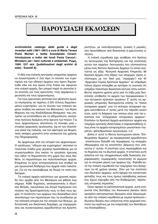### **¶APOY™IA™H EK¢O™EøN ¶APOY™IA™H EK¢O™EøN**

*archivistiche: catalogo delle guide e degli inventari editi (1861-1991)* **a cura di Maria Teresa Piano Mortari e Isotta Scandaliato Ciciani. Introduzione e indici dei fondi Paola Carucci.-** Ministero per i beni culturali e ambientali, Pώμη, 1995. 537 σελ. [pubblicazioni degli archivi di **stato.- Sussidi 8].**

H ιδέα της ιταλικής κεντρικής υπηρεσίας αρχείων να συγκεντρώσει σ' ένα τόμο το σύνολο των ευρετηρίων και των οδηγών αρχείων που έχουν δημοσιευθεί εδώ και ένα αιώνα στην Ιταλία και αφορούν στα ιταλικά αρχεία, δεν μπορεί παρά να αποτελεί ένα γεγονός για τους ερευνητές, τους αρχάριους ερευνητές και τους αρχειονόμους.

Για τους ερευνητές αποτελεί ένα αξιόπιστο όργαvo πλοήγησης σε περίπου 2.000 τίτλους δημοσιευμένων ευρετηρίων -για το σύνολο των ιταλικών αρχείων (καθώς και εκείνων του Βατικανού, του Αγίου Mαρίνου και της Αλεξάνδρειας-Βιτέρμπο)- που επιτρέπει να εντοπισθούν και τα αδημοσίευτα, ανοίγοντας πολλούς δρόμους στην έρευνα των πηγών. Για τους αρχειονόμους αποτελούν τη σύνοψη μιας ιστορίας αρχειακής οργάνωσης, όχι εκ των ελασσόνων αλλά της ιταλικής, και την αφετηρία για θεωρητικές σκέψεις μπροστά στην γενίκευση της χρήσης της Πληροφορικής.

Aς αρχίσουμε από την ιστορία των αρχειονόμων. Ο κατάλογος "οδηγών και ευρετηρίων" αποτελεί το τελευταίο στάδιο μιας μεγάλης προσπάθειας για να συγκεντρωθούν όλα εκείνα τα εργαλεία έρευνας που είδαν τη δημοσιότητα στη χώρα που ίσως διαθέτει τα περισσότερα και πολυπλοκότερα αρχεία. Eπομένως το έργο αντιπροσωπεύει ένα σταθμό σε μια οργανωτική διαδρομή που άρχισε πολύ παλιότερα. Για να την καταλάβουμε ας δούμε τα τοπία που διέσχισε.

Tα ιταλικά αρχεία καλύπτουν μια χρονική περίοδο που αρχίζει από τον Μεσαίωνα και φθάνει έως σήμερα. Κάθε δημόσιος, εκκλησιαστικός ή ιδιωτικός θεσμός, οικογένειες και άτομα παρήγαγαν στο πλαίσιο της δραστηριότητάς τους το δικό τους αρχείο. Η ποσότητα των αρχείων που διασώθηκε είναι αποτέλεσμα των περιπετειών που τα συνέδεσαν με την πολιτική ιστορία και την ιστορία των θεσμών, με δυναστικές και δικαστικές διαμάχες, με παραχωρήσεις και συγκεντρώσεις αρμοδιοτήτων και δραστηριοτήτων, με αναταξινομήσεις, γενικές ή μερικές, που προκλήθηκαν από διοικητικές ή ερευνητικές ανάγκες.

H ιταλική νομοθεσία έχει αναθέσει στο Κράτος τις λειτουργίες της διατήρησης και της εποπτείας αυτών των αρχείων. Λειτουργίες που υλοποιούνται μέσω ενός δικτύου Κρατικών Αρχείων το οποίο αναλύεται ως εξής: Κεντρική Αρχειακή Υπηρεσία, 95 Κρατικά Αρχεία στις έδρες των επαρχιών (όρος αντίστοιχος με τον δικό μας "νομαρχία") και 40 "Αρχειακοί Τομείς Κρατικών Αρχείων" σε ισάριθμες πόλεις (έχουν επιλεχθεί με κριτήριο το γεγονός ότι υπήρξαν παλιότερα διοικητικά κέντρα) όπου κατατίθενται σαράντα χρόνια μετά από τη λήξη μιας διοικητικής υπόθεσης τα αρχεία των περιφερειακών ή των κεντρικών κρατικών οργάνων. Σ' αυτές τις αρχειακές υπηρεσίες διατηρούνται επίσης τα "παλιά νοταριακά αρχεία" ενώ τα νεότερα νοταριακά αρχεία κατατίθενται σ' αυτές μετά την πάροδο εκατό ετών, κατά τη διάρκεια των οποίων είναι υπό την εποπτεία των "επαρχιακών νοταριακών αρχείων". Επιπλέον τα Κρατικά Αρχεία φυλάσσουν αρχεία και τεκμήρια κρατικής ιδιοκτησίας ή παρακαταθήκης όπως είναι τα αρχεία καταργημένων μοναστικών ταγμάτων, φιλανθρωπικών οργανισμών, κ.ά.

Δίπλα σ' αυτό το δίκτυο λειτουργούν είκοσι "Επιθεωρήσεις Αρχείων" με περιφερειακή αρμοδιότητα –εποπτεύουν δηλαδή την περιφέρεια, τις επαρχίες (Νομαρχίες) και τις κοινότητες (Δήμους) που υπάγονται σ' αυτήν. Η εποπτεία τους περιλαμβάνει και τα δημόσια και τα ιδιωτικά αρχεία. Η εποπτεία αυτή ασκείται επί της υποχρεώσεως κάθε διοίκησης (περιφερειακής, νομαρχιακής, κοινοτικής) να μεριμνά για το ιστορικό μέρος των αρχείων της -δηλαδή κατά την ιταλική νομοθεσία των τεκμηρίων που ξεπερνούν τα 40 χρόνια ηλικίας. Όσο για την εποπτεία των ιδιωτικών αρχείων, αυτή αφορά την κατάσταση φύλαξής τους και τους όρους πρόσβασης εκείνων που έχουν κηρυχθεί από την Επιθεώρηση "αξιόλογης ιστορικής σημασίας".

Όσον αφορά τα εκκλησιαστικά αρχεία, αυτά υπάγονται στις διατάξεις του Κανονικού Δικαίου αλλά ορισμένα εκκλησιαστικά ιδρύματα είναι εξομοιωμένα από την ιταλική νομοθεσία με νομικά πρόσωπα ιδιωτικού δικαίου που υπάγονται στην αρχειακή εποπτεία του κράτους με την επιφύλαξη των διατάξεων του Κονκορδάτου.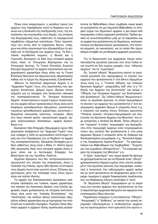Όπως είναι αναμενόμενο, ο μεγάλος όγκος των αρχείων που παρήχθησαν κατά τη διάρκεια των αιώνων και η δυσκολία της επισήμανσής τους, της κατανόησης της εσωτερικής τους δομής, της ιστορίας της διαμόρφωσής τους, καθιστούν το τεκμηριωτικό περιβάλλον εξαιρετικά πολύπλοκο. Πολύ περισσότερο που εκτός από το παραπάνω δίκτυο, υπάρχουν και άλλοι οργανισμοί που εξασφαλίζουν τη φύλαξη και τη διατήρηση των αρχείων τους. Τα δύο ιταλικά νομοθετικά σώματα, η Βουλή και η Γερουσία, διατηρούν τα δικά τους ιστορικά αρχεία όπως κάνει το Υπουργείο Εξωτερικών και το Υπουργείο Αμύνης. Το Γενικό Επιτελείο Στρατού διατηρεί ξεχωριστά τα αρχεία στρατιωτικού και επιχειρησιακού χαρακτήρα όπως κάνει και το Γενικό Επιτελείο Ναυτικού και Αεροναυτικής (Αεροπορίας) καθώς και το Σώμα της Χωροφυλακής (Carabinieri).

Μένουν τα Κοινοτικά (Δημοτικά) Αρχεία ή οι "Αρχειακοί Τομείς" τους, στις περιπτώσεις που ορισμένες Κοινότητες (Δήμοι) έχουν ιδρύσει τέτοια τμήματα για τα τεκμήρια που ξεπερνούν ηλικιακά την τεσσαρακονταετία. Τα "Ιστορικά Κοινοτικά Αρχεία" συγκεντρώνουν συχνά ή έχουν συγκεντρώσει και αρχεία άλλων προελεύσεων όπως είναι αυτά διαφόρων φιλανθρωπικών ιδρυμάτων, μοναστικών ταγμάτων φιλανθρωπικού χαρακτήρα, κοινοτικών ιδρυμάτων κοινωνικής πρόνοιας, νοταρίων -ιδίως στα τέως παπικά κράτη- οικογενειακά αρχεία, αρχεία προενωσιακών διοικήσεων, αρχεία Ειρηνοδικών κ.ά.

Ορισμένες πάλι Επαρχίες (Νομαρχίες) έχουν ήδη οργανώσει ανεξάρτητα τον "Αρχειακό Τομέα" τους ενώ υπάρχει η τάση να οργανωθούν αντίστοιχοι τομείς και στις Περιφέρειες για να δεχθούν τα αρχεία της τεσσαρακονταετίας. Ορισμένες Επαρχίες με ειδικό καθεστώς όπως είναι η Βάλε ντ' Αόστα έχουν ήδη οργανώσει δικά τους ιστορικά αρχεία όπως έχουν κάνει και οι Αυτόνομες Επαρχίες του Μπόλτζανο και του Τρινέδου (Τρέντο).

Δημόσια ιδρύματα που δεν αντιπροσωπεύονται οργανωτικά στο σύνολο της επικράτειας, όπως η Τράπεζα της Ιταλίας, έχουν ήδη ιδρύσει τα Ιστορικά τους Αρχεία (αυτό είναι γνωστό στους Έλληνες αρχειονόμους μετά την επίσκεψή τους) όπως έχουν κάνει και πολλοί ιδιώτες.

Τα αρχεία των Εκκλησιαστικών Διοικήσεων απέκτησαν πρόσφατα και τυπικώς νομικό χαρακτήρα, στο πλαίσιο του Κανονικού Δικαίου, ενώ πολλές αρχειακές πηγές φυλάσσονται σε Ιστορικά Ινστιτούτα όπως είναι αυτά της "Ιταλικής Ενοποίησης", της "Αντίστασης" και πολλών άλλων πολιτιστικών ιδρυμάτων ειδικού χαρακτήρα και με προορισμό την απόκτηση και τη φύλαξη τεκμηρίων. Πυρήνες τέλος ιδιωτικών αρχείων ή αρχείων άλλης προέλευσης φυλάσσονται σε Βιβλιοθήκες όπως συμβαίνει καμιά φορά να φυλάσσεται σε μια Δημοτική Βιβλιοθήκη το ιστορικό τμήμα του δημοτικού αρχείου ή μια σειρά από περγαμηνές ή άλλα αρχειακά κατάλοιπα. Πρέπει φυσικά να συνυπολογισθούν μαζί με τα παραπάνω και τα αρχεία που φυλάσσονται σε δημόσιους, εκκλησιαστικούς και θρησκευτικούς οργανισμούς, στα πολιτικά κόμματα, σε οικονένειες, και τα οποία δεν έχουν ακόμα ενταχθεί σε μια θεσμική αρχειακή οργάνωση.

Για τη διερεύνηση των αρχειακών πηγών κατασκευάζονται εργαλεία έρευνας που στην Ιταλία είναι γνωστά σε δύο κυρίως μορφές, τους "οδηγούς αρχείων" και τα "ευρετήρια".

Ως "γενικοί οδηγοί" θεωρούνται εκείνα τα ερευνητικά εργαλεία που περιγράφουν το σύνολο των αρχείων που φυλάσσονται σ' ένα δίκτυο ιδρυμάτων όπως είναι π.χ. ο "Γενικός Οδηγός των Ιταλικών Κρατικών Αρχείων" -μνημειώδης καθ' όλα- ή ο "Οδηγός των Αρχείων της Αντίστασης" και ακόμα ο "Οδηγός των Ιστορικών Αρχείων των Εκκλησιαστικών Διοικήσεων". Ως "ειδικοί οδηγοί" θεωρούνται εκείνα τα εργαλεία έρευνας τα οποία περιγράφουν το σύνολο των αρχείων που φυλάσσονται σ' ένα συγκεκριμένο αρχειακό ίδρυμα ή υπηρεσία όπως π.χ. ο κλασικός και οικείος στους Έλληνες ερευνητές "Πίνακας γενικός, ιστορικο-περιγραφικός και αναλυτικός του Κρατικού Αρχείου της Βενετίας" που είχε καταρτίσει ο Andrea Da Mosto. Άλλοι οδηγοί είναι "τομεακοί" ή απλές "αναγραφές" και περιορίζονται στην περιγραφή αρχείων ενός συγκεκριμένου τύπου που ωστόσο δεν φυλάσσονται σ' ένα μόνο αρχειακό ίδρυμα ή υπηρεσία αλλά σε διάφορα και διασκορπισμένα γεωγραφικά, π.χ. "Κοινοτικά Αρχεία της περιφέρειας Αιμίλια-Ρομάνια", "Τα χαρτοφυλάκεια των Βιβλιοθηκών της Λομβαρδίας", "Ευρετήριο των ρωμαϊκών αδελφοτήτων", "Τα ενοριακά αρχεία της επαρχίας της Μόντενα" κ.ά.

Ο όρος "ευρετήριο" που καμιά φορά θα βρούμε να χρησιμοποιείται και για να δηλώσει έναν "οδηνό". χρησιμοποιείται σήμερα κυρίως όταν γίνεται αναφορά σ' ένα εργαλείο έρευνας που περιγράφει, αναλυτικά ή συνοπτικά, ένα ταξινομημένο αρχείο ακόμα και αν αυτό φυλάσσεται σε διαφορετικά μέρη ή περιέχει τεκμήρια ή αρχεία διαφορετικής προέλευσης που για διάφορους λόγους κατέληξαν σ' αυτό.

Οι "θεματικοί οδηγοί" περιγράφουν με τη σειρά τους ένα σύνολο αρχείων που φυλάσσονται σε ένα ή περισσότερα αρχειακά ιδρύματα και αφορούν ένα συγκεκριμένο θέμα έρευνας.

Παράλληλα υπάρχουν ή συντάσσονται "Οδηγοί", "Αναγραφές" ή "Εκθέσεις" με σκοπό την γενική περιγραφή ταξινομημένων ή αταξινόμητων αρχείων για να προετοιμάσουν στον ερευνητή ένα πρώτο ε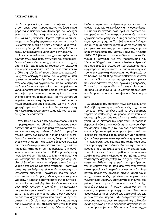πίπεδο πληροφορίας και να καταγράψουν την κατάσταση όπως αυτή παρουσιάζεται και ίσως καμιά φορά για να πείσουν έναν Οργανισμό, που δεν έχει επίσημα ως καθήκον την οργάνωση των αρχείων του, να τα αξιοποιήσει. Περιττό βέβαια να επιμείνουμε στην ύπαρξη εργαλείων έρευνας που συνήθως είναι χειρόγραφα ή δακτυλόγραφα και συντάσσονται κυρίως για διοικητικούς σκοπούς αλλά αποδεικνύονται εξαιρετικά χρήσιμα για την έρευνα.

Η μεγάλη ποικιλία που υπάρχει στον τρόπο προσέγγισης των αρχειακών πηγών και που προκαθορίζεται από τον τρόπο που σχηματίστηκαν τα αρχεία, από τη φύση των τεκμηρίων τους και την τυπολογία των αρχειακών σειρών, από τον όγκο τους και το στάδιο της ταξινόμησή τους, οδηγεί τους αρχειονόμους στην επιλογή του τύπου του ευρετηρίου που πρέπει να συντάξουν όχι μόνο για να προσφέρουν στον ερευνητή ένα εργαλείο που θα του επιτρέψει να βρει κάτι που ψάχνει αλλά που μπορεί και να χρησιμοποιήσει κατά τρόπο κριτικό, δηλαδή να του επιτρέψει την κατανόηση του τεκμηρίου μέσα από τη διαδικασία που το παρήγαγε. Περιττό ωστόσο να επιμείνει κανείς στη δημοσίευση αυτού που οι Ιταλοί συνάδελφοί μας ονομάζουν "Οδηγό" ή "Αναγραφή" αφού αυτά τα εργαλεία δίνουν την πρώτη και γενική πληροφόρηση για τα αρχεία και τους χώρους που φυλάσσονται.

Στην Ιταλία η εξέλιξη των εργαλείων έρευνας και η προβληματική που οδηγεί στη δημοσίευση ορισμένων από αυτά ξεκίνησε μετά την ενοποίηση αλλά σε ορισμένες περιπτώσεις, δηλαδή σε ορισμένα ιταλικά κράτη, είχε ξεκινήσει ήδη από πριν. Η εξέλιξη αυτή προκαθορίστηκε από τις θεωρητικές συζητήσεις για τη φύση της ιστορικής έρευνας αλλά και από την εκδοτική δραστηριότητα των αρχειακών υπηρεσιών, στην αρχή σε περιφερειακό στη συνέχεια σε κεντρικό επίπεδο. Το 1941 εγκαινιάζεται η περιοδική έκδοση "Notizie degli Archivi di Stato" για να μετονομασθεί το 1955 σε "Rassegna degli Archivi di Stato", αποτελώντας σήμερα μια από τις αρχειακές περιοδικές εκδόσεις γοήτρου. Παράγωγα αυτής της επιθεώρησης είναι οι δημοσιεύσεις - σε ξεχωριστές συλλογές - εργαλείων έρευνας, μελετών ιστορίας των θεσμών, έκδοσης πηγών και μονονραφιών. Η κρατική δραστηριότητα συνοδεύτηκε από μια άλλη παράλληλη, ιδιωτών, ιδρυμάτων και ερευνητικών κέντρων. Η ενοποίηση των αρχειακών υπηρεσιών (αρχικά στο Υπουργείο Εσωτερικών) μετά το 1874, δεν οδήγησε αυτόματα στην ομογενοποίηση των αρχειονομικών πρακτικών και άρα σε αυτήν της σύνταξης των ευρετηρίων παρά τους δύο κανονισμούς, του 1875 και αυτού του 1911 που μέσω του διακανονισμού της διδασκαλίας της Παλαιογραφίας και της Αρχειονομίας επιμένει στην ανάγκη "ορισμών και κανόνων για την ομοιογένεια". Θα προκύψει ωστόσο ένας αριθμός οδηγιών που εκπορευόταν από το κέντρο και κανόνιζε την επεξεργασία των ευρετηρίων. Αυτές οι οδηγίες έπεσαν σιγά-σιγά σε αχρηστία. Το 1966 η Κεντρική Υπηρεσία (Ε' τμήμα) εκπονεί κριτήρια για τη σύνταξη ευρετηρίων και κανόνες για τις αρχειακές παραπομπές στις εκδόσεις των κρατικών αρχείων. Η τριετία 1966-1969 βλέπει να παρουσιάζονται από το ίδιο τμήμα οι εργασίες για την προετοιμασία του "Γενικού Οδηγού των Κρατικών Ιταλικών Αρχείων" που φιλοδοξούσε -φιλοδοξία που υλοποίησε πολύ αργότερα- να παρουσιάσει με ενιαίο και οργανικό τρόπο την αρχειακή κληρονομιά που διαχειριζόταν το Κράτος. Το 1969 οριστικοποιήθηκαν οι κανόνες για την ανάλυση και την περιγραφή των αρχείων που φυλάσσονταν στις 136 αρχειακές υπηρεσίες. Το σύνολο της προσπάθειας έπρεπε να ξεπεράσει σοβαρά μεθοδολογικά και θεωρητικά προβλήματα που θα μπορούσαμε να συνοψίσουμε όπως παρακάτω.

Σύμφωνα με τον διαπρεπή Ιταλό αρχειονόμο, τον Καζανόβα, η σχέση της τάξεως ενός αρχείου και του ευρετηρίου του είναι στενή, και ένα ευρετήριο "πρέπει να καθρεφτίζει, αν μπορούμε να πούμε να φωτογραφίζει, σε κάθε του μέρος την τάξη του αρχείου και να διατηρεί την δομή του". Σε πρακτικό βέβαια επίπεδο η στενή σύνδεση της περιγραφής ενός αρχείου με την τάξη του δεν είναι πάντα δυνατή αφού ακόμα και αρχεία που προέκυψαν από όμοιες διοικητικές συμπεριφορές, μπορούν να παρουσιάζονται διαφορετικά κατά την ταξινόμησή τους και την περιγραφή τους εξαιτίας της τύχης τους μετά την παραγωγή τους αλλά και εξαιτίας της ιστορικής μεθόδου που θα ακολουθηθεί στην επεξεργασία τους. Είναι γνωστό πως η μεθοδολογία που ακολουθεί η ιστορική επεξεργασία προτιμά την αποκατάσταση της αρχικής τάξης του αρχείου, δηλαδή το αρχείο αποδίδεται στην μορφή που είχε πάρει από τον δημιουργό του και προκαλούνται έτσι αναγκαστικά χρονολογικές περιοδοποιήσεις που δεν λαμβάνουν υπόψη την αρχειακή συνοχή, αφού δεν υπάρχει πάντα σαφής τομή όταν μια υπηρεσία συγχωνεύεται με μία άλλη. Επιπλέον προκαλούνται διαμελισμοί των σειρών ή των υποσειρών όταν έχει συμβεί συγχώνευση ή αλλαγή αρμοδιοτήτων της αρχικής υπηρεσίας παραγωγής που συνήθως συνοδεύεται και με τη μεταφορά των αρχείων ή των τεκμηρίων στη νέα υπηρεσία. Μια άλλη οπτική ωστόσο είναι αυτή που κατανοεί το αρχείο όπως το διαμόρφωσε ο χρόνος με τα διαφορετικά αρχειακά ιζήματα που προέκυψαν και οδήγησαν μετά από συγχώ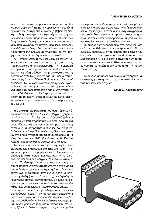νευση σ' ένα ενιαίο πληροφοριακό σύμπλεγμα ολόκληρων αρχείων ή τμημάτων αρχείων υπηρεσιών ή οργανισμών. Αυτή η οπτική διασώζει βέβαια τη διοικητική ζωή του αρχείου και τη συνέχεια των αρχειακών σειρών αλλά απομακρύνει από το πλαίσιο των διαφορετικών διοικήσεων καθώς και των λειτουργιών που γέννησαν το αρχείο. Περικλείει επιπλέον τον κίνδυνο να θεωρηθεί ιστορικής σημασίας το οποιοδήποτε συνονθύλευμα εγγράφων και να οδηγήσει στην αντίληψη "quieta non movere".

Ο "Γενικός Οδηγός των Ιταλικών Κρατικών Αρχείων" εισάγει μια καινοτομία ως προς αυτές τις προβληματικές απαγκιστρώνοντας την περιγραφή του αρχείου από το φυσικό του περιβάλλον και κρατώντας ως μόνη σύνδεση τις χρονολογικές και τις ποσοτικές ενδείξεις μιας σειράς. Οι βασικοί του εμπνευστές ήταν οι Πάολο Παβόνε και ο Πιέρο ντ' Αντζιολίνι. Τα μεμονωμένα τεκμήρια ή άλλες αρχειακές ενότητες που βρίσκονται σ' ένα αρχείο ανάγονται στις διάφορες υπηρεσίες παραγωγής τους. Ας σημειωθεί εδώ ότι η ιταλική εμπειρία προηγείται σε σχέση με τη διεθνή, όπως η τελευταία καταγράφηκε πρόσφατα μέσα από τους κανόνες περιγραφής του ΔΙΠΑΠ.

Η συνολική προβληματική που αναπτύχθηκε γύρω από τη σύνταξη του "Γενικού Οδηγού" χρησιμοποιείται και στη σύνταξη του καταλόγου οδηγών και ευρετηρίων που παρουσιάζουμε εδώ. Από τη μια μεριά δίνονται τα εργαλεία έρευνας με όλους τους σχετικούς και απαραίτητους πίνακες που τα συνοδεύουν και από την άλλη ο πίνακας όλων των αρχείων στα οποία αναφέρονται τα εργαλεία έρευνας. Η ιδέα ξεκίνησε το 1983 (διεύθυνση καθ. Ρενάτο Κρίσπο) και συνεχίστηκε έως και μετά το 1990.

Τα οφέλη για την έρευνα είναι προφανή. Για τα ιταλικά αρχεία διαθέτουμε στο εξής ένα πλήρη πίνακα ευρετηρίων ταξινομημένων κατά α) γενικούς οδηγούς β) κατά περιοχή και κατά πόλη γ) κατά ευρετήρια και ειδικούς οδηγούς δ) κατά θεματική έρευνα. Το δεύτερο μέρος του καταλόγου παρουσιάζει, παραπέμποντας στο πρώτο, τα αρχεία για τα οποία διαθέτουμε ένα ευρετήριο ή έναν οδηγό, καταταγμένα αλφαβητικά (κατά όνομα, τόπο και υπηρεσία φύλαξης) και κατά τύπο αρχείων δηλαδή οικογενειακά αρχεία, εκκλησιαστικά, οικονομικά, φασιστικών οργανώσεων, μουσικά, νοταριακά, συνδικαλιστικά, συντεχνιών, οπτικοακουστικά, επιμελητηρίων, χαρτογραφικά, κτηματολόγια, αντιστασιακών οργανώσεων, κοινοτήτων, οργανισμών διαχείρισης υδάτινων πόρων και μεγάλων ιδιοκτησιών, οικοδόμησης καθεδρικών ναών, φεουδαλικά, φωτογραφικά, φιλανθρωπικών ιδρυμάτων, ιπποτικών ταγμάτων, ξένων ή διεθνών οργανώσεων, νοσοκομείων

και υγειονομικών ιδρυμάτων, πολιτικών κομμάτων, επαρχιών, διαφόρων συλλογών, Αγίας Έδρας, σχολείων, ληξιαρχικά, θεατρικά και κινηματογραφικά, κεντρικών διοικήσεων και προενωσιακών υπηρεσιών, κεντρικών και περιφερειακών υπηρεσιών, πανεπιστημίων και επιστημονικών εταιρειών.

Το σύνολο των πληροφοριών έχει αντληθεί μετά από την αποδελτίωση περισσοτέρων από 130 περιοδικών εκδόσεων, εκτός βέβαια από εκείνες που αφορούν τα ευρετήρια που αποτελούσαν αυτοτελείς εκδόσεις. Οι διεξοδικές εισαγωγές των συντακτών του καταλόγου σε καθένα από τα μέρη του διηγούνται με ακρίβεια την ιστορία και την λογική της σύνταξης.

Το σύνολο αποτελεί ένα έργο ευσυνειδησίας και συνέπειας χαρακτηριστικό της τελευταίας εικοσαετίας των ιταλικών αρχείων.

Νίκος Ε. Καραπιδάκης